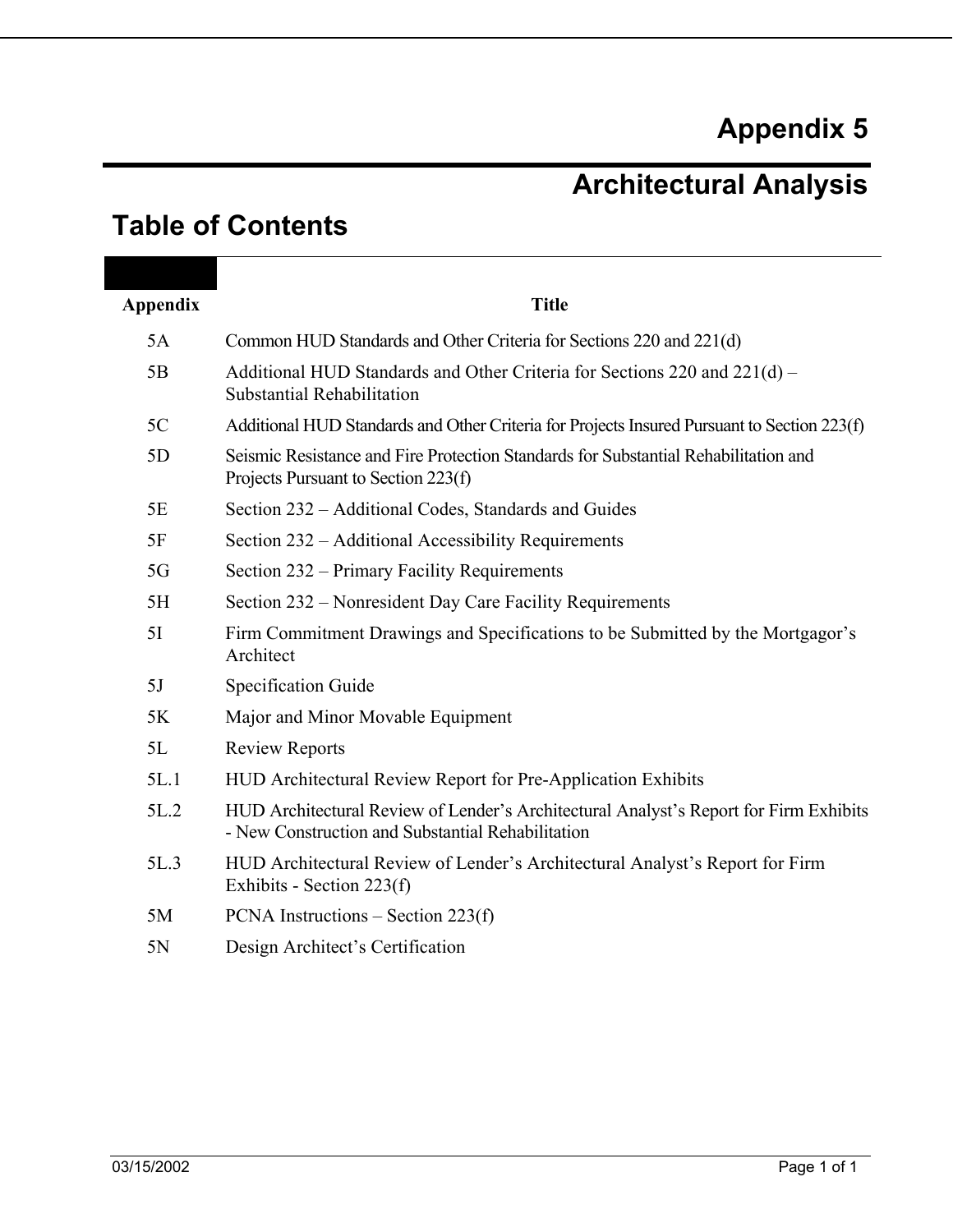# **Appendix 5**

# **Architectural Analysis**

# **Table of Contents**

| Appendix | <b>Title</b>                                                                                                                               |
|----------|--------------------------------------------------------------------------------------------------------------------------------------------|
| 5A       | Common HUD Standards and Other Criteria for Sections 220 and 221(d)                                                                        |
| 5B       | Additional HUD Standards and Other Criteria for Sections 220 and 221(d) –<br>Substantial Rehabilitation                                    |
| 5C       | Additional HUD Standards and Other Criteria for Projects Insured Pursuant to Section 223(f)                                                |
| 5D       | Seismic Resistance and Fire Protection Standards for Substantial Rehabilitation and<br>Projects Pursuant to Section 223(f)                 |
| 5E       | Section 232 – Additional Codes, Standards and Guides                                                                                       |
| 5F       | Section 232 – Additional Accessibility Requirements                                                                                        |
| 5G       | Section 232 – Primary Facility Requirements                                                                                                |
| 5H       | Section 232 – Nonresident Day Care Facility Requirements                                                                                   |
| 5I       | Firm Commitment Drawings and Specifications to be Submitted by the Mortgagor's<br>Architect                                                |
| 5J       | <b>Specification Guide</b>                                                                                                                 |
| 5K       | Major and Minor Movable Equipment                                                                                                          |
| 5L       | <b>Review Reports</b>                                                                                                                      |
| 5L.1     | HUD Architectural Review Report for Pre-Application Exhibits                                                                               |
| 5L.2     | HUD Architectural Review of Lender's Architectural Analyst's Report for Firm Exhibits<br>- New Construction and Substantial Rehabilitation |
| 5L.3     | HUD Architectural Review of Lender's Architectural Analyst's Report for Firm<br>Exhibits - Section 223(f)                                  |
| 5M       | PCNA Instructions $-$ Section 223(f)                                                                                                       |
| 5N       | Design Architect's Certification                                                                                                           |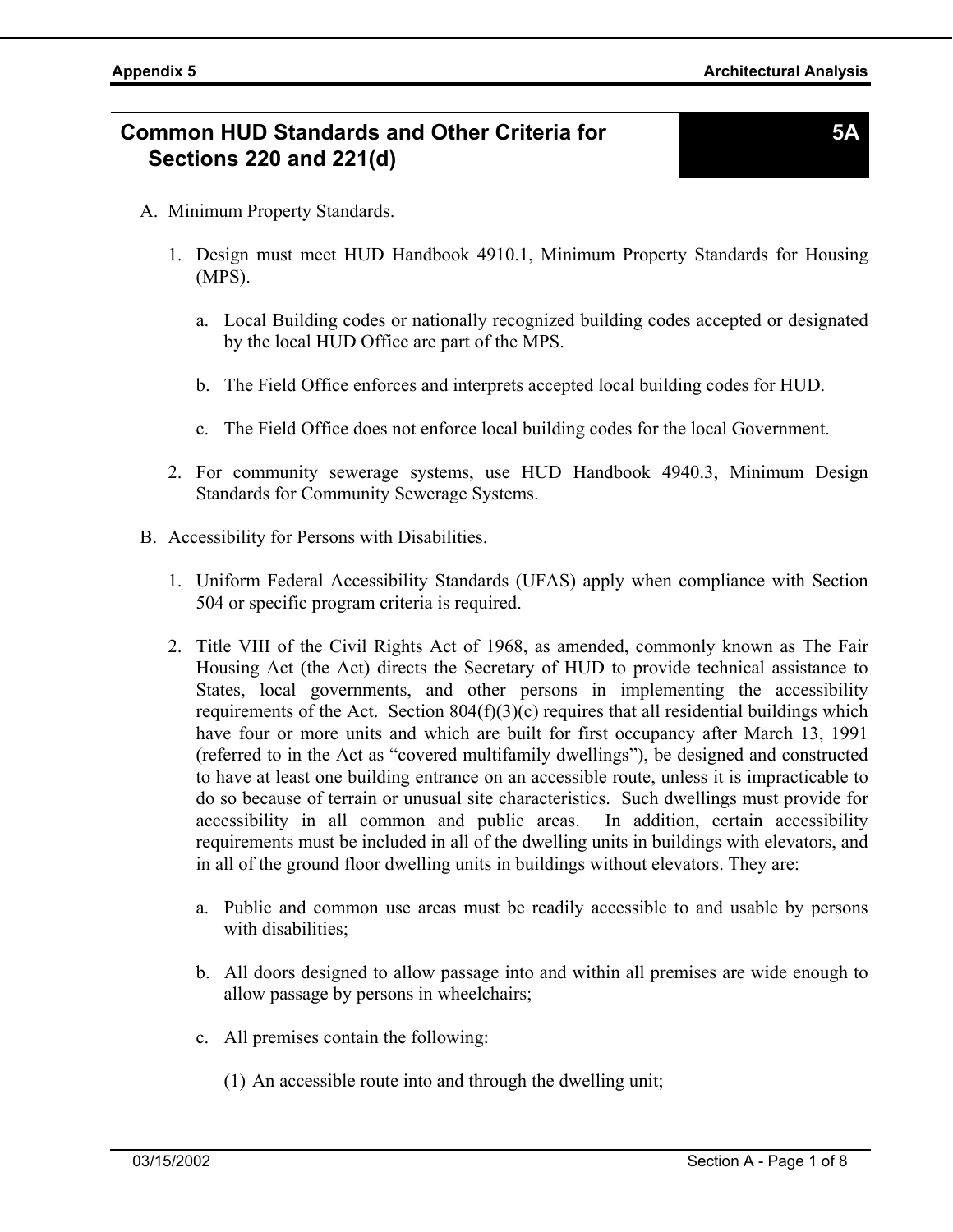# **Common HUD Standards and Other Criteria for Sections 220 and 221(d)**

- A. Minimum Property Standards.
	- 1. Design must meet HUD Handbook 4910.1, Minimum Property Standards for Housing (MPS).
		- a. Local Building codes or nationally recognized building codes accepted or designated by the local HUD Office are part of the MPS.
		- b. The Field Office enforces and interprets accepted local building codes for HUD.
		- c. The Field Office does not enforce local building codes for the local Government.
	- 2. For community sewerage systems, use HUD Handbook 4940.3, Minimum Design Standards for Community Sewerage Systems.
- B. Accessibility for Persons with Disabilities.
	- 1. Uniform Federal Accessibility Standards (UFAS) apply when compliance with Section 504 or specific program criteria is required.
	- 2. Title VIII of the Civil Rights Act of 1968, as amended, commonly known as The Fair Housing Act (the Act) directs the Secretary of HUD to provide technical assistance to States, local governments, and other persons in implementing the accessibility requirements of the Act. Section  $804(f)(3)(c)$  requires that all residential buildings which have four or more units and which are built for first occupancy after March 13, 1991 (referred to in the Act as "covered multifamily dwellings"), be designed and constructed to have at least one building entrance on an accessible route, unless it is impracticable to do so because of terrain or unusual site characteristics. Such dwellings must provide for accessibility in all common and public areas. In addition, certain accessibility requirements must be included in all of the dwelling units in buildings with elevators, and in all of the ground floor dwelling units in buildings without elevators. They are:
		- a. Public and common use areas must be readily accessible to and usable by persons with disabilities;
		- b. All doors designed to allow passage into and within all premises are wide enough to allow passage by persons in wheelchairs;
		- c. All premises contain the following:

(1) An accessible route into and through the dwelling unit;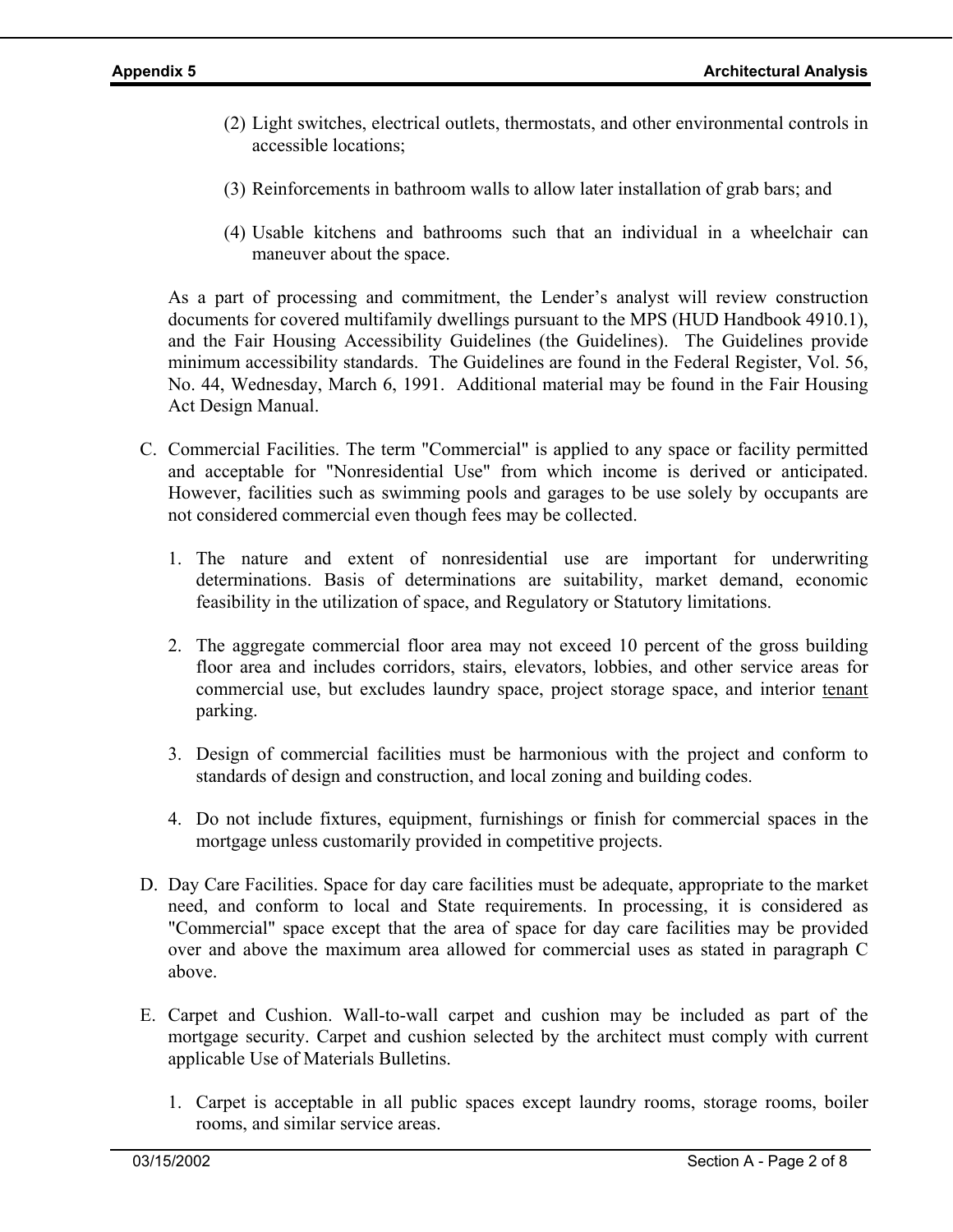- (2) Light switches, electrical outlets, thermostats, and other environmental controls in accessible locations;
- (3) Reinforcements in bathroom walls to allow later installation of grab bars; and
- (4) Usable kitchens and bathrooms such that an individual in a wheelchair can maneuver about the space.

As a part of processing and commitment, the Lender's analyst will review construction documents for covered multifamily dwellings pursuant to the MPS (HUD Handbook 4910.1), and the Fair Housing Accessibility Guidelines (the Guidelines). The Guidelines provide minimum accessibility standards. The Guidelines are found in the Federal Register, Vol. 56, No. 44, Wednesday, March 6, 1991. Additional material may be found in the Fair Housing Act Design Manual.

- C. Commercial Facilities. The term "Commercial" is applied to any space or facility permitted and acceptable for "Nonresidential Use" from which income is derived or anticipated. However, facilities such as swimming pools and garages to be use solely by occupants are not considered commercial even though fees may be collected.
	- 1. The nature and extent of nonresidential use are important for underwriting determinations. Basis of determinations are suitability, market demand, economic feasibility in the utilization of space, and Regulatory or Statutory limitations.
	- 2. The aggregate commercial floor area may not exceed 10 percent of the gross building floor area and includes corridors, stairs, elevators, lobbies, and other service areas for commercial use, but excludes laundry space, project storage space, and interior tenant parking.
	- 3. Design of commercial facilities must be harmonious with the project and conform to standards of design and construction, and local zoning and building codes.
	- 4. Do not include fixtures, equipment, furnishings or finish for commercial spaces in the mortgage unless customarily provided in competitive projects.
- D. Day Care Facilities. Space for day care facilities must be adequate, appropriate to the market need, and conform to local and State requirements. In processing, it is considered as "Commercial" space except that the area of space for day care facilities may be provided over and above the maximum area allowed for commercial uses as stated in paragraph C above.
- E. Carpet and Cushion. Wall-to-wall carpet and cushion may be included as part of the mortgage security. Carpet and cushion selected by the architect must comply with current applicable Use of Materials Bulletins.
	- 1. Carpet is acceptable in all public spaces except laundry rooms, storage rooms, boiler rooms, and similar service areas.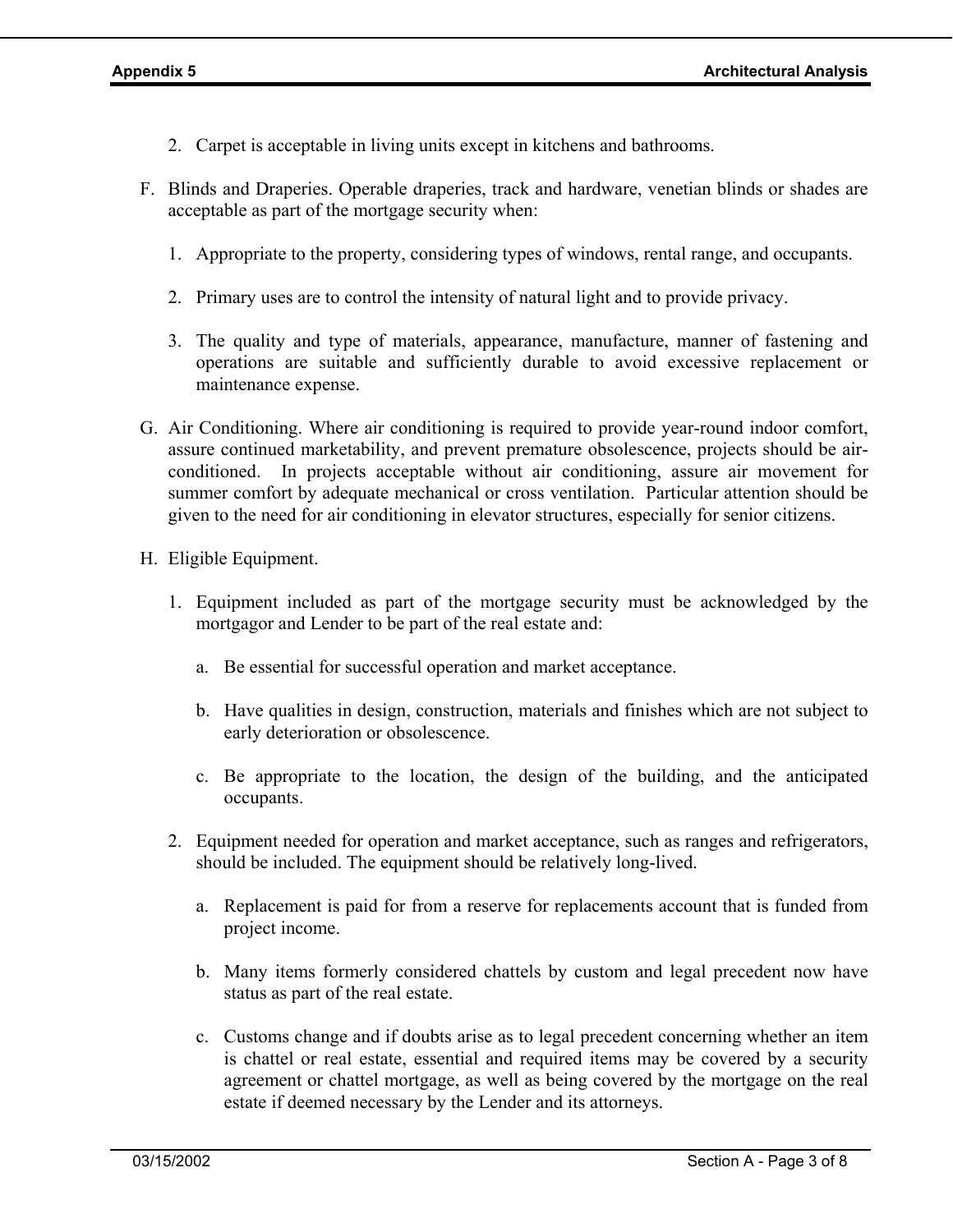- 2. Carpet is acceptable in living units except in kitchens and bathrooms.
- F. Blinds and Draperies. Operable draperies, track and hardware, venetian blinds or shades are acceptable as part of the mortgage security when:
	- 1. Appropriate to the property, considering types of windows, rental range, and occupants.
	- 2. Primary uses are to control the intensity of natural light and to provide privacy.
	- 3. The quality and type of materials, appearance, manufacture, manner of fastening and operations are suitable and sufficiently durable to avoid excessive replacement or maintenance expense.
- G. Air Conditioning. Where air conditioning is required to provide year-round indoor comfort, assure continued marketability, and prevent premature obsolescence, projects should be airconditioned. In projects acceptable without air conditioning, assure air movement for summer comfort by adequate mechanical or cross ventilation. Particular attention should be given to the need for air conditioning in elevator structures, especially for senior citizens.
- H. Eligible Equipment.
	- 1. Equipment included as part of the mortgage security must be acknowledged by the mortgagor and Lender to be part of the real estate and:
		- a. Be essential for successful operation and market acceptance.
		- b. Have qualities in design, construction, materials and finishes which are not subject to early deterioration or obsolescence.
		- c. Be appropriate to the location, the design of the building, and the anticipated occupants.
	- 2. Equipment needed for operation and market acceptance, such as ranges and refrigerators, should be included. The equipment should be relatively long-lived.
		- a. Replacement is paid for from a reserve for replacements account that is funded from project income.
		- b. Many items formerly considered chattels by custom and legal precedent now have status as part of the real estate.
		- c. Customs change and if doubts arise as to legal precedent concerning whether an item is chattel or real estate, essential and required items may be covered by a security agreement or chattel mortgage, as well as being covered by the mortgage on the real estate if deemed necessary by the Lender and its attorneys.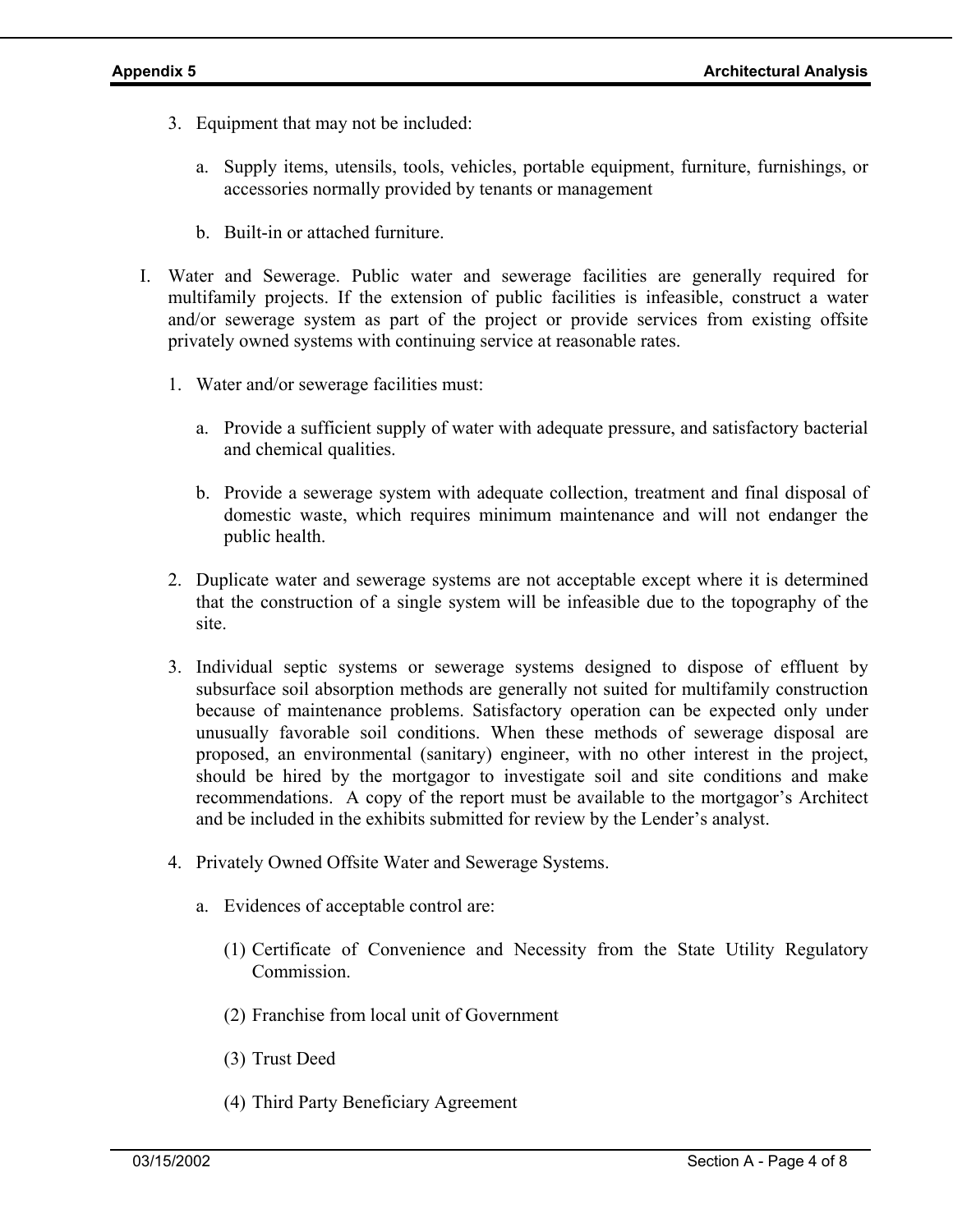- 3. Equipment that may not be included:
	- a. Supply items, utensils, tools, vehicles, portable equipment, furniture, furnishings, or accessories normally provided by tenants or management
	- b. Built-in or attached furniture.
- I. Water and Sewerage. Public water and sewerage facilities are generally required for multifamily projects. If the extension of public facilities is infeasible, construct a water and/or sewerage system as part of the project or provide services from existing offsite privately owned systems with continuing service at reasonable rates.
	- 1. Water and/or sewerage facilities must:
		- a. Provide a sufficient supply of water with adequate pressure, and satisfactory bacterial and chemical qualities.
		- b. Provide a sewerage system with adequate collection, treatment and final disposal of domestic waste, which requires minimum maintenance and will not endanger the public health.
	- 2. Duplicate water and sewerage systems are not acceptable except where it is determined that the construction of a single system will be infeasible due to the topography of the site.
	- 3. Individual septic systems or sewerage systems designed to dispose of effluent by subsurface soil absorption methods are generally not suited for multifamily construction because of maintenance problems. Satisfactory operation can be expected only under unusually favorable soil conditions. When these methods of sewerage disposal are proposed, an environmental (sanitary) engineer, with no other interest in the project, should be hired by the mortgagor to investigate soil and site conditions and make recommendations. A copy of the report must be available to the mortgagor's Architect and be included in the exhibits submitted for review by the Lender's analyst.
	- 4. Privately Owned Offsite Water and Sewerage Systems.
		- a. Evidences of acceptable control are:
			- (1) Certificate of Convenience and Necessity from the State Utility Regulatory **Commission**
			- (2) Franchise from local unit of Government
			- (3) Trust Deed
			- (4) Third Party Beneficiary Agreement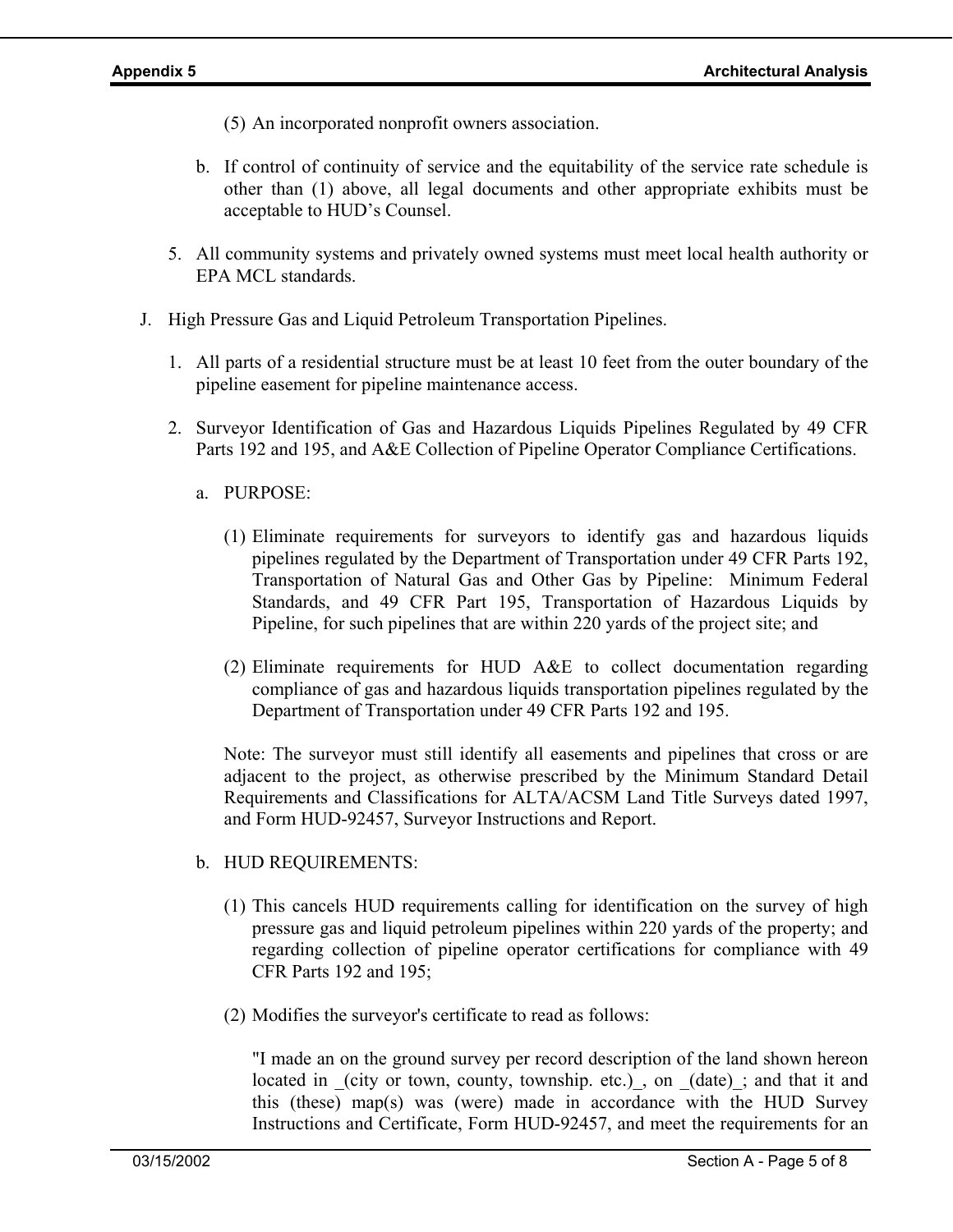- (5) An incorporated nonprofit owners association.
- b. If control of continuity of service and the equitability of the service rate schedule is other than (1) above, all legal documents and other appropriate exhibits must be acceptable to HUD's Counsel.
- 5. All community systems and privately owned systems must meet local health authority or EPA MCL standards.
- J. High Pressure Gas and Liquid Petroleum Transportation Pipelines.
	- 1. All parts of a residential structure must be at least 10 feet from the outer boundary of the pipeline easement for pipeline maintenance access.
	- 2. Surveyor Identification of Gas and Hazardous Liquids Pipelines Regulated by 49 CFR Parts 192 and 195, and A&E Collection of Pipeline Operator Compliance Certifications.
		- a. PURPOSE:
			- (1) Eliminate requirements for surveyors to identify gas and hazardous liquids pipelines regulated by the Department of Transportation under 49 CFR Parts 192, Transportation of Natural Gas and Other Gas by Pipeline: Minimum Federal Standards, and 49 CFR Part 195, Transportation of Hazardous Liquids by Pipeline, for such pipelines that are within 220 yards of the project site; and
			- (2) Eliminate requirements for HUD A&E to collect documentation regarding compliance of gas and hazardous liquids transportation pipelines regulated by the Department of Transportation under 49 CFR Parts 192 and 195.

Note: The surveyor must still identify all easements and pipelines that cross or are adjacent to the project, as otherwise prescribed by the Minimum Standard Detail Requirements and Classifications for ALTA/ACSM Land Title Surveys dated 1997, and Form HUD-92457, Surveyor Instructions and Report.

- b. HUD REQUIREMENTS:
	- (1) This cancels HUD requirements calling for identification on the survey of high pressure gas and liquid petroleum pipelines within 220 yards of the property; and regarding collection of pipeline operator certifications for compliance with 49 CFR Parts 192 and 195;
	- (2) Modifies the surveyor's certificate to read as follows:

"I made an on the ground survey per record description of the land shown hereon located in (city or town, county, township. etc.), on (date); and that it and this (these) map(s) was (were) made in accordance with the HUD Survey Instructions and Certificate, Form HUD-92457, and meet the requirements for an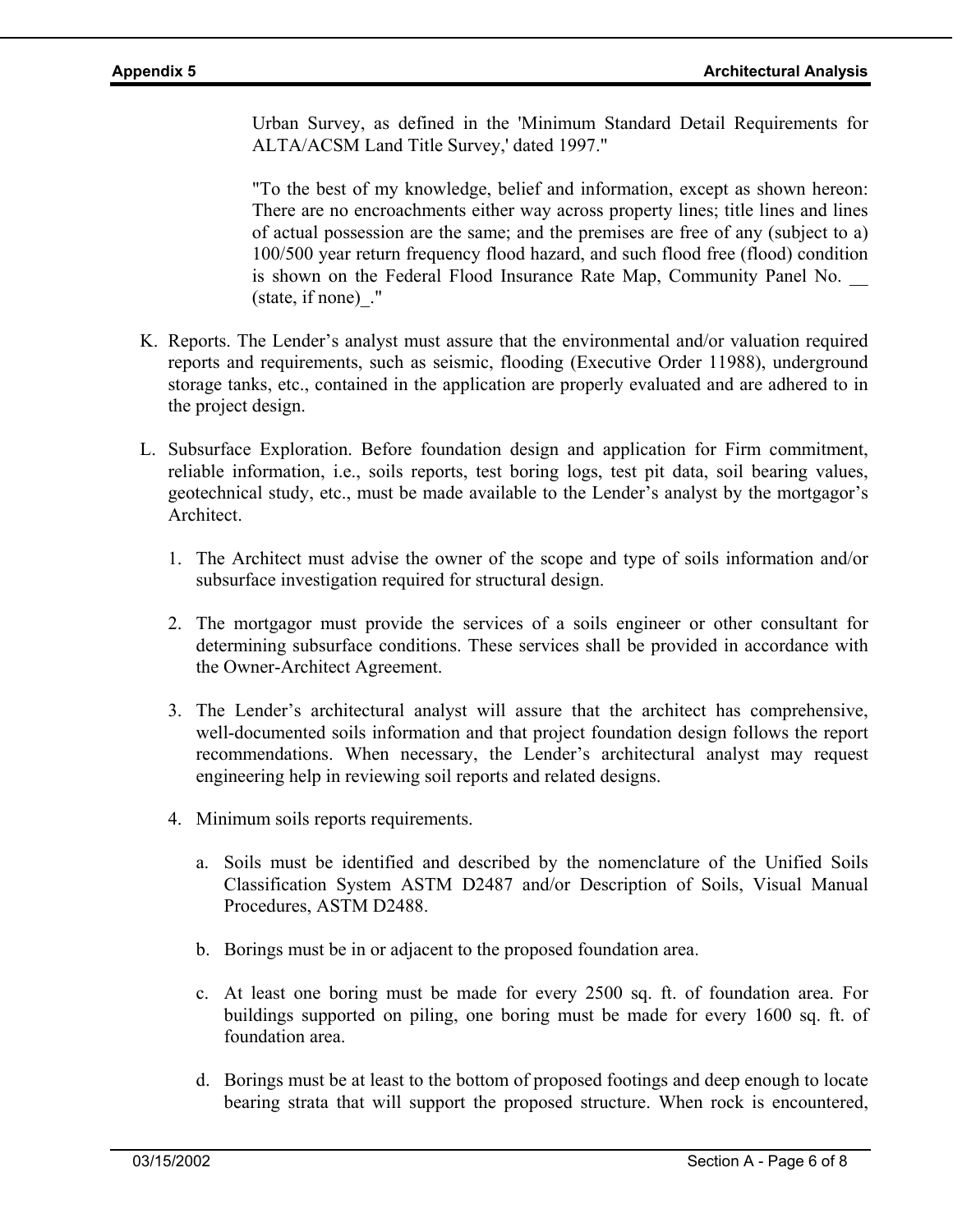Urban Survey, as defined in the 'Minimum Standard Detail Requirements for ALTA/ACSM Land Title Survey,' dated 1997."

"To the best of my knowledge, belief and information, except as shown hereon: There are no encroachments either way across property lines; title lines and lines of actual possession are the same; and the premises are free of any (subject to a) 100/500 year return frequency flood hazard, and such flood free (flood) condition is shown on the Federal Flood Insurance Rate Map, Community Panel No. (state, if none)\_."

- K. Reports. The Lender's analyst must assure that the environmental and/or valuation required reports and requirements, such as seismic, flooding (Executive Order 11988), underground storage tanks, etc., contained in the application are properly evaluated and are adhered to in the project design.
- L. Subsurface Exploration. Before foundation design and application for Firm commitment, reliable information, i.e., soils reports, test boring logs, test pit data, soil bearing values, geotechnical study, etc., must be made available to the Lender's analyst by the mortgagor's Architect.
	- 1. The Architect must advise the owner of the scope and type of soils information and/or subsurface investigation required for structural design.
	- 2. The mortgagor must provide the services of a soils engineer or other consultant for determining subsurface conditions. These services shall be provided in accordance with the Owner-Architect Agreement.
	- 3. The Lender's architectural analyst will assure that the architect has comprehensive, well-documented soils information and that project foundation design follows the report recommendations. When necessary, the Lender's architectural analyst may request engineering help in reviewing soil reports and related designs.
	- 4. Minimum soils reports requirements.
		- a. Soils must be identified and described by the nomenclature of the Unified Soils Classification System ASTM D2487 and/or Description of Soils, Visual Manual Procedures, ASTM D2488.
		- b. Borings must be in or adjacent to the proposed foundation area.
		- c. At least one boring must be made for every 2500 sq. ft. of foundation area. For buildings supported on piling, one boring must be made for every 1600 sq. ft. of foundation area.
		- d. Borings must be at least to the bottom of proposed footings and deep enough to locate bearing strata that will support the proposed structure. When rock is encountered,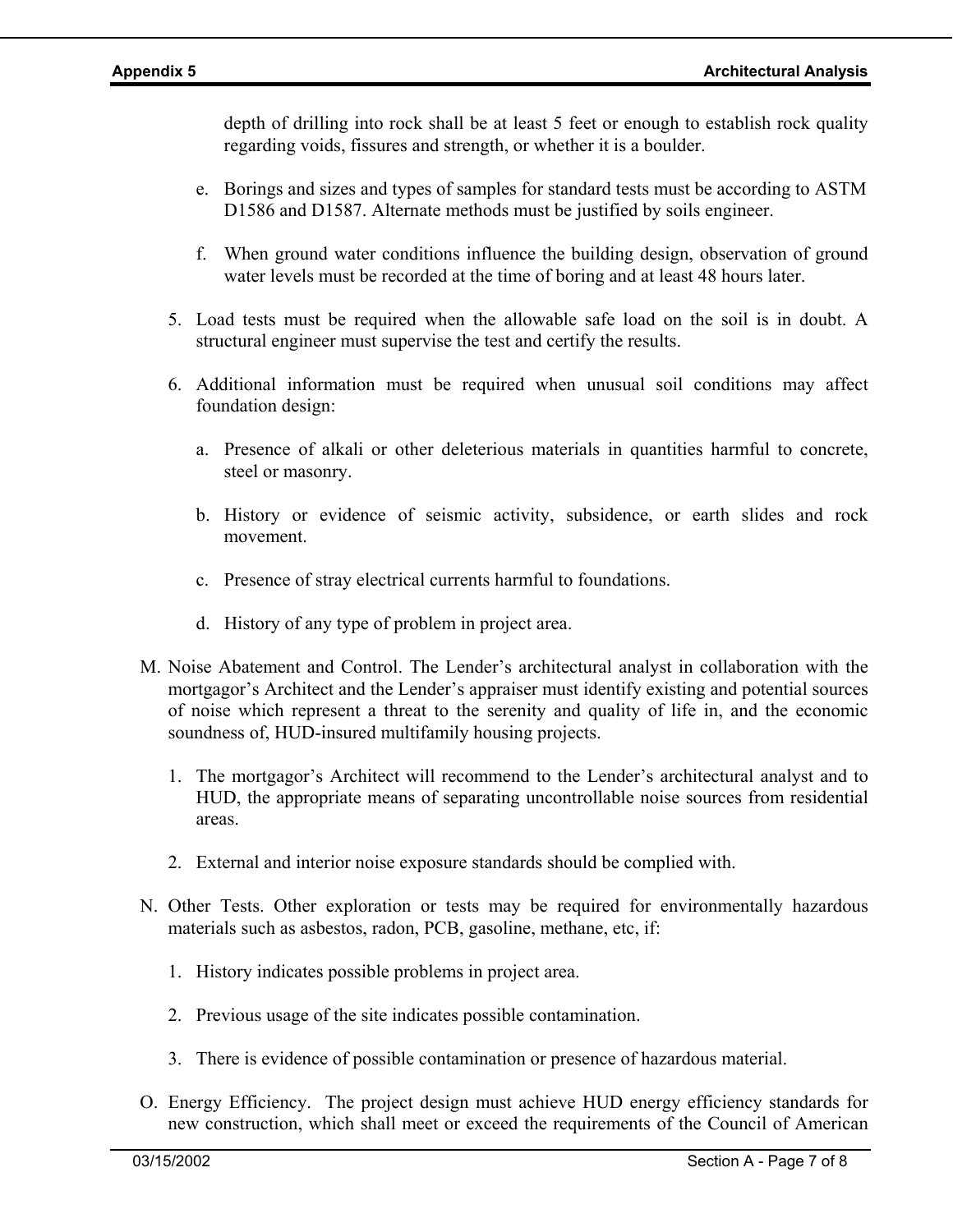depth of drilling into rock shall be at least 5 feet or enough to establish rock quality regarding voids, fissures and strength, or whether it is a boulder.

- e. Borings and sizes and types of samples for standard tests must be according to ASTM D1586 and D1587. Alternate methods must be justified by soils engineer.
- f. When ground water conditions influence the building design, observation of ground water levels must be recorded at the time of boring and at least 48 hours later.
- 5. Load tests must be required when the allowable safe load on the soil is in doubt. A structural engineer must supervise the test and certify the results.
- 6. Additional information must be required when unusual soil conditions may affect foundation design:
	- a. Presence of alkali or other deleterious materials in quantities harmful to concrete, steel or masonry.
	- b. History or evidence of seismic activity, subsidence, or earth slides and rock movement.
	- c. Presence of stray electrical currents harmful to foundations.
	- d. History of any type of problem in project area.
- M. Noise Abatement and Control. The Lender's architectural analyst in collaboration with the mortgagor's Architect and the Lender's appraiser must identify existing and potential sources of noise which represent a threat to the serenity and quality of life in, and the economic soundness of, HUD-insured multifamily housing projects.
	- 1. The mortgagor's Architect will recommend to the Lender's architectural analyst and to HUD, the appropriate means of separating uncontrollable noise sources from residential areas.
	- 2. External and interior noise exposure standards should be complied with.
- N. Other Tests. Other exploration or tests may be required for environmentally hazardous materials such as asbestos, radon, PCB, gasoline, methane, etc, if:
	- 1. History indicates possible problems in project area.
	- 2. Previous usage of the site indicates possible contamination.
	- 3. There is evidence of possible contamination or presence of hazardous material.
- O. Energy Efficiency. The project design must achieve HUD energy efficiency standards for new construction, which shall meet or exceed the requirements of the Council of American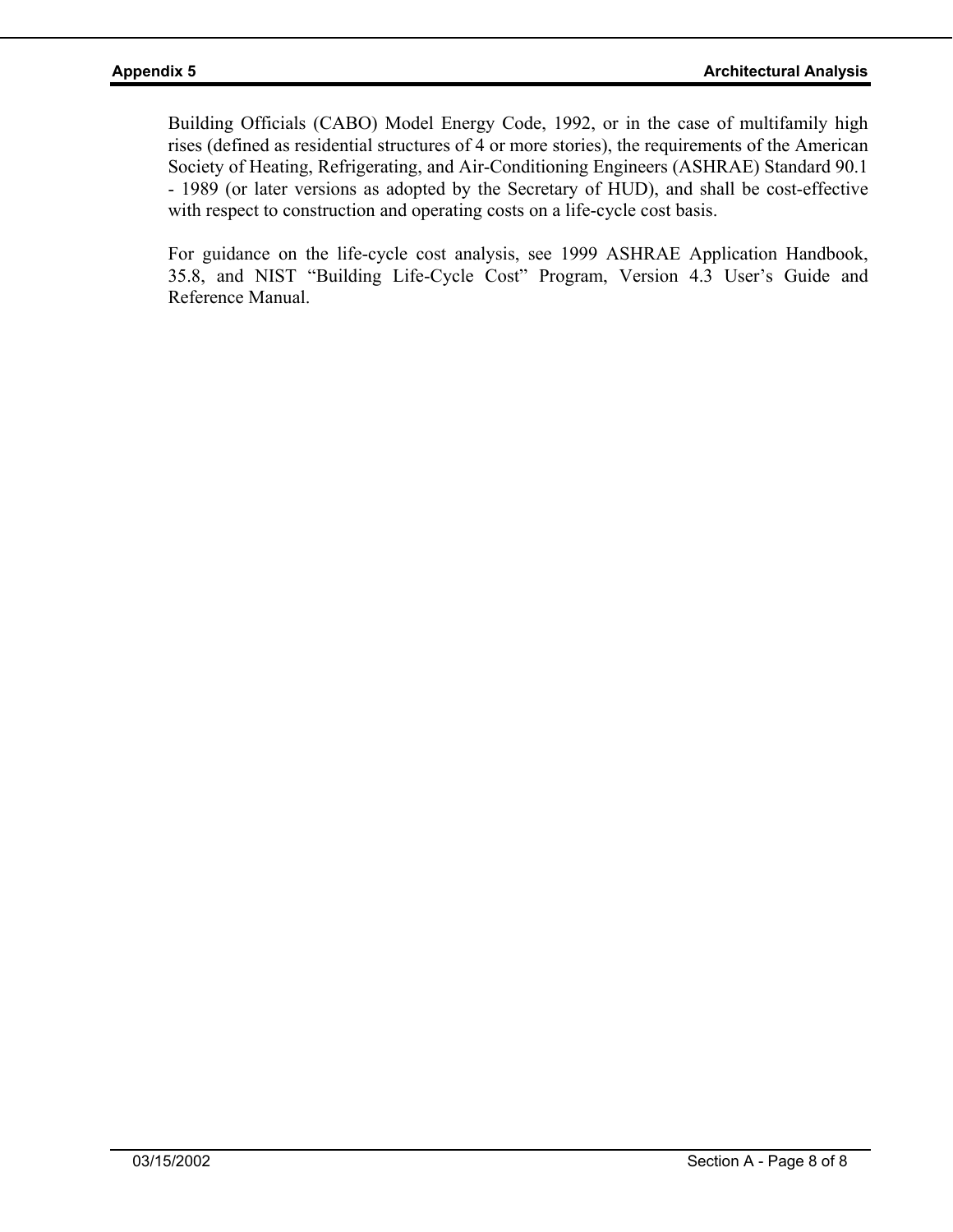Building Officials (CABO) Model Energy Code, 1992, or in the case of multifamily high rises (defined as residential structures of 4 or more stories), the requirements of the American Society of Heating, Refrigerating, and Air-Conditioning Engineers (ASHRAE) Standard 90.1 - 1989 (or later versions as adopted by the Secretary of HUD), and shall be cost-effective with respect to construction and operating costs on a life-cycle cost basis.

For guidance on the life-cycle cost analysis, see 1999 ASHRAE Application Handbook, 35.8, and NIST "Building Life-Cycle Cost" Program, Version 4.3 User's Guide and Reference Manual.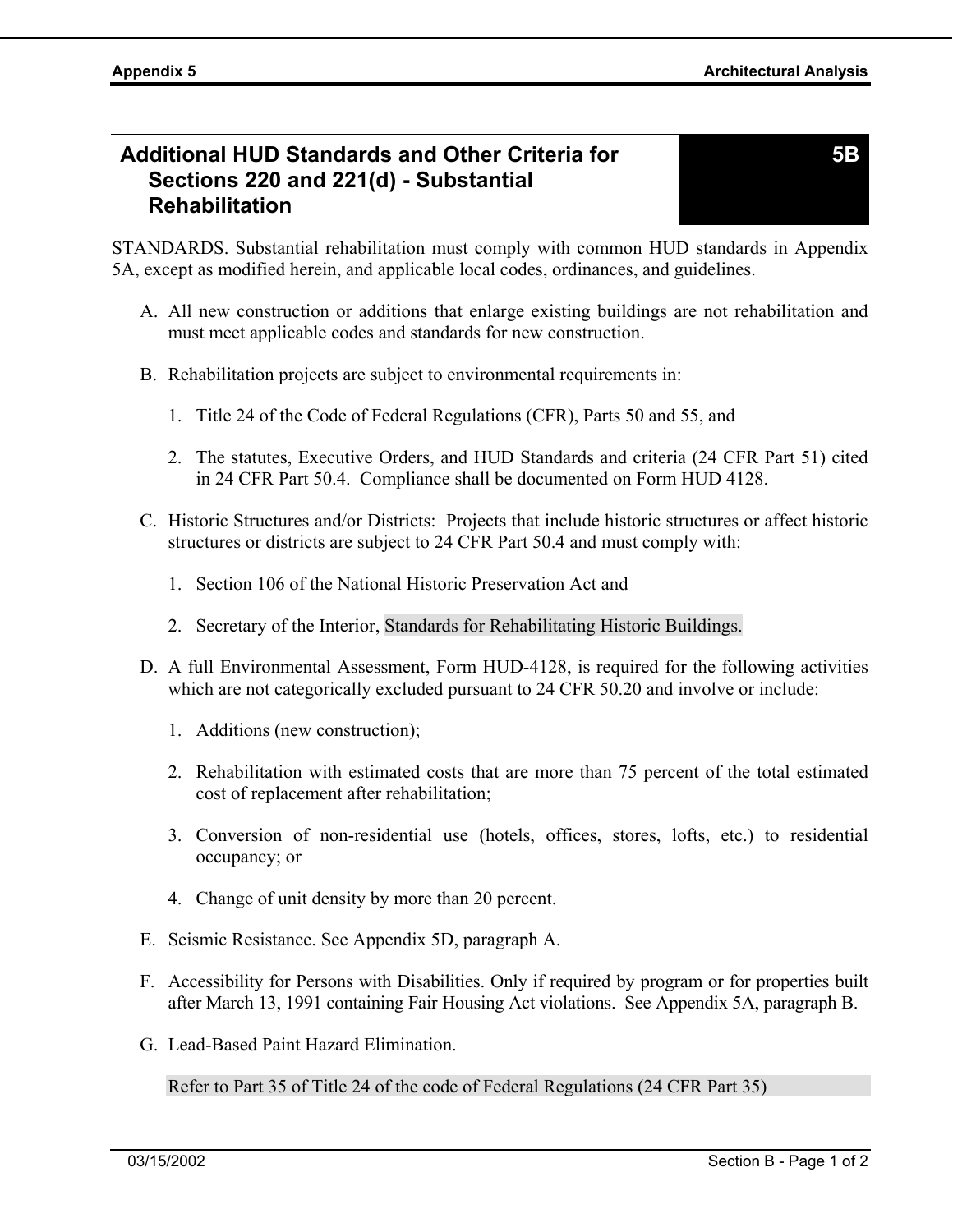# **Additional HUD Standards and Other Criteria for Sections 220 and 221(d) - Substantial Rehabilitation**

STANDARDS. Substantial rehabilitation must comply with common HUD standards in Appendix 5A, except as modified herein, and applicable local codes, ordinances, and guidelines.

- A. All new construction or additions that enlarge existing buildings are not rehabilitation and must meet applicable codes and standards for new construction.
- B. Rehabilitation projects are subject to environmental requirements in:
	- 1. Title 24 of the Code of Federal Regulations (CFR), Parts 50 and 55, and
	- 2. The statutes, Executive Orders, and HUD Standards and criteria (24 CFR Part 51) cited in 24 CFR Part 50.4. Compliance shall be documented on Form HUD 4128.
- C. Historic Structures and/or Districts: Projects that include historic structures or affect historic structures or districts are subject to 24 CFR Part 50.4 and must comply with:
	- 1. Section 106 of the National Historic Preservation Act and
	- 2. Secretary of the Interior, Standards for Rehabilitating Historic Buildings.
- D. A full Environmental Assessment, Form HUD-4128, is required for the following activities which are not categorically excluded pursuant to 24 CFR 50.20 and involve or include:
	- 1. Additions (new construction);
	- 2. Rehabilitation with estimated costs that are more than 75 percent of the total estimated cost of replacement after rehabilitation;
	- 3. Conversion of non-residential use (hotels, offices, stores, lofts, etc.) to residential occupancy; or
	- 4. Change of unit density by more than 20 percent.
- E. Seismic Resistance. See Appendix 5D, paragraph A.
- F. Accessibility for Persons with Disabilities. Only if required by program or for properties built after March 13, 1991 containing Fair Housing Act violations. See Appendix 5A, paragraph B.
- G. Lead-Based Paint Hazard Elimination.

Refer to Part 35 of Title 24 of the code of Federal Regulations (24 CFR Part 35)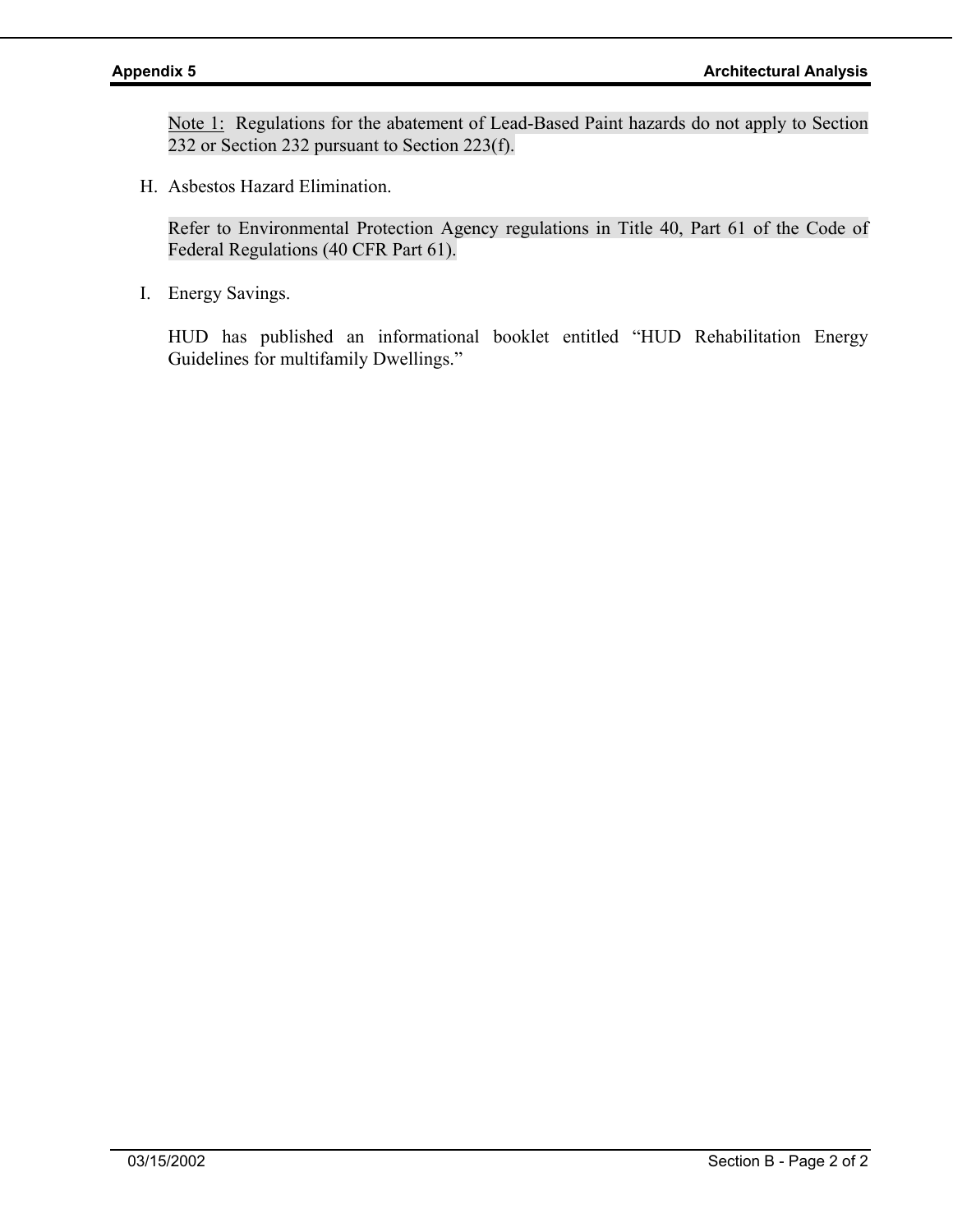Note 1: Regulations for the abatement of Lead-Based Paint hazards do not apply to Section 232 or Section 232 pursuant to Section 223(f).

H. Asbestos Hazard Elimination.

Refer to Environmental Protection Agency regulations in Title 40, Part 61 of the Code of Federal Regulations (40 CFR Part 61).

I. Energy Savings.

HUD has published an informational booklet entitled "HUD Rehabilitation Energy Guidelines for multifamily Dwellings."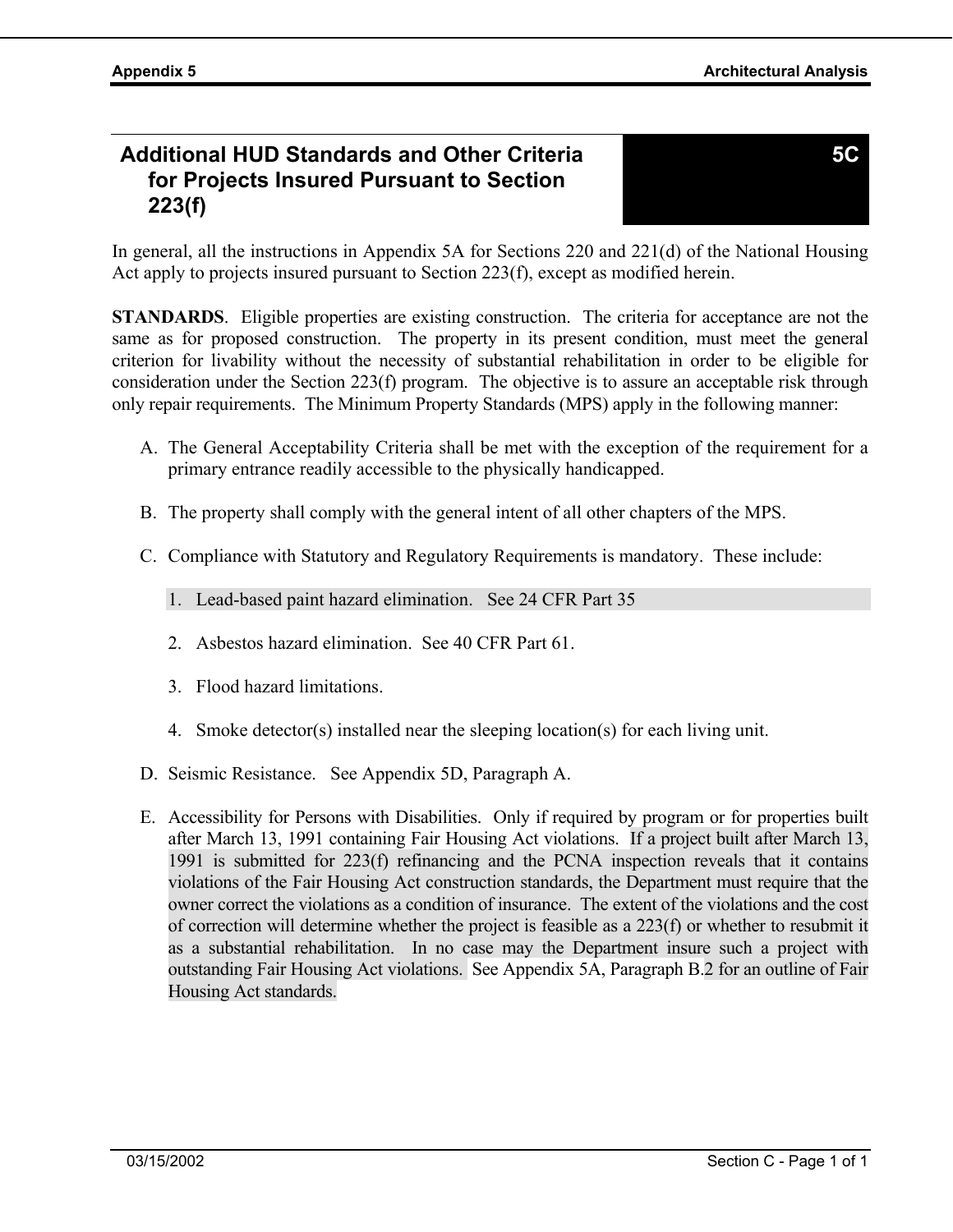**5C** 

# **Additional HUD Standards and Other Criteria for Projects Insured Pursuant to Section 223(f)**

In general, all the instructions in Appendix 5A for Sections 220 and 221(d) of the National Housing Act apply to projects insured pursuant to Section 223(f), except as modified herein.

**STANDARDS**. Eligible properties are existing construction. The criteria for acceptance are not the same as for proposed construction. The property in its present condition, must meet the general criterion for livability without the necessity of substantial rehabilitation in order to be eligible for consideration under the Section 223(f) program. The objective is to assure an acceptable risk through only repair requirements. The Minimum Property Standards (MPS) apply in the following manner:

- A. The General Acceptability Criteria shall be met with the exception of the requirement for a primary entrance readily accessible to the physically handicapped.
- B. The property shall comply with the general intent of all other chapters of the MPS.
- C. Compliance with Statutory and Regulatory Requirements is mandatory. These include:
	- 1. Lead-based paint hazard elimination. See 24 CFR Part 35
	- 2. Asbestos hazard elimination. See 40 CFR Part 61.
	- 3. Flood hazard limitations.
	- 4. Smoke detector(s) installed near the sleeping location(s) for each living unit.
- D. Seismic Resistance. See Appendix 5D, Paragraph A.
- E. Accessibility for Persons with Disabilities. Only if required by program or for properties built after March 13, 1991 containing Fair Housing Act violations. If a project built after March 13, 1991 is submitted for 223(f) refinancing and the PCNA inspection reveals that it contains violations of the Fair Housing Act construction standards, the Department must require that the owner correct the violations as a condition of insurance. The extent of the violations and the cost of correction will determine whether the project is feasible as a 223(f) or whether to resubmit it as a substantial rehabilitation. In no case may the Department insure such a project with outstanding Fair Housing Act violations. See Appendix 5A, Paragraph B.2 for an outline of Fair Housing Act standards.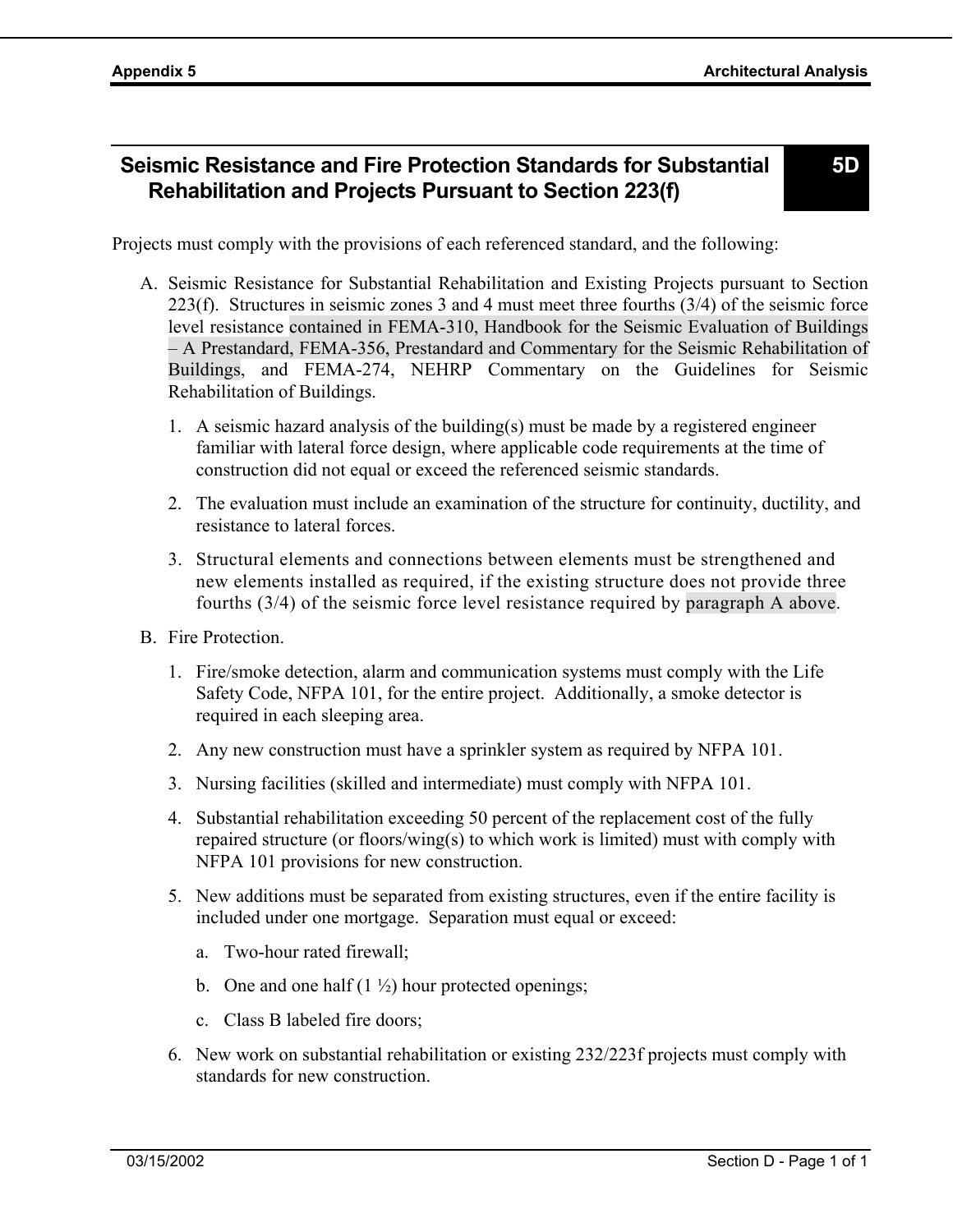# **Seismic Resistance and Fire Protection Standards for Substantial Rehabilitation and Projects Pursuant to Section 223(f)**

**5D** 

Projects must comply with the provisions of each referenced standard, and the following:

- A. Seismic Resistance for Substantial Rehabilitation and Existing Projects pursuant to Section 223(f). Structures in seismic zones 3 and 4 must meet three fourths (3/4) of the seismic force level resistance contained in FEMA-310, Handbook for the Seismic Evaluation of Buildings – A Prestandard, FEMA-356, Prestandard and Commentary for the Seismic Rehabilitation of Buildings, and FEMA-274, NEHRP Commentary on the Guidelines for Seismic Rehabilitation of Buildings.
	- 1. A seismic hazard analysis of the building(s) must be made by a registered engineer familiar with lateral force design, where applicable code requirements at the time of construction did not equal or exceed the referenced seismic standards.
	- 2. The evaluation must include an examination of the structure for continuity, ductility, and resistance to lateral forces.
	- 3. Structural elements and connections between elements must be strengthened and new elements installed as required, if the existing structure does not provide three fourths (3/4) of the seismic force level resistance required by paragraph A above.
- B. Fire Protection.
	- 1. Fire/smoke detection, alarm and communication systems must comply with the Life Safety Code, NFPA 101, for the entire project. Additionally, a smoke detector is required in each sleeping area.
	- 2. Any new construction must have a sprinkler system as required by NFPA 101.
	- 3. Nursing facilities (skilled and intermediate) must comply with NFPA 101.
	- 4. Substantial rehabilitation exceeding 50 percent of the replacement cost of the fully repaired structure (or floors/wing(s) to which work is limited) must with comply with NFPA 101 provisions for new construction.
	- 5. New additions must be separated from existing structures, even if the entire facility is included under one mortgage. Separation must equal or exceed:
		- a. Two-hour rated firewall;
		- b. One and one half  $(1 \frac{1}{2})$  hour protected openings;
		- c. Class B labeled fire doors;
	- 6. New work on substantial rehabilitation or existing 232/223f projects must comply with standards for new construction.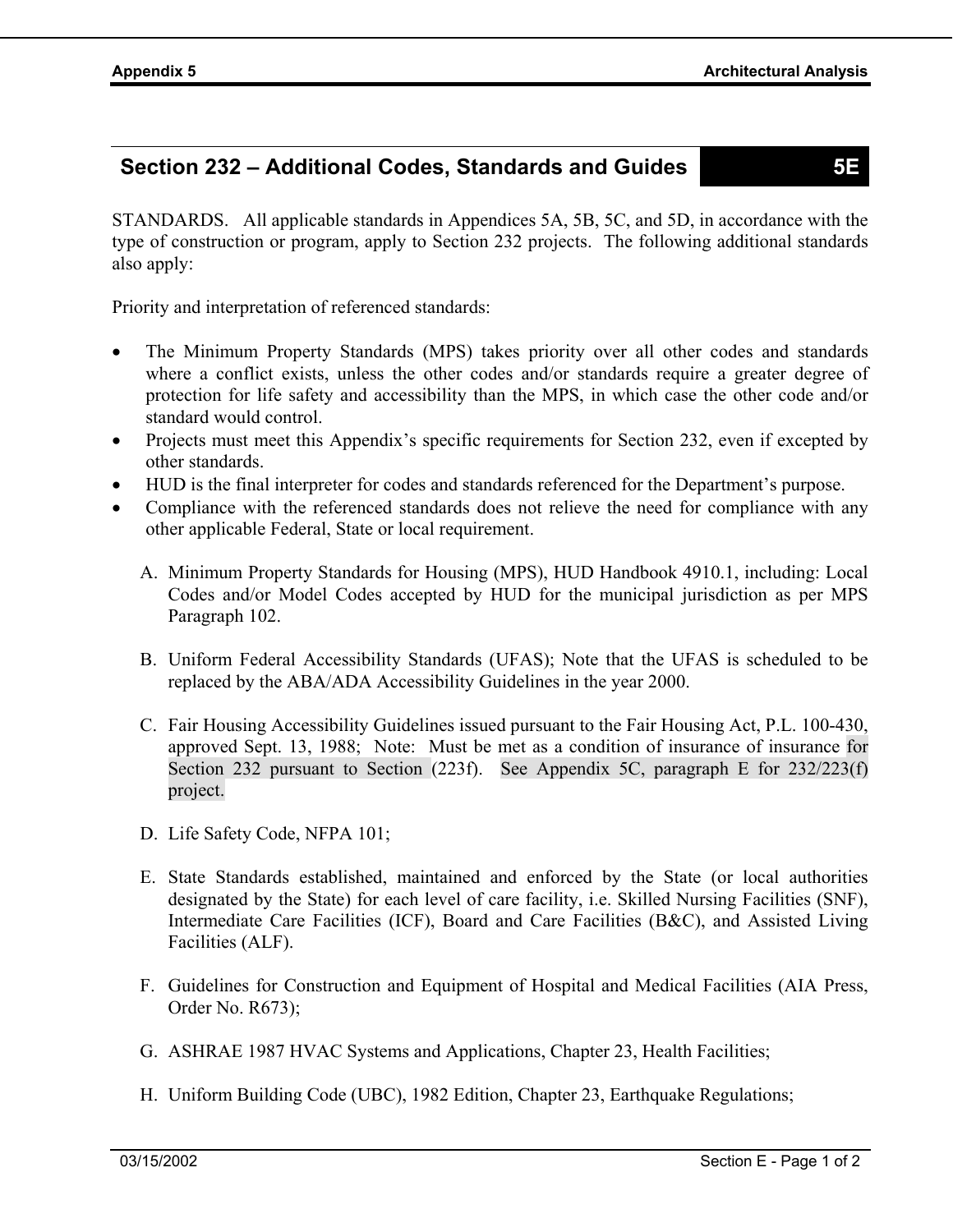# **Section 232 – Additional Codes, Standards and Guides 5E**

STANDARDS. All applicable standards in Appendices 5A, 5B, 5C, and 5D, in accordance with the type of construction or program, apply to Section 232 projects. The following additional standards also apply:

Priority and interpretation of referenced standards:

- The Minimum Property Standards (MPS) takes priority over all other codes and standards where a conflict exists, unless the other codes and/or standards require a greater degree of protection for life safety and accessibility than the MPS, in which case the other code and/or standard would control.
- Projects must meet this Appendix's specific requirements for Section 232, even if excepted by other standards.
- HUD is the final interpreter for codes and standards referenced for the Department's purpose.
- Compliance with the referenced standards does not relieve the need for compliance with any other applicable Federal, State or local requirement.
	- A. Minimum Property Standards for Housing (MPS), HUD Handbook 4910.1, including: Local Codes and/or Model Codes accepted by HUD for the municipal jurisdiction as per MPS Paragraph 102.
	- B. Uniform Federal Accessibility Standards (UFAS); Note that the UFAS is scheduled to be replaced by the ABA/ADA Accessibility Guidelines in the year 2000.
	- C. Fair Housing Accessibility Guidelines issued pursuant to the Fair Housing Act, P.L. 100-430, approved Sept. 13, 1988; Note: Must be met as a condition of insurance of insurance for Section 232 pursuant to Section (223f). See Appendix 5C, paragraph E for 232/223(f) project.
	- D. Life Safety Code, NFPA 101;
	- E. State Standards established, maintained and enforced by the State (or local authorities designated by the State) for each level of care facility, i.e. Skilled Nursing Facilities (SNF), Intermediate Care Facilities (ICF), Board and Care Facilities (B&C), and Assisted Living Facilities (ALF).
	- F. Guidelines for Construction and Equipment of Hospital and Medical Facilities (AIA Press, Order No. R673);
	- G. ASHRAE 1987 HVAC Systems and Applications, Chapter 23, Health Facilities;
	- H. Uniform Building Code (UBC), 1982 Edition, Chapter 23, Earthquake Regulations;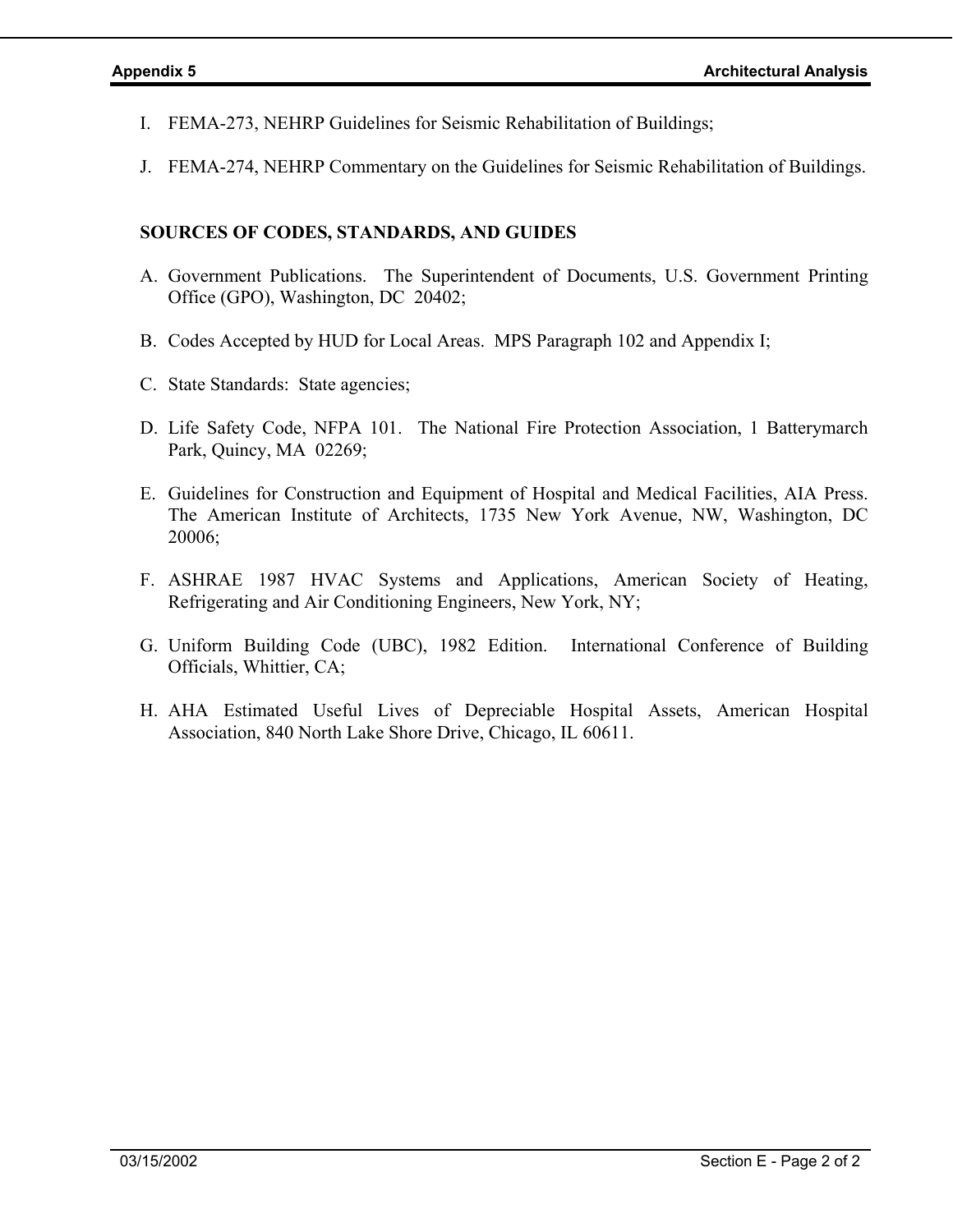- I. FEMA-273, NEHRP Guidelines for Seismic Rehabilitation of Buildings;
- J. FEMA-274, NEHRP Commentary on the Guidelines for Seismic Rehabilitation of Buildings.

### **SOURCES OF CODES, STANDARDS, AND GUIDES**

- A. Government Publications. The Superintendent of Documents, U.S. Government Printing Office (GPO), Washington, DC 20402;
- B. Codes Accepted by HUD for Local Areas. MPS Paragraph 102 and Appendix I;
- C. State Standards: State agencies;
- D. Life Safety Code, NFPA 101. The National Fire Protection Association, 1 Batterymarch Park, Quincy, MA 02269;
- E. Guidelines for Construction and Equipment of Hospital and Medical Facilities, AIA Press. The American Institute of Architects, 1735 New York Avenue, NW, Washington, DC 20006;
- F. ASHRAE 1987 HVAC Systems and Applications, American Society of Heating, Refrigerating and Air Conditioning Engineers, New York, NY;
- G. Uniform Building Code (UBC), 1982 Edition. International Conference of Building Officials, Whittier, CA;
- H. AHA Estimated Useful Lives of Depreciable Hospital Assets, American Hospital Association, 840 North Lake Shore Drive, Chicago, IL 60611.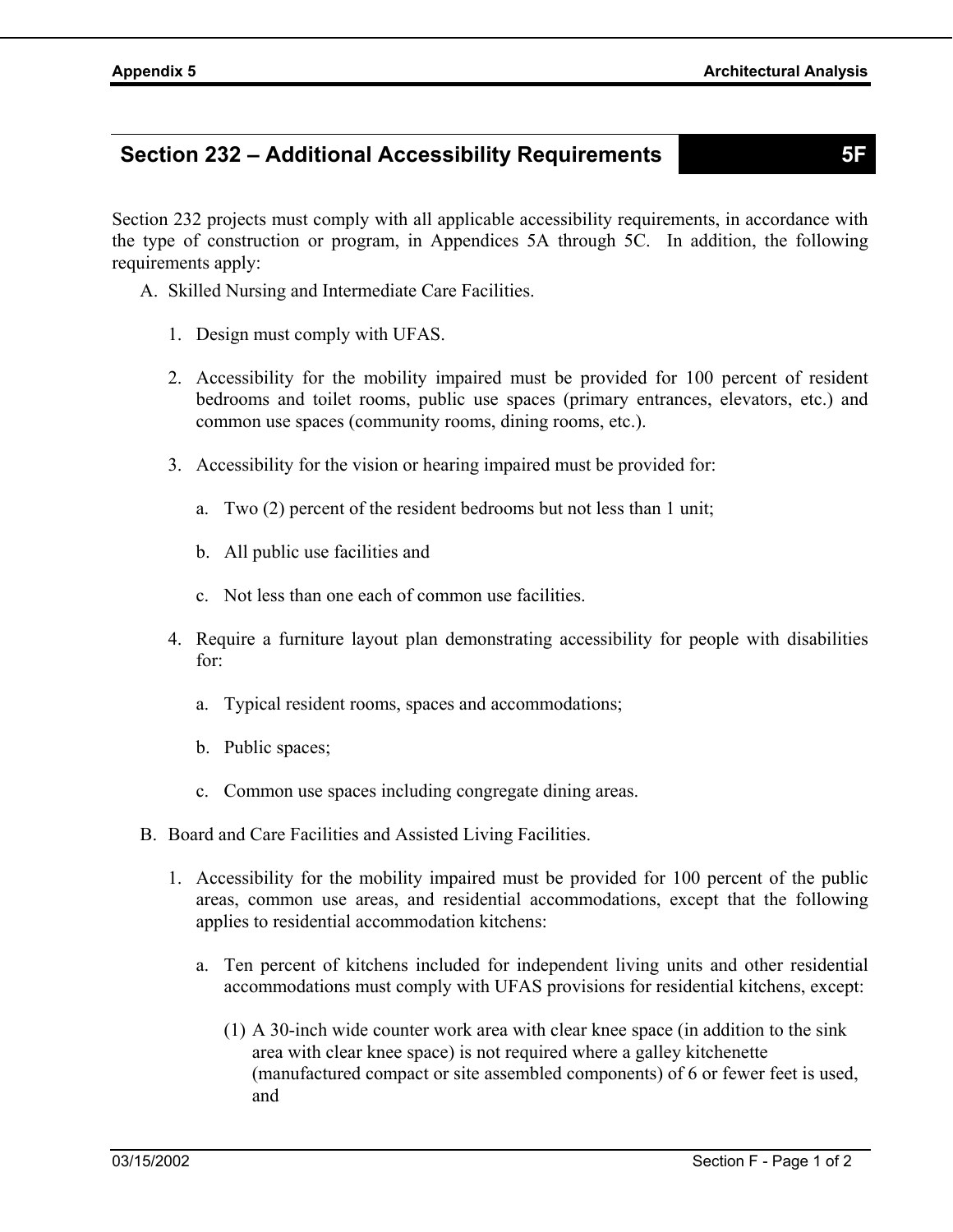# **Section 232 – Additional Accessibility Requirements 5F**

Section 232 projects must comply with all applicable accessibility requirements, in accordance with the type of construction or program, in Appendices 5A through 5C. In addition, the following requirements apply:

- A. Skilled Nursing and Intermediate Care Facilities.
	- 1. Design must comply with UFAS.
	- 2. Accessibility for the mobility impaired must be provided for 100 percent of resident bedrooms and toilet rooms, public use spaces (primary entrances, elevators, etc.) and common use spaces (community rooms, dining rooms, etc.).
	- 3. Accessibility for the vision or hearing impaired must be provided for:
		- a. Two (2) percent of the resident bedrooms but not less than 1 unit;
		- b. All public use facilities and
		- c. Not less than one each of common use facilities.
	- 4. Require a furniture layout plan demonstrating accessibility for people with disabilities for:
		- a. Typical resident rooms, spaces and accommodations;
		- b. Public spaces;
		- c. Common use spaces including congregate dining areas.
- B. Board and Care Facilities and Assisted Living Facilities.
	- 1. Accessibility for the mobility impaired must be provided for 100 percent of the public areas, common use areas, and residential accommodations, except that the following applies to residential accommodation kitchens:
		- a. Ten percent of kitchens included for independent living units and other residential accommodations must comply with UFAS provisions for residential kitchens, except:
			- (1) A 30-inch wide counter work area with clear knee space (in addition to the sink area with clear knee space) is not required where a galley kitchenette (manufactured compact or site assembled components) of 6 or fewer feet is used, and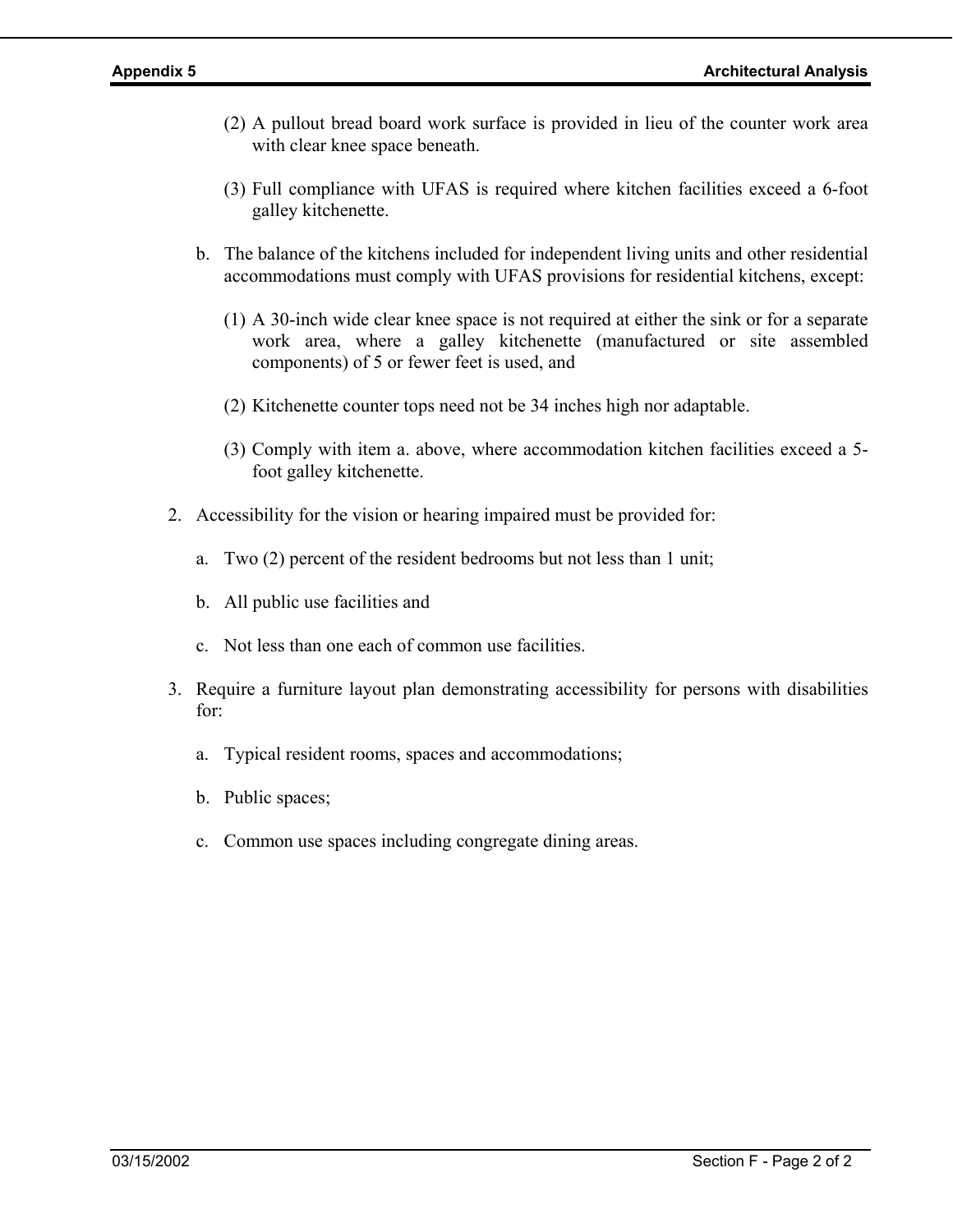- (2) A pullout bread board work surface is provided in lieu of the counter work area with clear knee space beneath.
- (3) Full compliance with UFAS is required where kitchen facilities exceed a 6-foot galley kitchenette.
- b. The balance of the kitchens included for independent living units and other residential accommodations must comply with UFAS provisions for residential kitchens, except:
	- (1) A 30-inch wide clear knee space is not required at either the sink or for a separate work area, where a galley kitchenette (manufactured or site assembled components) of 5 or fewer feet is used, and
	- (2) Kitchenette counter tops need not be 34 inches high nor adaptable.
	- (3) Comply with item a. above, where accommodation kitchen facilities exceed a 5 foot galley kitchenette.
- 2. Accessibility for the vision or hearing impaired must be provided for:
	- a. Two (2) percent of the resident bedrooms but not less than 1 unit;
	- b. All public use facilities and
	- c. Not less than one each of common use facilities.
- 3. Require a furniture layout plan demonstrating accessibility for persons with disabilities for:
	- a. Typical resident rooms, spaces and accommodations;
	- b. Public spaces;
	- c. Common use spaces including congregate dining areas.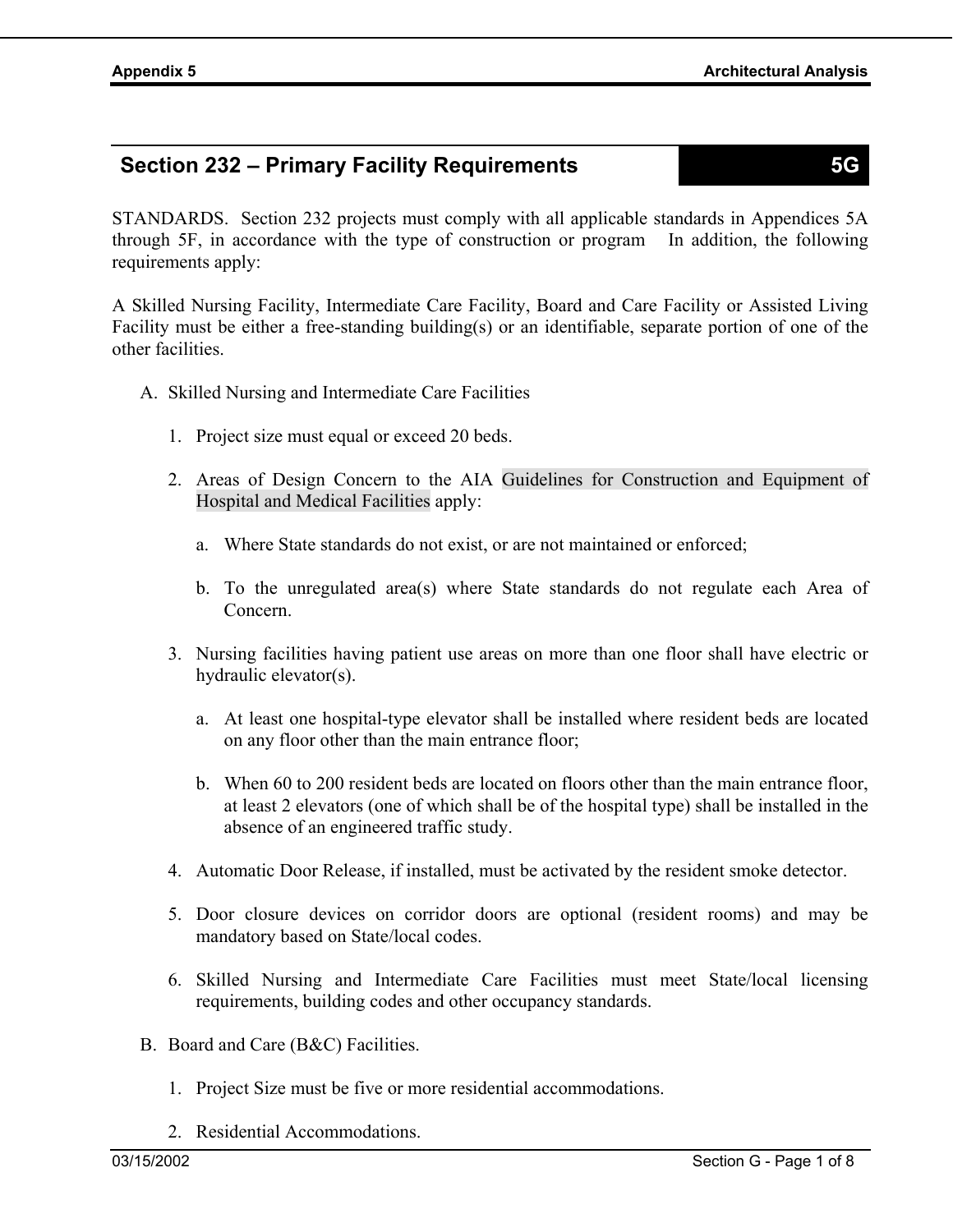# **Section 232 – Primary Facility Requirements 5G**

STANDARDS. Section 232 projects must comply with all applicable standards in Appendices 5A through 5F, in accordance with the type of construction or program In addition, the following requirements apply:

A Skilled Nursing Facility, Intermediate Care Facility, Board and Care Facility or Assisted Living Facility must be either a free-standing building(s) or an identifiable, separate portion of one of the other facilities.

- A. Skilled Nursing and Intermediate Care Facilities
	- 1. Project size must equal or exceed 20 beds.
	- 2. Areas of Design Concern to the AIA Guidelines for Construction and Equipment of Hospital and Medical Facilities apply:
		- a. Where State standards do not exist, or are not maintained or enforced;
		- b. To the unregulated area(s) where State standards do not regulate each Area of Concern.
	- 3. Nursing facilities having patient use areas on more than one floor shall have electric or hydraulic elevator(s).
		- a. At least one hospital-type elevator shall be installed where resident beds are located on any floor other than the main entrance floor;
		- b. When 60 to 200 resident beds are located on floors other than the main entrance floor, at least 2 elevators (one of which shall be of the hospital type) shall be installed in the absence of an engineered traffic study.
	- 4. Automatic Door Release, if installed, must be activated by the resident smoke detector.
	- 5. Door closure devices on corridor doors are optional (resident rooms) and may be mandatory based on State/local codes.
	- 6. Skilled Nursing and Intermediate Care Facilities must meet State/local licensing requirements, building codes and other occupancy standards.
- B. Board and Care (B&C) Facilities.
	- 1. Project Size must be five or more residential accommodations.
	- 2. Residential Accommodations.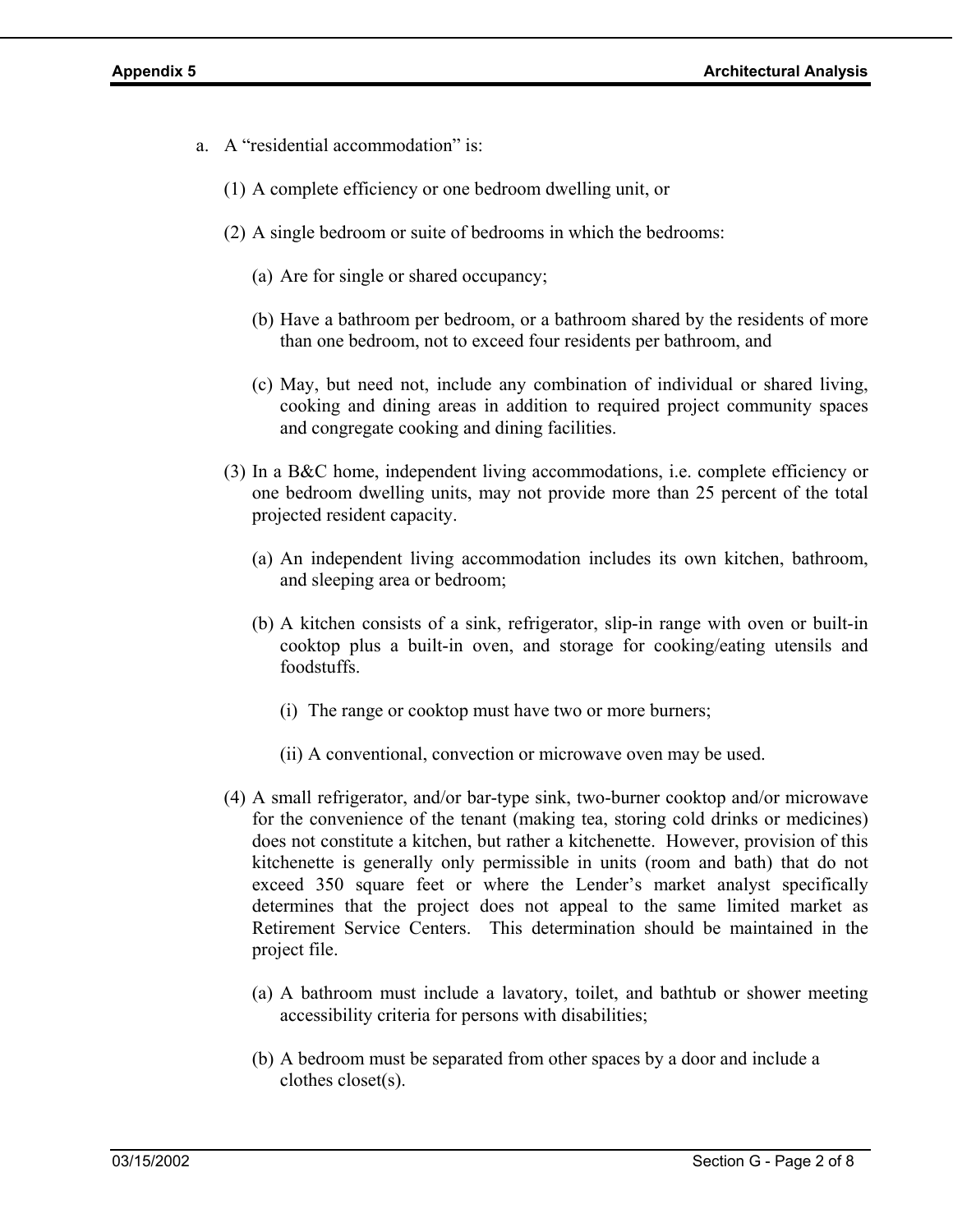- a. A "residential accommodation" is:
	- (1) A complete efficiency or one bedroom dwelling unit, or
	- (2) A single bedroom or suite of bedrooms in which the bedrooms:
		- (a) Are for single or shared occupancy;
		- (b) Have a bathroom per bedroom, or a bathroom shared by the residents of more than one bedroom, not to exceed four residents per bathroom, and
		- (c) May, but need not, include any combination of individual or shared living, cooking and dining areas in addition to required project community spaces and congregate cooking and dining facilities.
	- (3) In a B&C home, independent living accommodations, i.e. complete efficiency or one bedroom dwelling units, may not provide more than 25 percent of the total projected resident capacity.
		- (a) An independent living accommodation includes its own kitchen, bathroom, and sleeping area or bedroom;
		- (b) A kitchen consists of a sink, refrigerator, slip-in range with oven or built-in cooktop plus a built-in oven, and storage for cooking/eating utensils and foodstuffs.
			- (i) The range or cooktop must have two or more burners;
			- (ii) A conventional, convection or microwave oven may be used.
	- (4) A small refrigerator, and/or bar-type sink, two-burner cooktop and/or microwave for the convenience of the tenant (making tea, storing cold drinks or medicines) does not constitute a kitchen, but rather a kitchenette. However, provision of this kitchenette is generally only permissible in units (room and bath) that do not exceed 350 square feet or where the Lender's market analyst specifically determines that the project does not appeal to the same limited market as Retirement Service Centers. This determination should be maintained in the project file.
		- (a) A bathroom must include a lavatory, toilet, and bathtub or shower meeting accessibility criteria for persons with disabilities;
		- (b) A bedroom must be separated from other spaces by a door and include a clothes closet(s).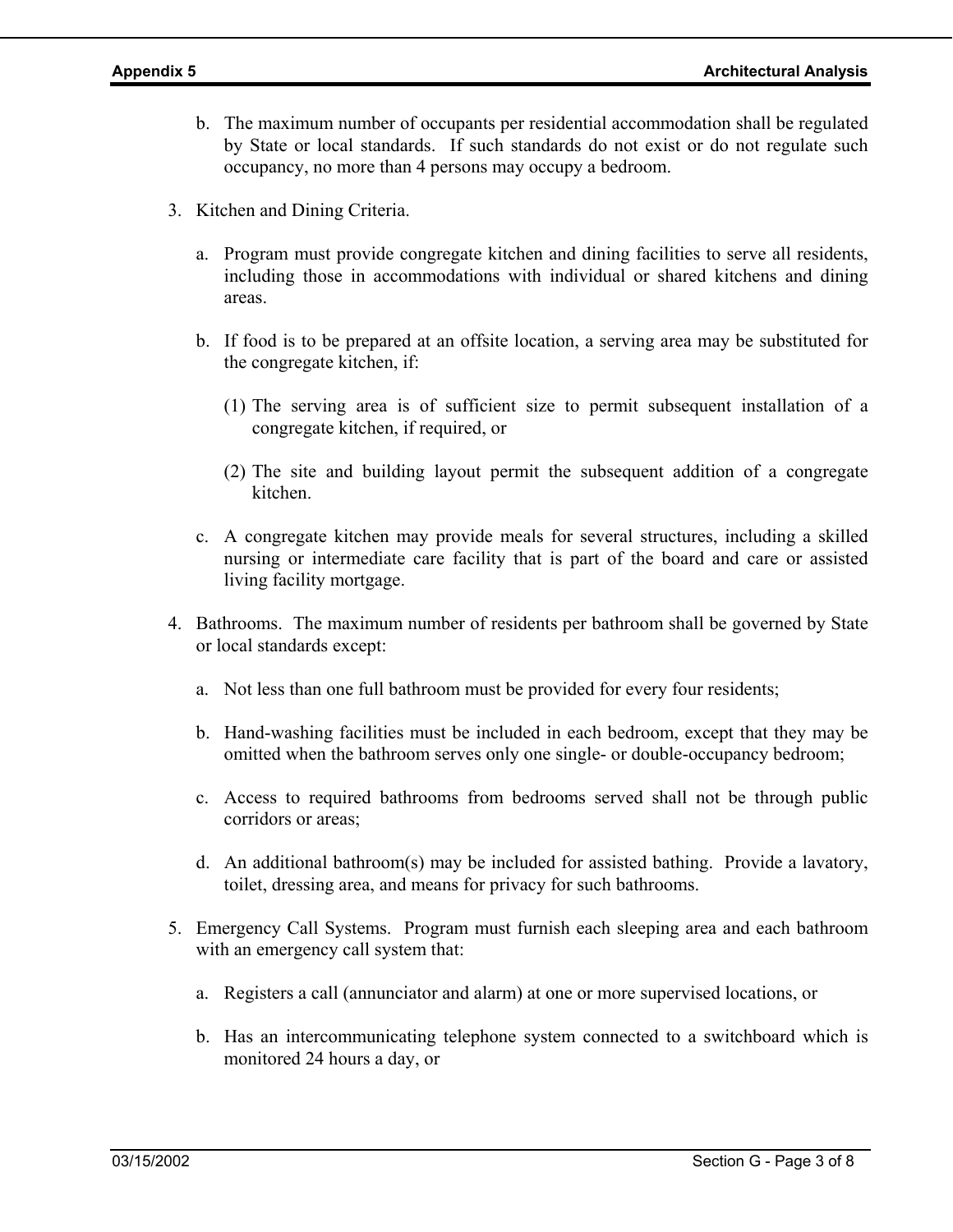- b. The maximum number of occupants per residential accommodation shall be regulated by State or local standards. If such standards do not exist or do not regulate such occupancy, no more than 4 persons may occupy a bedroom.
- 3. Kitchen and Dining Criteria.
	- a. Program must provide congregate kitchen and dining facilities to serve all residents, including those in accommodations with individual or shared kitchens and dining areas.
	- b. If food is to be prepared at an offsite location, a serving area may be substituted for the congregate kitchen, if:
		- (1) The serving area is of sufficient size to permit subsequent installation of a congregate kitchen, if required, or
		- (2) The site and building layout permit the subsequent addition of a congregate kitchen.
	- c. A congregate kitchen may provide meals for several structures, including a skilled nursing or intermediate care facility that is part of the board and care or assisted living facility mortgage.
- 4. Bathrooms. The maximum number of residents per bathroom shall be governed by State or local standards except:
	- a. Not less than one full bathroom must be provided for every four residents;
	- b. Hand-washing facilities must be included in each bedroom, except that they may be omitted when the bathroom serves only one single- or double-occupancy bedroom;
	- c. Access to required bathrooms from bedrooms served shall not be through public corridors or areas;
	- d. An additional bathroom(s) may be included for assisted bathing. Provide a lavatory, toilet, dressing area, and means for privacy for such bathrooms.
- 5. Emergency Call Systems. Program must furnish each sleeping area and each bathroom with an emergency call system that:
	- a. Registers a call (annunciator and alarm) at one or more supervised locations, or
	- b. Has an intercommunicating telephone system connected to a switchboard which is monitored 24 hours a day, or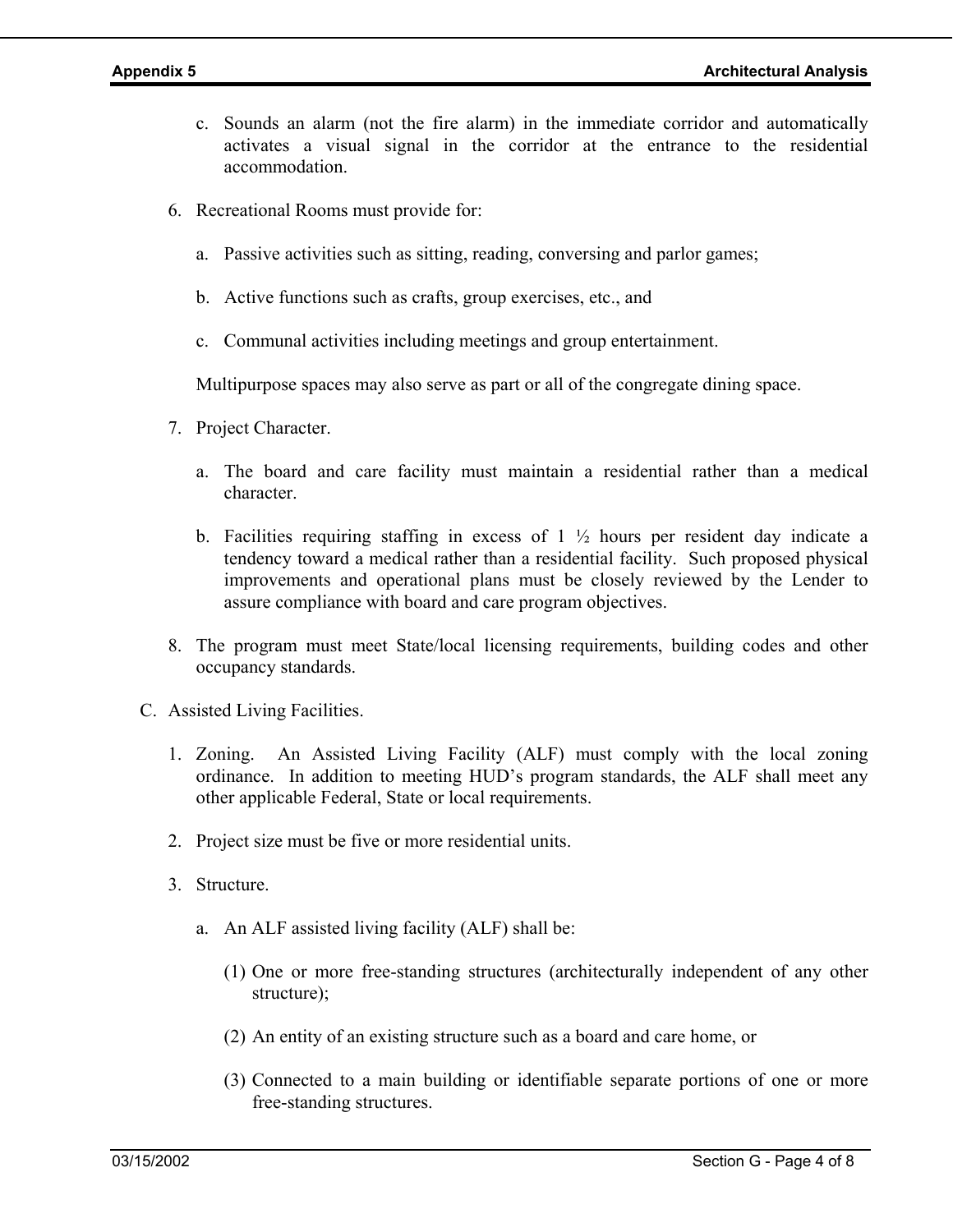- c. Sounds an alarm (not the fire alarm) in the immediate corridor and automatically activates a visual signal in the corridor at the entrance to the residential accommodation.
- 6. Recreational Rooms must provide for:
	- a. Passive activities such as sitting, reading, conversing and parlor games;
	- b. Active functions such as crafts, group exercises, etc., and
	- c. Communal activities including meetings and group entertainment.

Multipurpose spaces may also serve as part or all of the congregate dining space.

- 7. Project Character.
	- a. The board and care facility must maintain a residential rather than a medical character.
	- b. Facilities requiring staffing in excess of  $1\frac{1}{2}$  hours per resident day indicate a tendency toward a medical rather than a residential facility. Such proposed physical improvements and operational plans must be closely reviewed by the Lender to assure compliance with board and care program objectives.
- 8. The program must meet State/local licensing requirements, building codes and other occupancy standards.
- C. Assisted Living Facilities.
	- 1. Zoning. An Assisted Living Facility (ALF) must comply with the local zoning ordinance. In addition to meeting HUD's program standards, the ALF shall meet any other applicable Federal, State or local requirements.
	- 2. Project size must be five or more residential units.
	- 3. Structure.
		- a. An ALF assisted living facility (ALF) shall be:
			- (1) One or more free-standing structures (architecturally independent of any other structure);
			- (2) An entity of an existing structure such as a board and care home, or
			- (3) Connected to a main building or identifiable separate portions of one or more free-standing structures.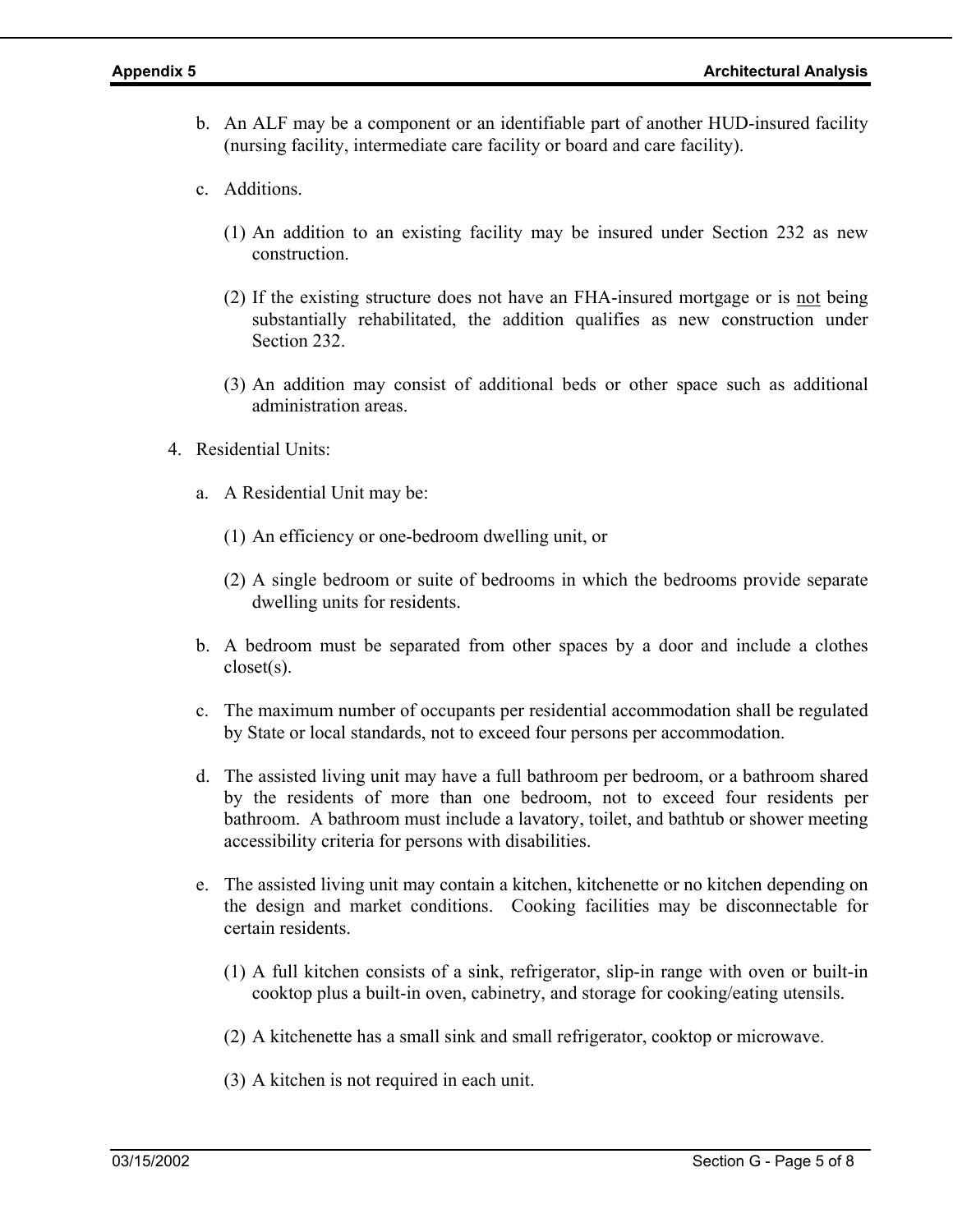- b. An ALF may be a component or an identifiable part of another HUD-insured facility (nursing facility, intermediate care facility or board and care facility).
- c. Additions.
	- (1) An addition to an existing facility may be insured under Section 232 as new construction.
	- (2) If the existing structure does not have an FHA-insured mortgage or is not being substantially rehabilitated, the addition qualifies as new construction under Section 232.
	- (3) An addition may consist of additional beds or other space such as additional administration areas.
- 4. Residential Units:
	- a. A Residential Unit may be:
		- (1) An efficiency or one-bedroom dwelling unit, or
		- (2) A single bedroom or suite of bedrooms in which the bedrooms provide separate dwelling units for residents.
	- b. A bedroom must be separated from other spaces by a door and include a clothes closet(s).
	- c. The maximum number of occupants per residential accommodation shall be regulated by State or local standards, not to exceed four persons per accommodation.
	- d. The assisted living unit may have a full bathroom per bedroom, or a bathroom shared by the residents of more than one bedroom, not to exceed four residents per bathroom. A bathroom must include a lavatory, toilet, and bathtub or shower meeting accessibility criteria for persons with disabilities.
	- e. The assisted living unit may contain a kitchen, kitchenette or no kitchen depending on the design and market conditions. Cooking facilities may be disconnectable for certain residents.
		- (1) A full kitchen consists of a sink, refrigerator, slip-in range with oven or built-in cooktop plus a built-in oven, cabinetry, and storage for cooking/eating utensils.
		- (2) A kitchenette has a small sink and small refrigerator, cooktop or microwave.
		- (3) A kitchen is not required in each unit.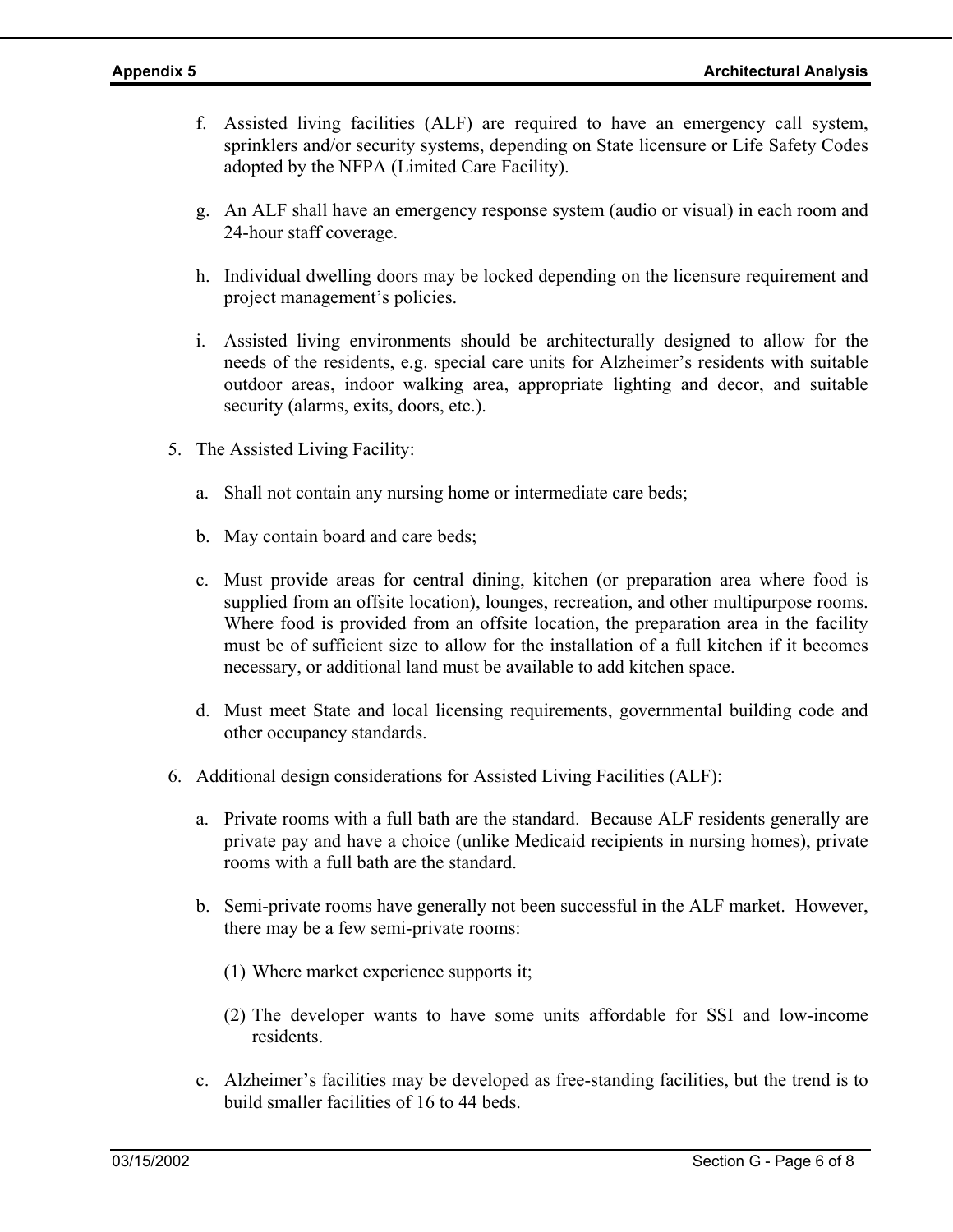- f. Assisted living facilities (ALF) are required to have an emergency call system, sprinklers and/or security systems, depending on State licensure or Life Safety Codes adopted by the NFPA (Limited Care Facility).
- g. An ALF shall have an emergency response system (audio or visual) in each room and 24-hour staff coverage.
- h. Individual dwelling doors may be locked depending on the licensure requirement and project management's policies.
- i. Assisted living environments should be architecturally designed to allow for the needs of the residents, e.g. special care units for Alzheimer's residents with suitable outdoor areas, indoor walking area, appropriate lighting and decor, and suitable security (alarms, exits, doors, etc.).
- 5. The Assisted Living Facility:
	- a. Shall not contain any nursing home or intermediate care beds;
	- b. May contain board and care beds;
	- c. Must provide areas for central dining, kitchen (or preparation area where food is supplied from an offsite location), lounges, recreation, and other multipurpose rooms. Where food is provided from an offsite location, the preparation area in the facility must be of sufficient size to allow for the installation of a full kitchen if it becomes necessary, or additional land must be available to add kitchen space.
	- d. Must meet State and local licensing requirements, governmental building code and other occupancy standards.
- 6. Additional design considerations for Assisted Living Facilities (ALF):
	- a. Private rooms with a full bath are the standard. Because ALF residents generally are private pay and have a choice (unlike Medicaid recipients in nursing homes), private rooms with a full bath are the standard.
	- b. Semi-private rooms have generally not been successful in the ALF market. However, there may be a few semi-private rooms:
		- (1) Where market experience supports it;
		- (2) The developer wants to have some units affordable for SSI and low-income residents.
	- c. Alzheimer's facilities may be developed as free-standing facilities, but the trend is to build smaller facilities of 16 to 44 beds.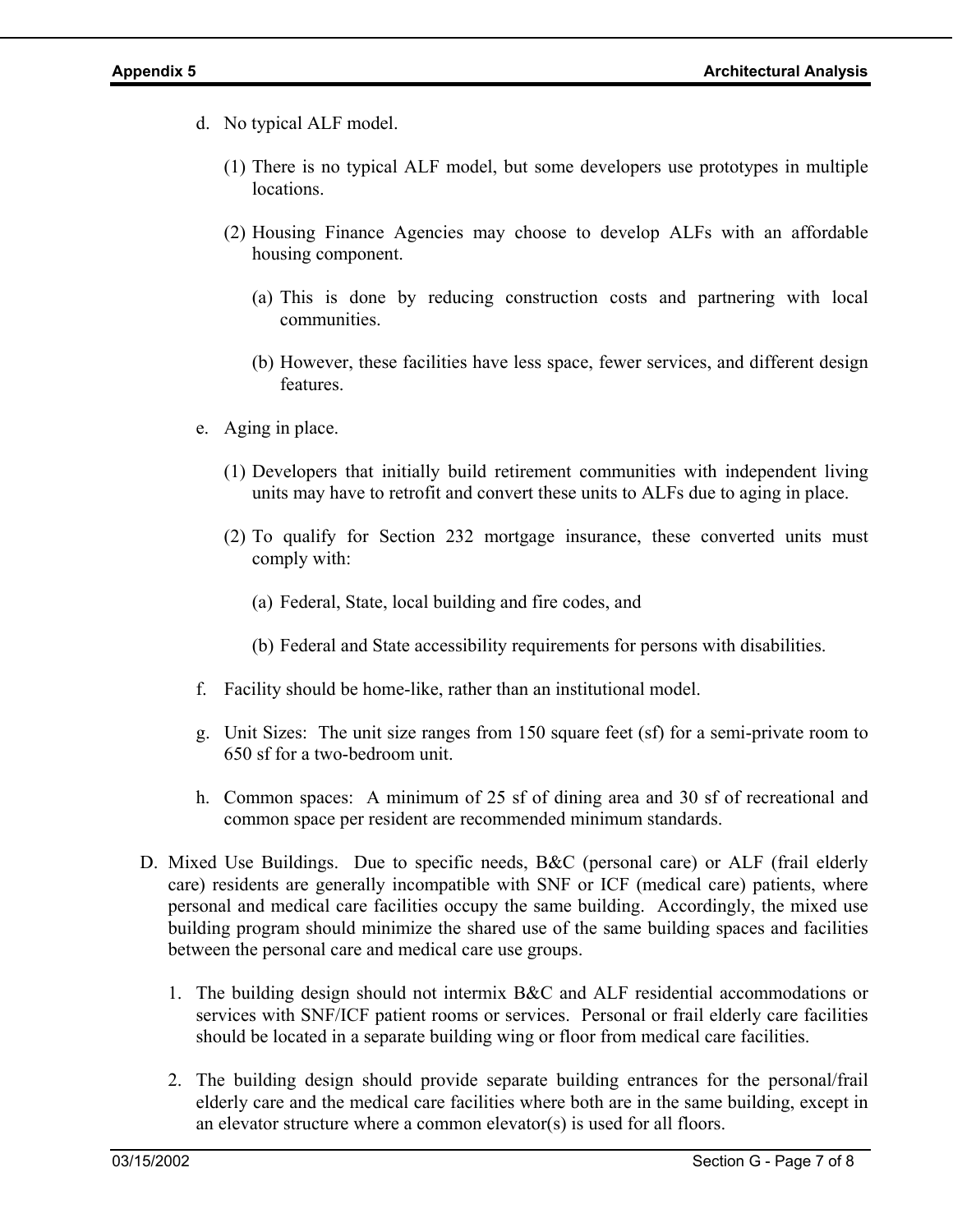- d. No typical ALF model.
	- (1) There is no typical ALF model, but some developers use prototypes in multiple locations.
	- (2) Housing Finance Agencies may choose to develop ALFs with an affordable housing component.
		- (a) This is done by reducing construction costs and partnering with local communities.
		- (b) However, these facilities have less space, fewer services, and different design features.
- e. Aging in place.
	- (1) Developers that initially build retirement communities with independent living units may have to retrofit and convert these units to ALFs due to aging in place.
	- (2) To qualify for Section 232 mortgage insurance, these converted units must comply with:
		- (a) Federal, State, local building and fire codes, and
		- (b) Federal and State accessibility requirements for persons with disabilities.
- f. Facility should be home-like, rather than an institutional model.
- g. Unit Sizes: The unit size ranges from 150 square feet (sf) for a semi-private room to 650 sf for a two-bedroom unit.
- h. Common spaces: A minimum of 25 sf of dining area and 30 sf of recreational and common space per resident are recommended minimum standards.
- D. Mixed Use Buildings. Due to specific needs, B&C (personal care) or ALF (frail elderly care) residents are generally incompatible with SNF or ICF (medical care) patients, where personal and medical care facilities occupy the same building. Accordingly, the mixed use building program should minimize the shared use of the same building spaces and facilities between the personal care and medical care use groups.
	- 1. The building design should not intermix B&C and ALF residential accommodations or services with SNF/ICF patient rooms or services. Personal or frail elderly care facilities should be located in a separate building wing or floor from medical care facilities.
	- 2. The building design should provide separate building entrances for the personal/frail elderly care and the medical care facilities where both are in the same building, except in an elevator structure where a common elevator(s) is used for all floors.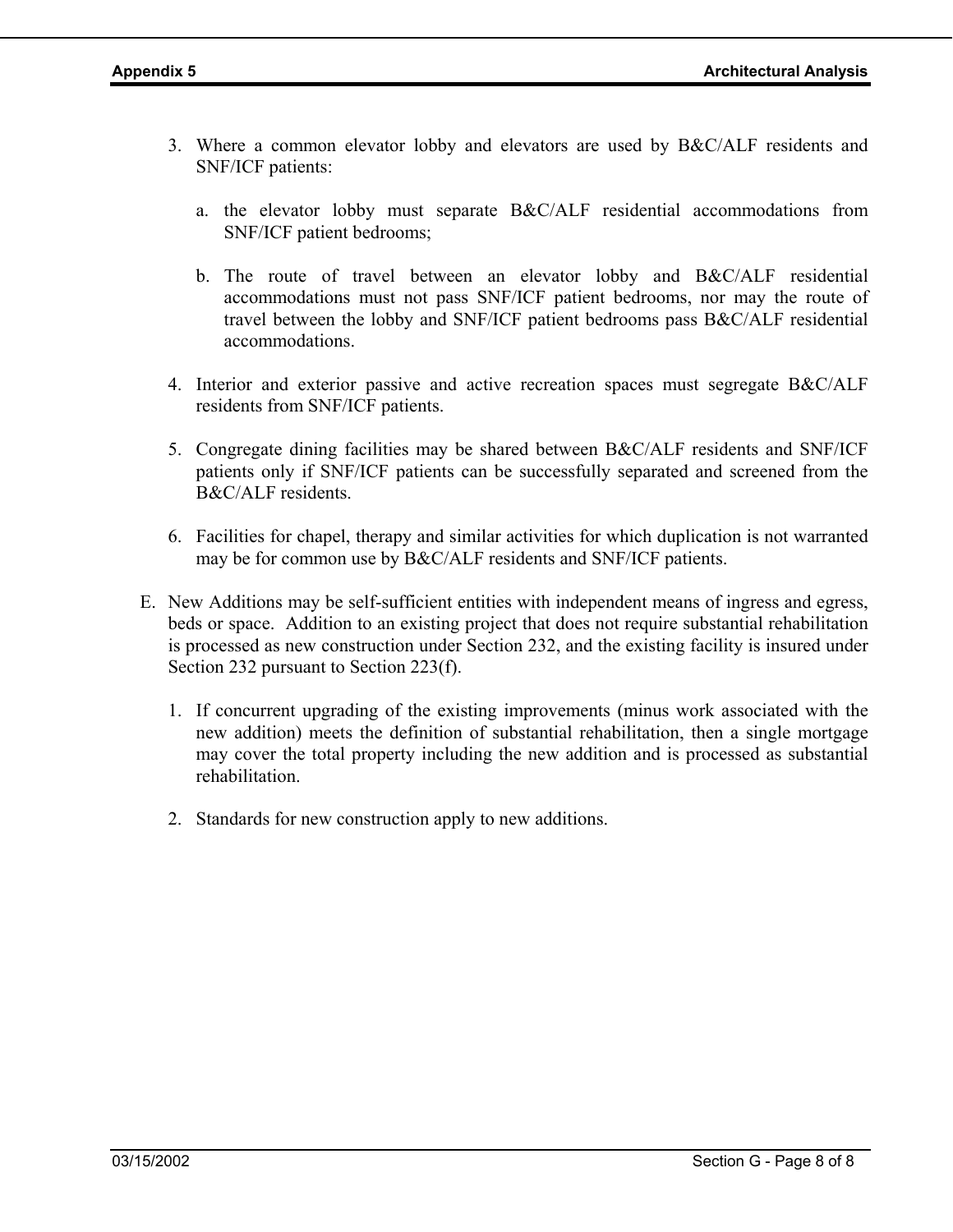- 3. Where a common elevator lobby and elevators are used by B&C/ALF residents and SNF/ICF patients:
	- a. the elevator lobby must separate B&C/ALF residential accommodations from SNF/ICF patient bedrooms;
	- b. The route of travel between an elevator lobby and B&C/ALF residential accommodations must not pass SNF/ICF patient bedrooms, nor may the route of travel between the lobby and SNF/ICF patient bedrooms pass B&C/ALF residential accommodations.
- 4. Interior and exterior passive and active recreation spaces must segregate B&C/ALF residents from SNF/ICF patients.
- 5. Congregate dining facilities may be shared between B&C/ALF residents and SNF/ICF patients only if SNF/ICF patients can be successfully separated and screened from the B&C/ALF residents.
- 6. Facilities for chapel, therapy and similar activities for which duplication is not warranted may be for common use by B&C/ALF residents and SNF/ICF patients.
- E. New Additions may be self-sufficient entities with independent means of ingress and egress, beds or space. Addition to an existing project that does not require substantial rehabilitation is processed as new construction under Section 232, and the existing facility is insured under Section 232 pursuant to Section 223(f).
	- 1. If concurrent upgrading of the existing improvements (minus work associated with the new addition) meets the definition of substantial rehabilitation, then a single mortgage may cover the total property including the new addition and is processed as substantial rehabilitation.
	- 2. Standards for new construction apply to new additions.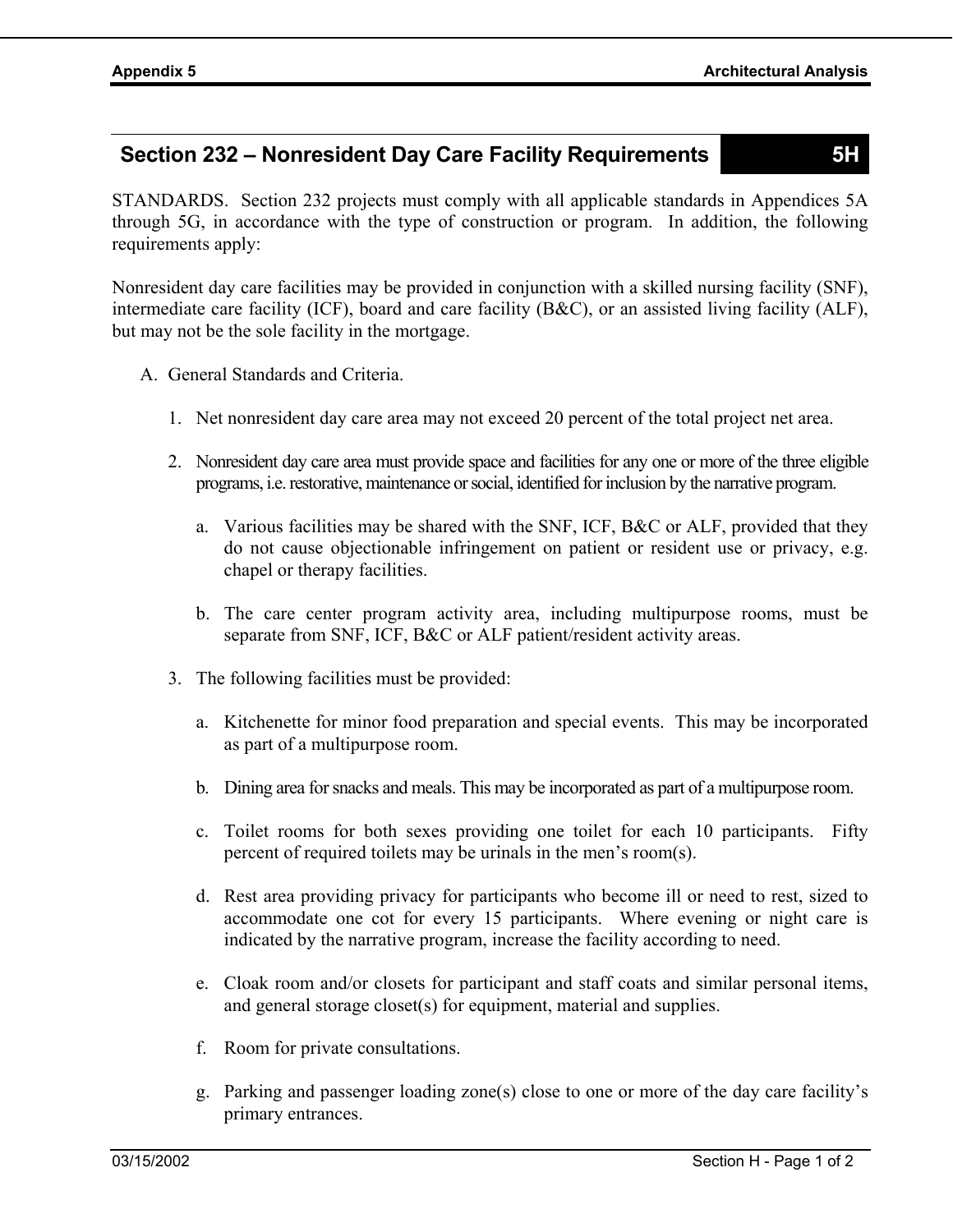# **Section 232 – Nonresident Day Care Facility Requirements 5H**

STANDARDS. Section 232 projects must comply with all applicable standards in Appendices 5A through 5G, in accordance with the type of construction or program. In addition, the following requirements apply:

Nonresident day care facilities may be provided in conjunction with a skilled nursing facility (SNF), intermediate care facility (ICF), board and care facility (B&C), or an assisted living facility (ALF), but may not be the sole facility in the mortgage.

- A. General Standards and Criteria.
	- 1. Net nonresident day care area may not exceed 20 percent of the total project net area.
	- 2. Nonresident day care area must provide space and facilities for any one or more of the three eligible programs, i.e. restorative, maintenance or social, identified for inclusion by the narrative program.
		- a. Various facilities may be shared with the SNF, ICF, B&C or ALF, provided that they do not cause objectionable infringement on patient or resident use or privacy, e.g. chapel or therapy facilities.
		- b. The care center program activity area, including multipurpose rooms, must be separate from SNF, ICF, B&C or ALF patient/resident activity areas.
	- 3. The following facilities must be provided:
		- a. Kitchenette for minor food preparation and special events. This may be incorporated as part of a multipurpose room.
		- b. Dining area for snacks and meals. This may be incorporated as part of a multipurpose room.
		- c. Toilet rooms for both sexes providing one toilet for each 10 participants. Fifty percent of required toilets may be urinals in the men's room(s).
		- d. Rest area providing privacy for participants who become ill or need to rest, sized to accommodate one cot for every 15 participants. Where evening or night care is indicated by the narrative program, increase the facility according to need.
		- e. Cloak room and/or closets for participant and staff coats and similar personal items, and general storage closet(s) for equipment, material and supplies.
		- f. Room for private consultations.
		- g. Parking and passenger loading zone(s) close to one or more of the day care facility's primary entrances.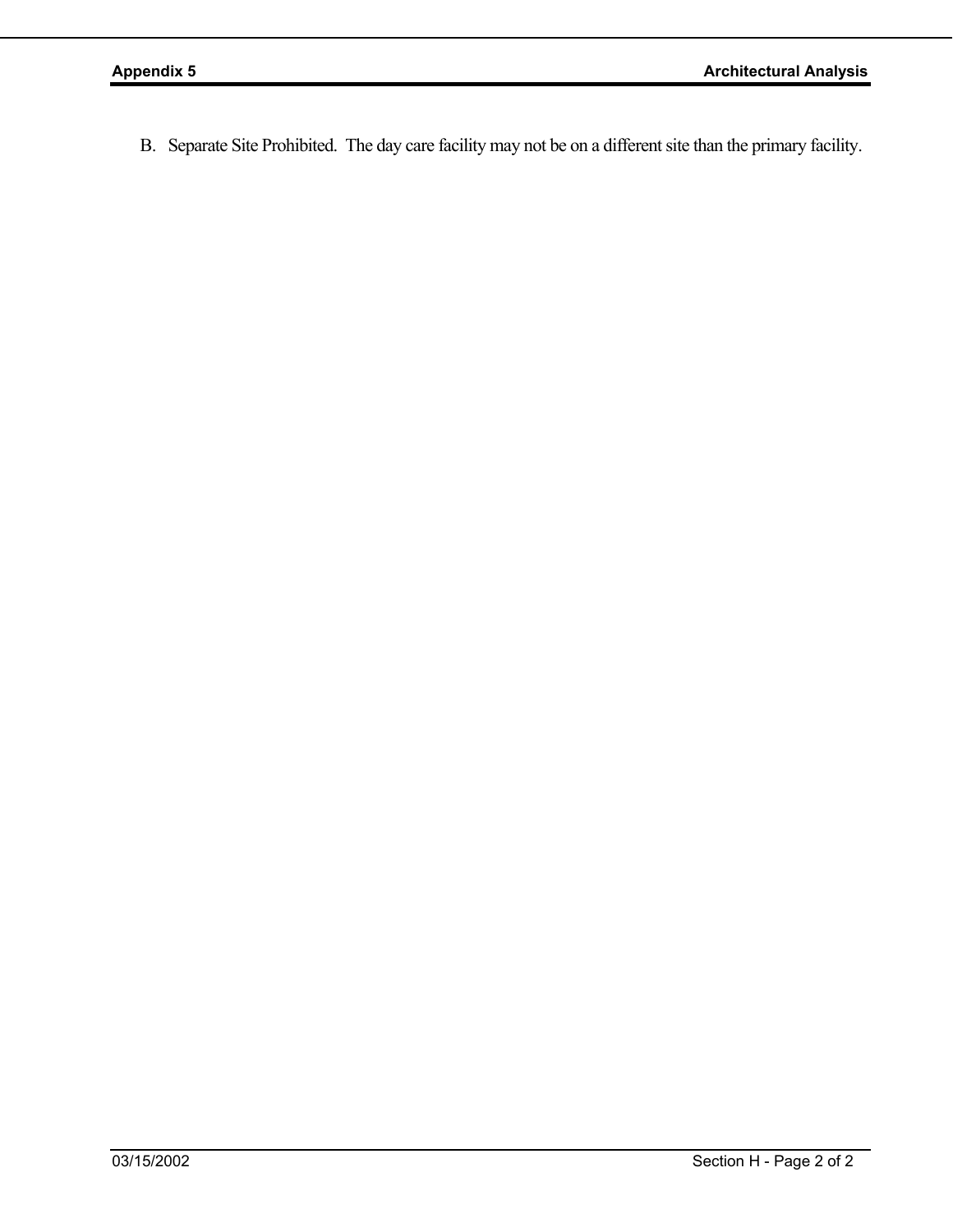B. Separate Site Prohibited. The day care facility may not be on a different site than the primary facility.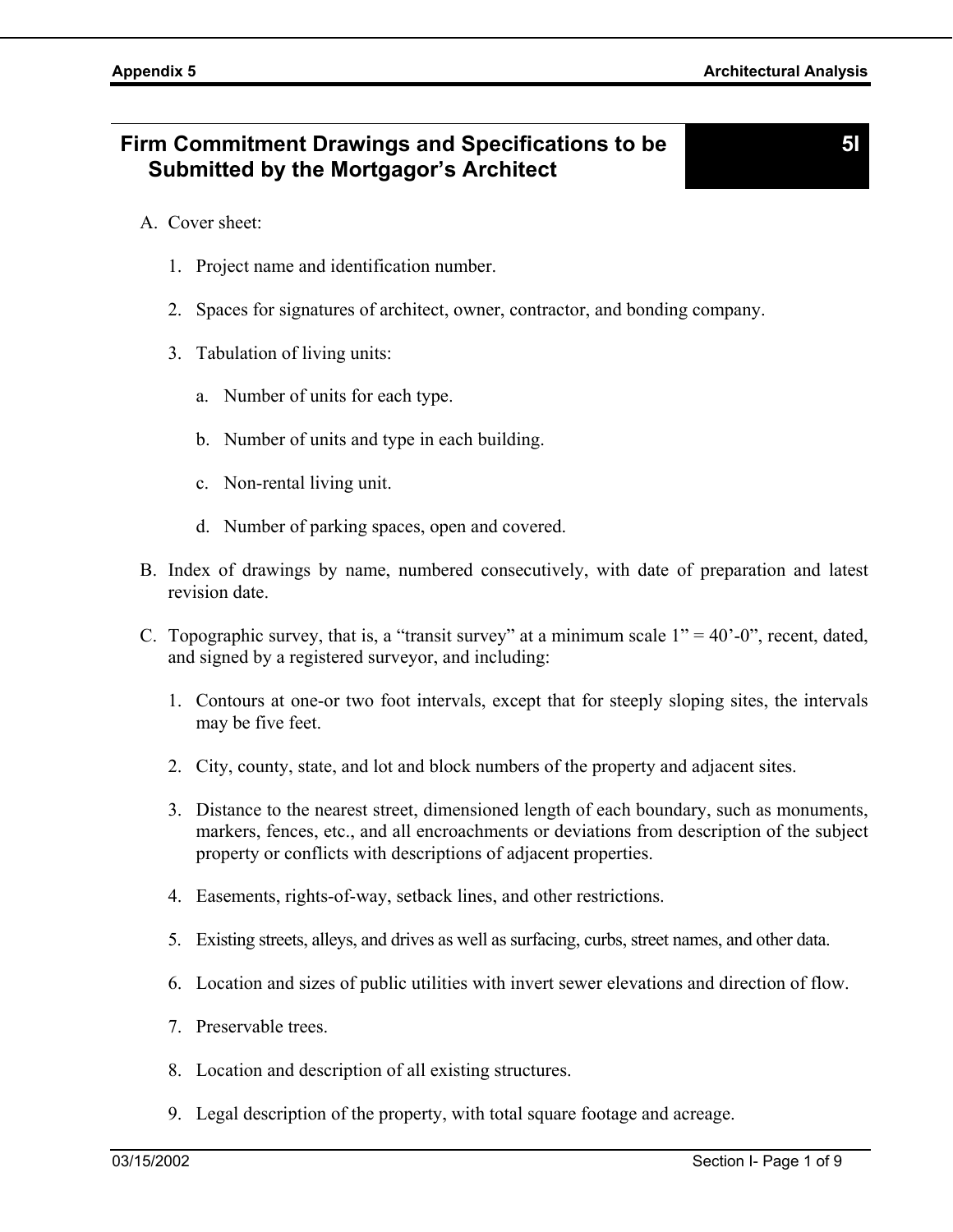**5I** 

- A. Cover sheet:
	- 1. Project name and identification number.
	- 2. Spaces for signatures of architect, owner, contractor, and bonding company.
	- 3. Tabulation of living units:
		- a. Number of units for each type.
		- b. Number of units and type in each building.
		- c. Non-rental living unit.
		- d. Number of parking spaces, open and covered.
- B. Index of drawings by name, numbered consecutively, with date of preparation and latest revision date.
- C. Topographic survey, that is, a "transit survey" at a minimum scale  $1" = 40"$ -0", recent, dated, and signed by a registered surveyor, and including:
	- 1. Contours at one-or two foot intervals, except that for steeply sloping sites, the intervals may be five feet.
	- 2. City, county, state, and lot and block numbers of the property and adjacent sites.
	- 3. Distance to the nearest street, dimensioned length of each boundary, such as monuments, markers, fences, etc., and all encroachments or deviations from description of the subject property or conflicts with descriptions of adjacent properties.
	- 4. Easements, rights-of-way, setback lines, and other restrictions.
	- 5. Existing streets, alleys, and drives as well as surfacing, curbs, street names, and other data.
	- 6. Location and sizes of public utilities with invert sewer elevations and direction of flow.
	- 7. Preservable trees.
	- 8. Location and description of all existing structures.
	- 9. Legal description of the property, with total square footage and acreage.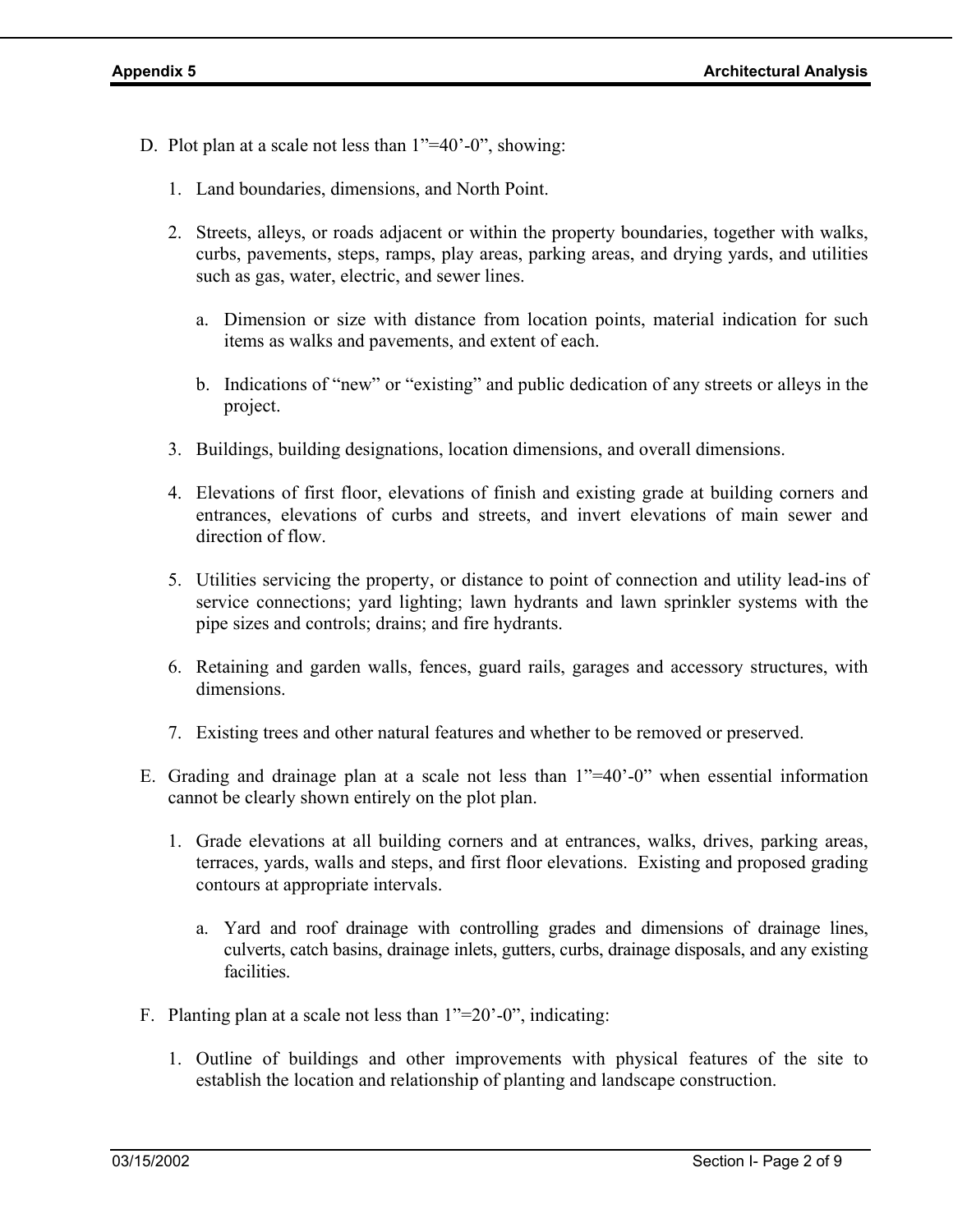- D. Plot plan at a scale not less than 1"=40'-0", showing:
	- 1. Land boundaries, dimensions, and North Point.
	- 2. Streets, alleys, or roads adjacent or within the property boundaries, together with walks, curbs, pavements, steps, ramps, play areas, parking areas, and drying yards, and utilities such as gas, water, electric, and sewer lines.
		- a. Dimension or size with distance from location points, material indication for such items as walks and pavements, and extent of each.
		- b. Indications of "new" or "existing" and public dedication of any streets or alleys in the project.
	- 3. Buildings, building designations, location dimensions, and overall dimensions.
	- 4. Elevations of first floor, elevations of finish and existing grade at building corners and entrances, elevations of curbs and streets, and invert elevations of main sewer and direction of flow.
	- 5. Utilities servicing the property, or distance to point of connection and utility lead-ins of service connections; yard lighting; lawn hydrants and lawn sprinkler systems with the pipe sizes and controls; drains; and fire hydrants.
	- 6. Retaining and garden walls, fences, guard rails, garages and accessory structures, with dimensions.
	- 7. Existing trees and other natural features and whether to be removed or preserved.
- E. Grading and drainage plan at a scale not less than 1"=40'-0" when essential information cannot be clearly shown entirely on the plot plan.
	- 1. Grade elevations at all building corners and at entrances, walks, drives, parking areas, terraces, yards, walls and steps, and first floor elevations. Existing and proposed grading contours at appropriate intervals.
		- a. Yard and roof drainage with controlling grades and dimensions of drainage lines, culverts, catch basins, drainage inlets, gutters, curbs, drainage disposals, and any existing facilities.
- F. Planting plan at a scale not less than 1"=20'-0", indicating:
	- 1. Outline of buildings and other improvements with physical features of the site to establish the location and relationship of planting and landscape construction.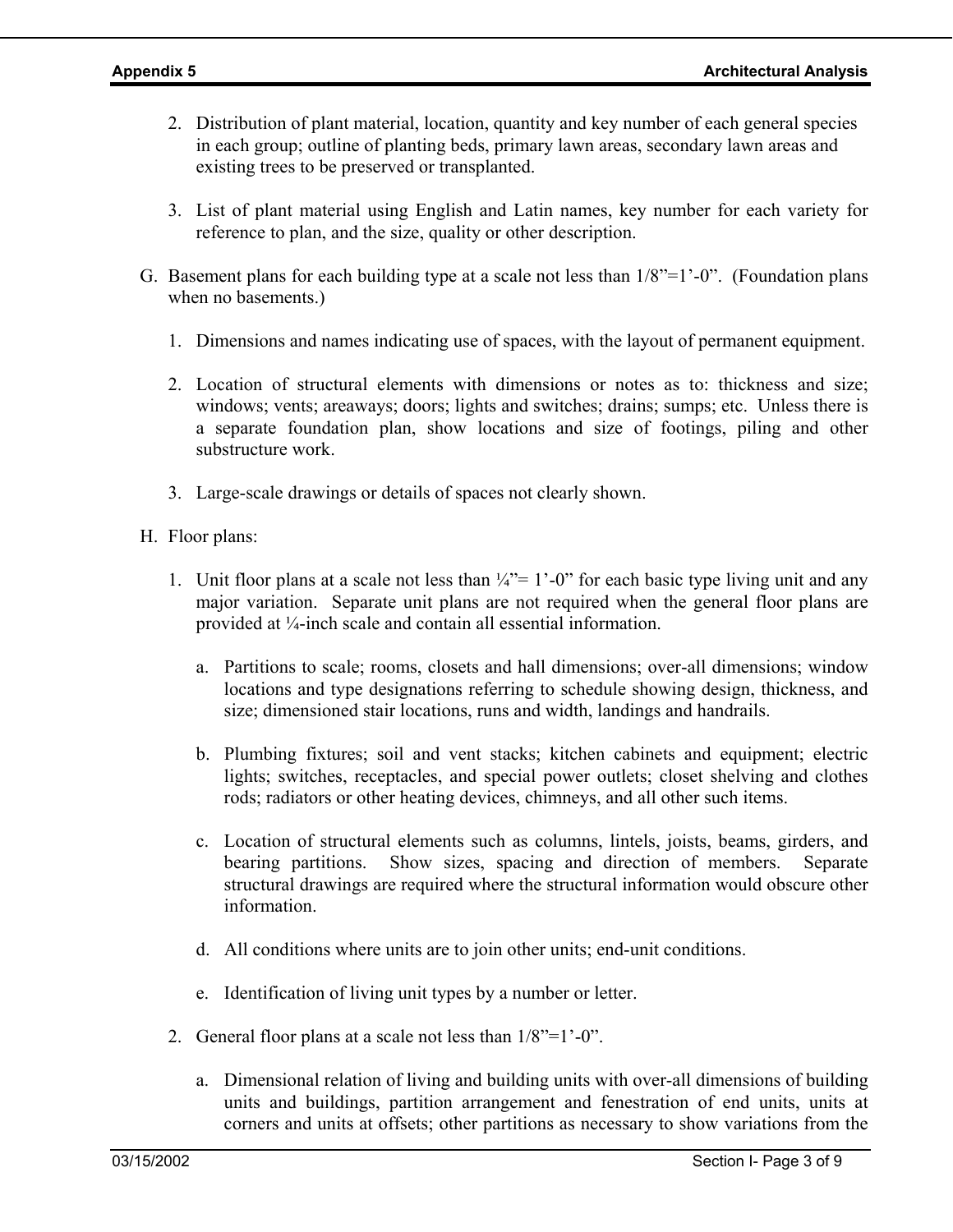- 2. Distribution of plant material, location, quantity and key number of each general species in each group; outline of planting beds, primary lawn areas, secondary lawn areas and existing trees to be preserved or transplanted.
- 3. List of plant material using English and Latin names, key number for each variety for reference to plan, and the size, quality or other description.
- G. Basement plans for each building type at a scale not less than  $1/8$ "=1'-0". (Foundation plans when no basements.)
	- 1. Dimensions and names indicating use of spaces, with the layout of permanent equipment.
	- 2. Location of structural elements with dimensions or notes as to: thickness and size; windows; vents; areaways; doors; lights and switches; drains; sumps; etc. Unless there is a separate foundation plan, show locations and size of footings, piling and other substructure work.
	- 3. Large-scale drawings or details of spaces not clearly shown.
- H. Floor plans:
	- 1. Unit floor plans at a scale not less than  $\frac{1}{4}$ " = 1'-0" for each basic type living unit and any major variation. Separate unit plans are not required when the general floor plans are provided at ¼-inch scale and contain all essential information.
		- a. Partitions to scale; rooms, closets and hall dimensions; over-all dimensions; window locations and type designations referring to schedule showing design, thickness, and size; dimensioned stair locations, runs and width, landings and handrails.
		- b. Plumbing fixtures; soil and vent stacks; kitchen cabinets and equipment; electric lights; switches, receptacles, and special power outlets; closet shelving and clothes rods; radiators or other heating devices, chimneys, and all other such items.
		- c. Location of structural elements such as columns, lintels, joists, beams, girders, and bearing partitions. Show sizes, spacing and direction of members. Separate structural drawings are required where the structural information would obscure other information.
		- d. All conditions where units are to join other units; end-unit conditions.
		- e. Identification of living unit types by a number or letter.
	- 2. General floor plans at a scale not less than 1/8"=1'-0".
		- a. Dimensional relation of living and building units with over-all dimensions of building units and buildings, partition arrangement and fenestration of end units, units at corners and units at offsets; other partitions as necessary to show variations from the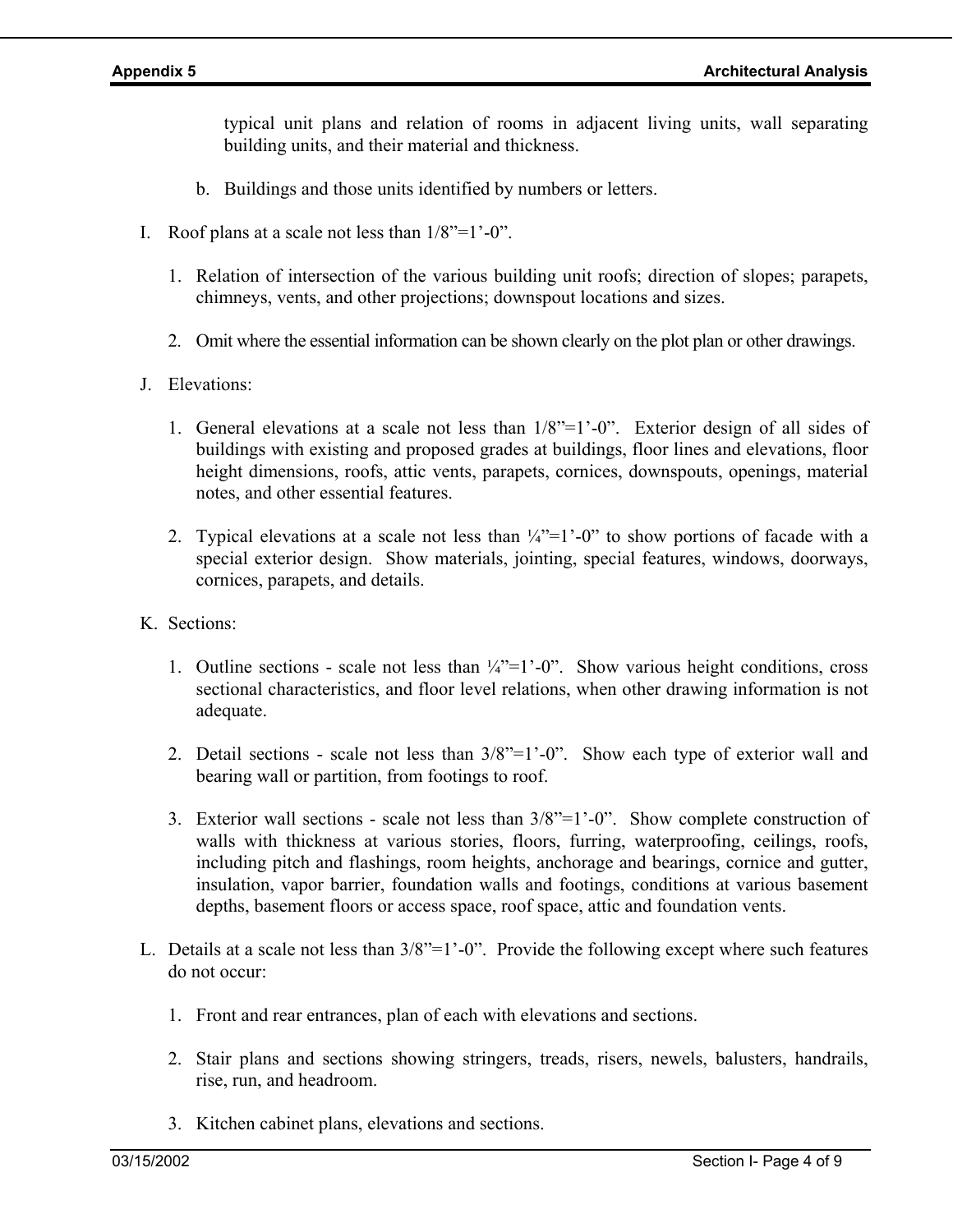typical unit plans and relation of rooms in adjacent living units, wall separating building units, and their material and thickness.

- b. Buildings and those units identified by numbers or letters.
- I. Roof plans at a scale not less than  $1/8$ "= $1$ "-0".
	- 1. Relation of intersection of the various building unit roofs; direction of slopes; parapets, chimneys, vents, and other projections; downspout locations and sizes.
	- 2. Omit where the essential information can be shown clearly on the plot plan or other drawings.
- J. Elevations:
	- 1. General elevations at a scale not less than 1/8"=1'-0". Exterior design of all sides of buildings with existing and proposed grades at buildings, floor lines and elevations, floor height dimensions, roofs, attic vents, parapets, cornices, downspouts, openings, material notes, and other essential features.
	- 2. Typical elevations at a scale not less than  $\frac{1}{4}$ "=1'-0" to show portions of facade with a special exterior design. Show materials, jointing, special features, windows, doorways, cornices, parapets, and details.
- K. Sections:
	- 1. Outline sections scale not less than  $\frac{1}{4}$ "=1'-0". Show various height conditions, cross sectional characteristics, and floor level relations, when other drawing information is not adequate.
	- 2. Detail sections scale not less than 3/8"=1'-0". Show each type of exterior wall and bearing wall or partition, from footings to roof.
	- 3. Exterior wall sections scale not less than 3/8"=1'-0". Show complete construction of walls with thickness at various stories, floors, furring, waterproofing, ceilings, roofs, including pitch and flashings, room heights, anchorage and bearings, cornice and gutter, insulation, vapor barrier, foundation walls and footings, conditions at various basement depths, basement floors or access space, roof space, attic and foundation vents.
- L. Details at a scale not less than  $3/8$ "=1'-0". Provide the following except where such features do not occur:
	- 1. Front and rear entrances, plan of each with elevations and sections.
	- 2. Stair plans and sections showing stringers, treads, risers, newels, balusters, handrails, rise, run, and headroom.
	- 3. Kitchen cabinet plans, elevations and sections.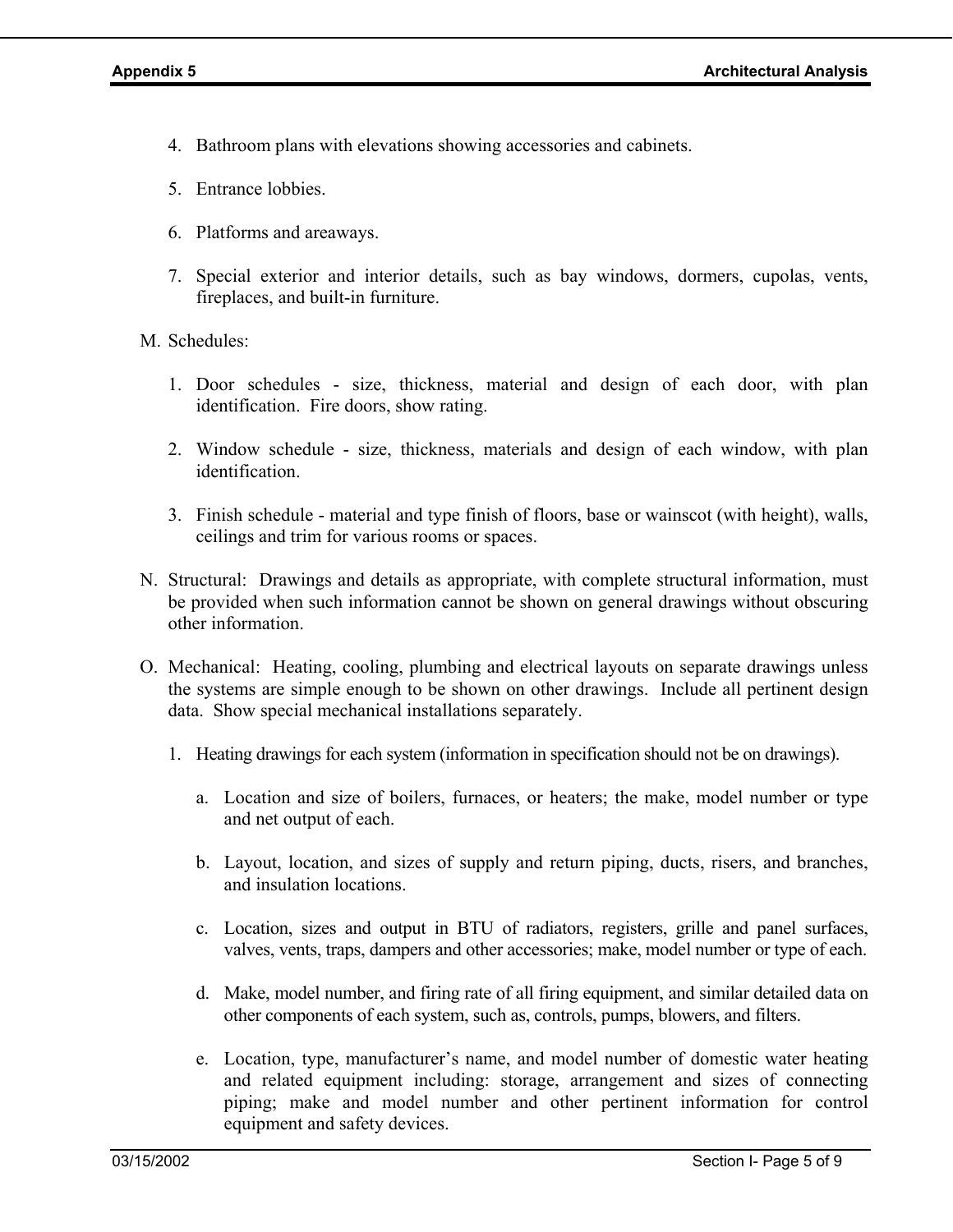- 4. Bathroom plans with elevations showing accessories and cabinets.
- 5. Entrance lobbies.
- 6. Platforms and areaways.
- 7. Special exterior and interior details, such as bay windows, dormers, cupolas, vents, fireplaces, and built-in furniture.
- M. Schedules:
	- 1. Door schedules size, thickness, material and design of each door, with plan identification. Fire doors, show rating.
	- 2. Window schedule size, thickness, materials and design of each window, with plan identification.
	- 3. Finish schedule material and type finish of floors, base or wainscot (with height), walls, ceilings and trim for various rooms or spaces.
- N. Structural: Drawings and details as appropriate, with complete structural information, must be provided when such information cannot be shown on general drawings without obscuring other information.
- O. Mechanical: Heating, cooling, plumbing and electrical layouts on separate drawings unless the systems are simple enough to be shown on other drawings. Include all pertinent design data. Show special mechanical installations separately.
	- 1. Heating drawings for each system (information in specification should not be on drawings).
		- a. Location and size of boilers, furnaces, or heaters; the make, model number or type and net output of each.
		- b. Layout, location, and sizes of supply and return piping, ducts, risers, and branches, and insulation locations.
		- c. Location, sizes and output in BTU of radiators, registers, grille and panel surfaces, valves, vents, traps, dampers and other accessories; make, model number or type of each.
		- d. Make, model number, and firing rate of all firing equipment, and similar detailed data on other components of each system, such as, controls, pumps, blowers, and filters.
		- e. Location, type, manufacturer's name, and model number of domestic water heating and related equipment including: storage, arrangement and sizes of connecting piping; make and model number and other pertinent information for control equipment and safety devices.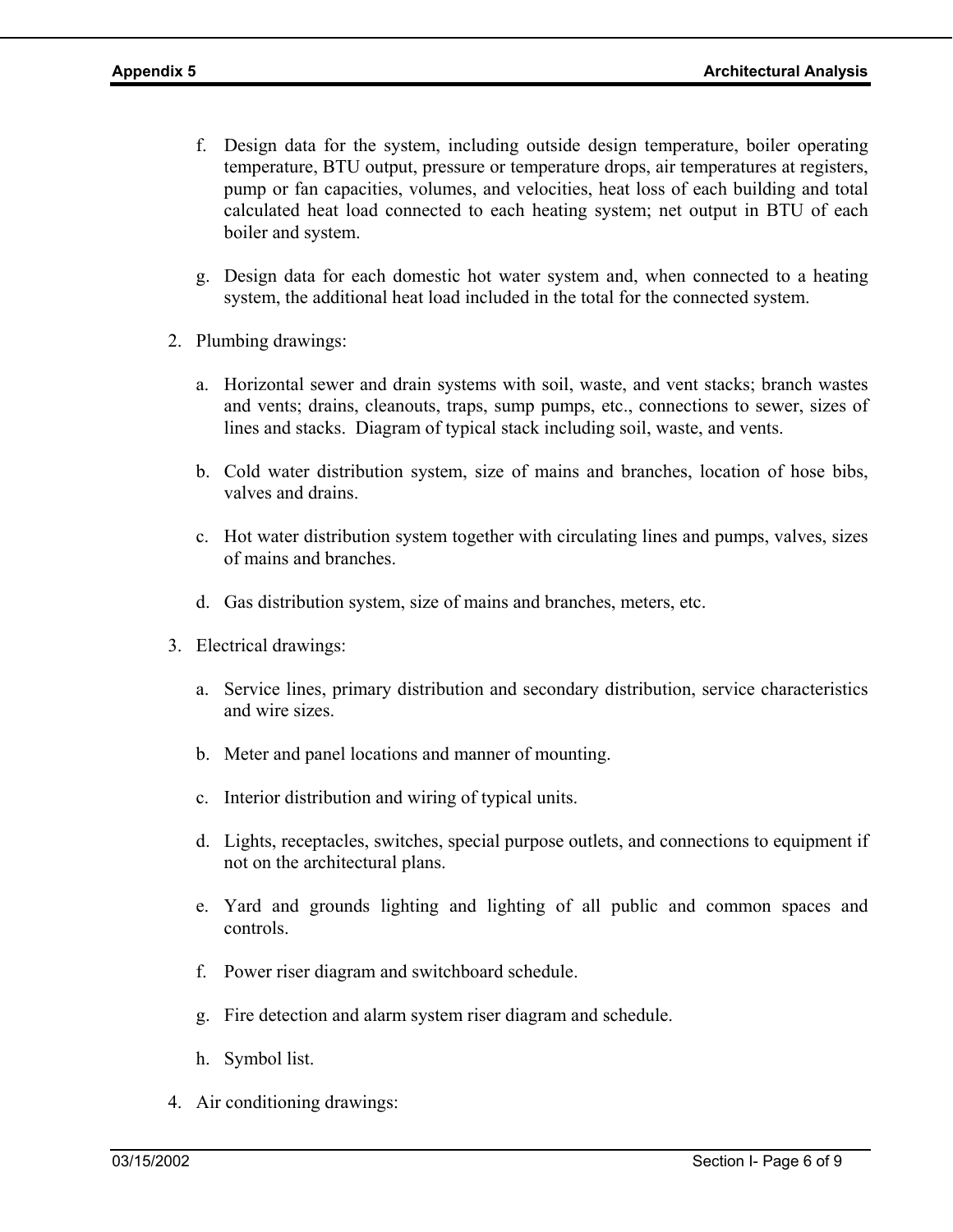- f. Design data for the system, including outside design temperature, boiler operating temperature, BTU output, pressure or temperature drops, air temperatures at registers, pump or fan capacities, volumes, and velocities, heat loss of each building and total calculated heat load connected to each heating system; net output in BTU of each boiler and system.
- g. Design data for each domestic hot water system and, when connected to a heating system, the additional heat load included in the total for the connected system.
- 2. Plumbing drawings:
	- a. Horizontal sewer and drain systems with soil, waste, and vent stacks; branch wastes and vents; drains, cleanouts, traps, sump pumps, etc., connections to sewer, sizes of lines and stacks. Diagram of typical stack including soil, waste, and vents.
	- b. Cold water distribution system, size of mains and branches, location of hose bibs, valves and drains.
	- c. Hot water distribution system together with circulating lines and pumps, valves, sizes of mains and branches.
	- d. Gas distribution system, size of mains and branches, meters, etc.
- 3. Electrical drawings:
	- a. Service lines, primary distribution and secondary distribution, service characteristics and wire sizes.
	- b. Meter and panel locations and manner of mounting.
	- c. Interior distribution and wiring of typical units.
	- d. Lights, receptacles, switches, special purpose outlets, and connections to equipment if not on the architectural plans.
	- e. Yard and grounds lighting and lighting of all public and common spaces and controls.
	- f. Power riser diagram and switchboard schedule.
	- g. Fire detection and alarm system riser diagram and schedule.
	- h. Symbol list.
- 4. Air conditioning drawings: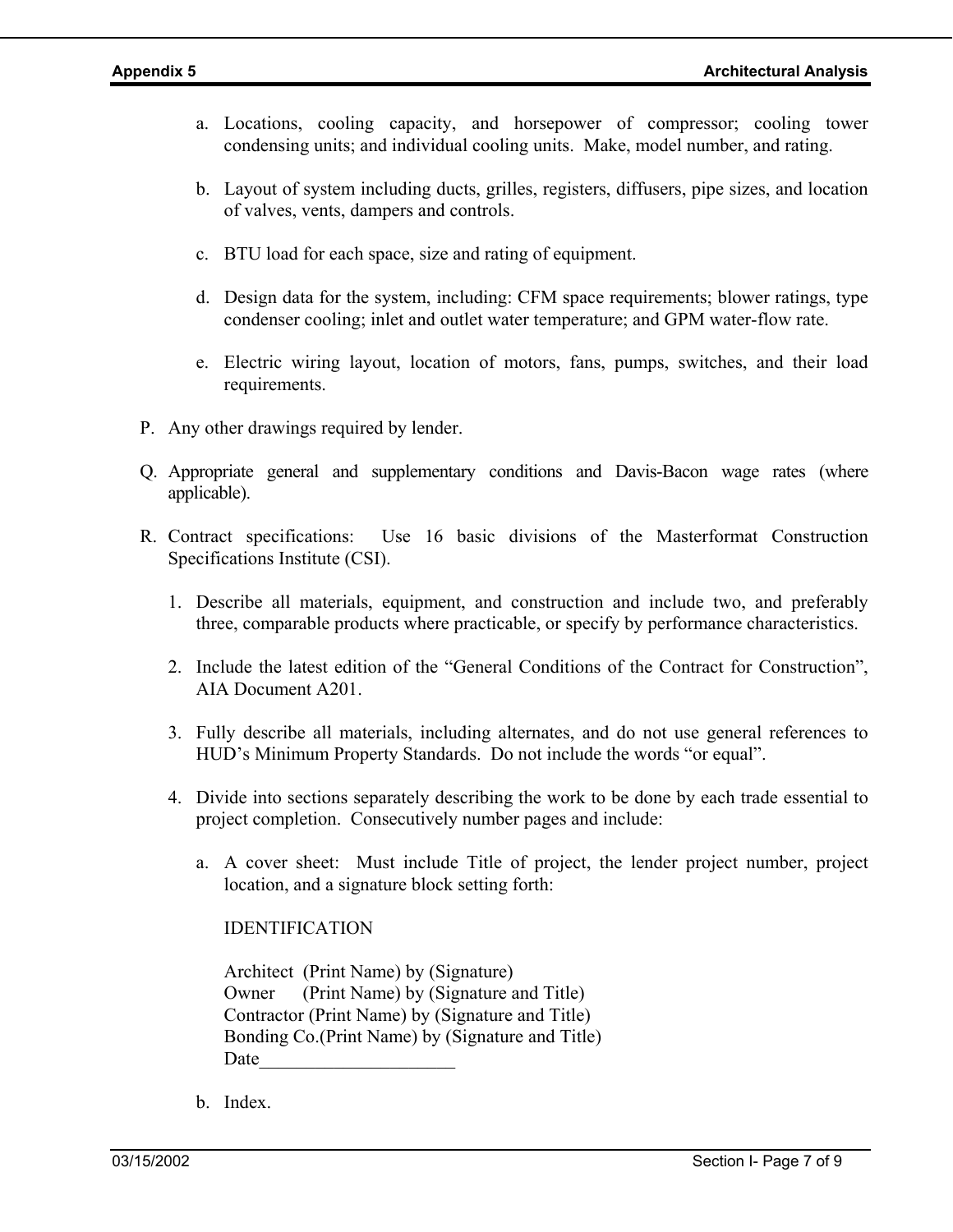- a. Locations, cooling capacity, and horsepower of compressor; cooling tower condensing units; and individual cooling units. Make, model number, and rating.
- b. Layout of system including ducts, grilles, registers, diffusers, pipe sizes, and location of valves, vents, dampers and controls.
- c. BTU load for each space, size and rating of equipment.
- d. Design data for the system, including: CFM space requirements; blower ratings, type condenser cooling; inlet and outlet water temperature; and GPM water-flow rate.
- e. Electric wiring layout, location of motors, fans, pumps, switches, and their load requirements.
- P. Any other drawings required by lender.
- Q. Appropriate general and supplementary conditions and Davis-Bacon wage rates (where applicable).
- R. Contract specifications: Use 16 basic divisions of the Masterformat Construction Specifications Institute (CSI).
	- 1. Describe all materials, equipment, and construction and include two, and preferably three, comparable products where practicable, or specify by performance characteristics.
	- 2. Include the latest edition of the "General Conditions of the Contract for Construction", AIA Document A201.
	- 3. Fully describe all materials, including alternates, and do not use general references to HUD's Minimum Property Standards. Do not include the words "or equal".
	- 4. Divide into sections separately describing the work to be done by each trade essential to project completion. Consecutively number pages and include:
		- a. A cover sheet: Must include Title of project, the lender project number, project location, and a signature block setting forth:

IDENTIFICATION

Architect (Print Name) by (Signature) Owner (Print Name) by (Signature and Title) Contractor (Print Name) by (Signature and Title) Bonding Co.(Print Name) by (Signature and Title) Date

b. Index.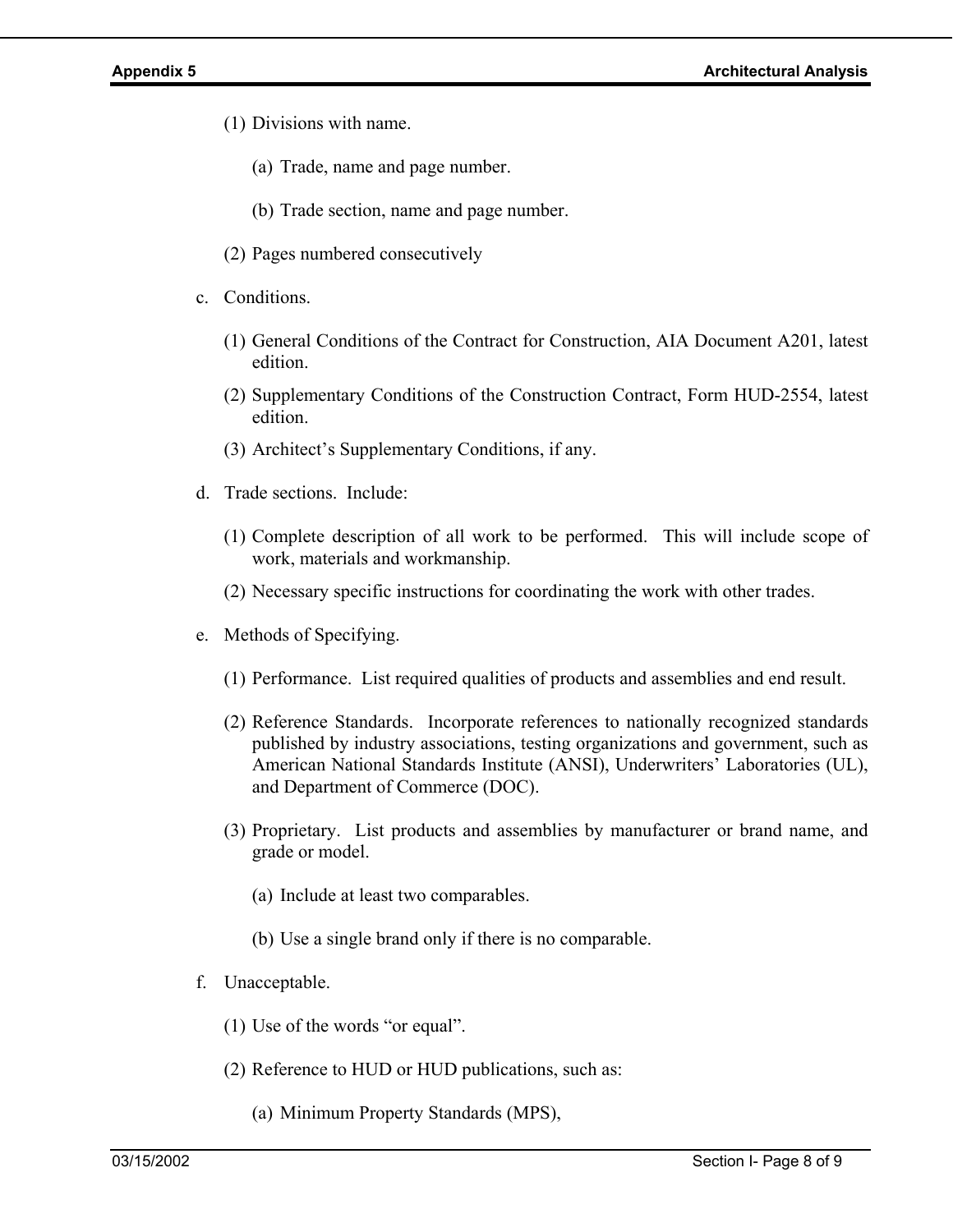- (1) Divisions with name.
	- (a) Trade, name and page number.
	- (b) Trade section, name and page number.
- (2) Pages numbered consecutively
- c. Conditions.
	- (1) General Conditions of the Contract for Construction, AIA Document A201, latest edition.
	- (2) Supplementary Conditions of the Construction Contract, Form HUD-2554, latest edition.
	- (3) Architect's Supplementary Conditions, if any.
- d. Trade sections. Include:
	- (1) Complete description of all work to be performed. This will include scope of work, materials and workmanship.
	- (2) Necessary specific instructions for coordinating the work with other trades.
- e. Methods of Specifying.
	- (1) Performance. List required qualities of products and assemblies and end result.
	- (2) Reference Standards. Incorporate references to nationally recognized standards published by industry associations, testing organizations and government, such as American National Standards Institute (ANSI), Underwriters' Laboratories (UL), and Department of Commerce (DOC).
	- (3) Proprietary. List products and assemblies by manufacturer or brand name, and grade or model.
		- (a) Include at least two comparables.
		- (b) Use a single brand only if there is no comparable.
- f. Unacceptable.
	- (1) Use of the words "or equal".
	- (2) Reference to HUD or HUD publications, such as:
		- (a) Minimum Property Standards (MPS),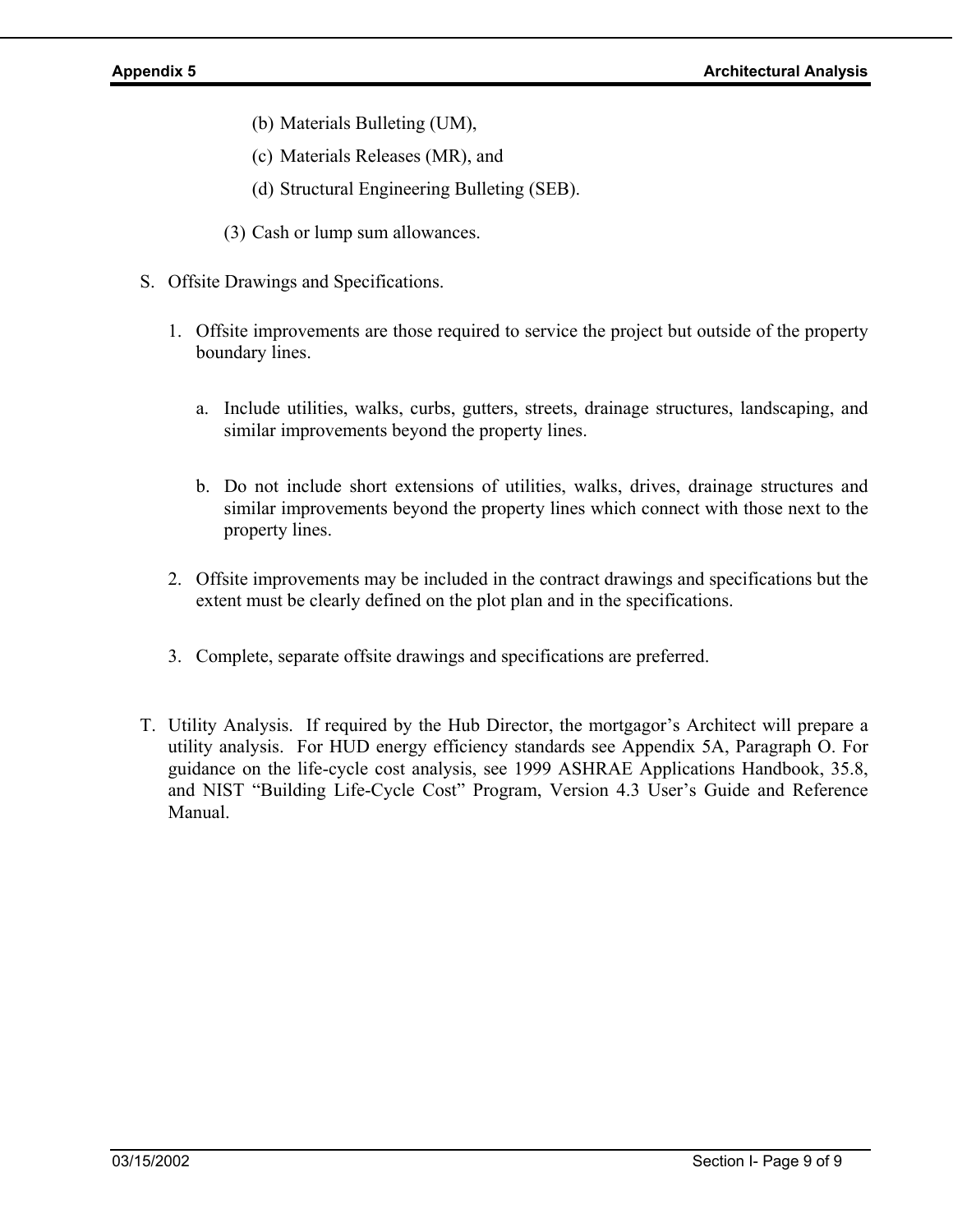- (b) Materials Bulleting (UM),
- (c) Materials Releases (MR), and
- (d) Structural Engineering Bulleting (SEB).
- (3) Cash or lump sum allowances.
- S. Offsite Drawings and Specifications.
	- 1. Offsite improvements are those required to service the project but outside of the property boundary lines.
		- a. Include utilities, walks, curbs, gutters, streets, drainage structures, landscaping, and similar improvements beyond the property lines.
		- b. Do not include short extensions of utilities, walks, drives, drainage structures and similar improvements beyond the property lines which connect with those next to the property lines.
	- 2. Offsite improvements may be included in the contract drawings and specifications but the extent must be clearly defined on the plot plan and in the specifications.
	- 3. Complete, separate offsite drawings and specifications are preferred.
- T. Utility Analysis. If required by the Hub Director, the mortgagor's Architect will prepare a utility analysis. For HUD energy efficiency standards see Appendix 5A, Paragraph O. For guidance on the life-cycle cost analysis, see 1999 ASHRAE Applications Handbook, 35.8, and NIST "Building Life-Cycle Cost" Program, Version 4.3 User's Guide and Reference Manual.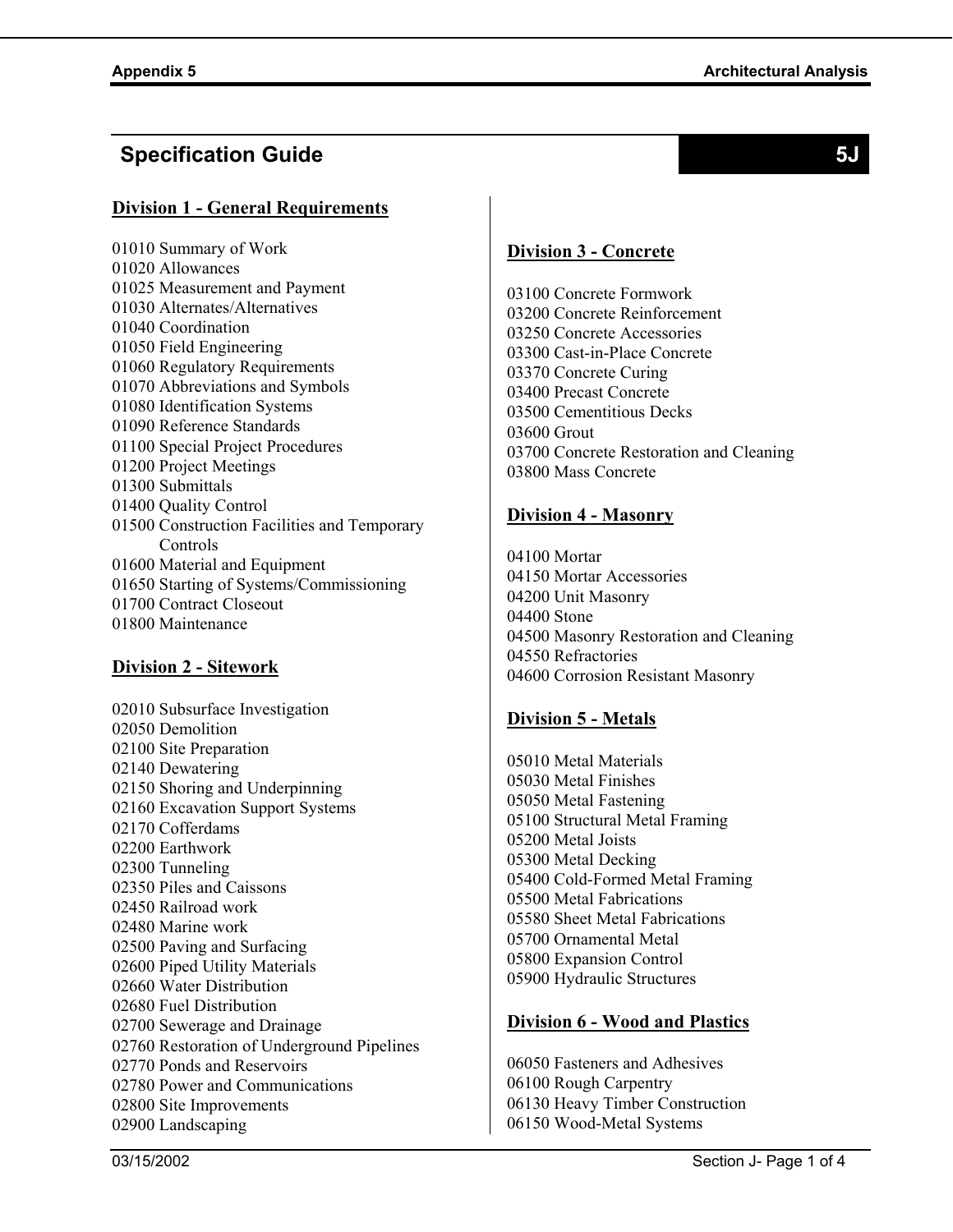# **Specification Guide 5J**

### **Division 1 - General Requirements**

01010 Summary of Work 01020 Allowances 01025 Measurement and Payment 01030 Alternates/Alternatives 01040 Coordination 01050 Field Engineering 01060 Regulatory Requirements 01070 Abbreviations and Symbols 01080 Identification Systems 01090 Reference Standards 01100 Special Project Procedures 01200 Project Meetings 01300 Submittals 01400 Quality Control 01500 Construction Facilities and Temporary Controls 01600 Material and Equipment 01650 Starting of Systems/Commissioning 01700 Contract Closeout 01800 Maintenance

### **Division 2 - Sitework**

02010 Subsurface Investigation 02050 Demolition 02100 Site Preparation 02140 Dewatering 02150 Shoring and Underpinning 02160 Excavation Support Systems 02170 Cofferdams 02200 Earthwork 02300 Tunneling 02350 Piles and Caissons 02450 Railroad work 02480 Marine work 02500 Paving and Surfacing 02600 Piped Utility Materials 02660 Water Distribution 02680 Fuel Distribution 02700 Sewerage and Drainage 02760 Restoration of Underground Pipelines 02770 Ponds and Reservoirs 02780 Power and Communications 02800 Site Improvements 02900 Landscaping

### **Division 3 - Concrete**

03100 Concrete Formwork 03200 Concrete Reinforcement 03250 Concrete Accessories 03300 Cast-in-Place Concrete 03370 Concrete Curing 03400 Precast Concrete 03500 Cementitious Decks 03600 Grout 03700 Concrete Restoration and Cleaning 03800 Mass Concrete

### **Division 4 - Masonry**

04100 Mortar 04150 Mortar Accessories 04200 Unit Masonry 04400 Stone 04500 Masonry Restoration and Cleaning 04550 Refractories 04600 Corrosion Resistant Masonry

## **Division 5 - Metals**

05010 Metal Materials 05030 Metal Finishes 05050 Metal Fastening 05100 Structural Metal Framing 05200 Metal Joists 05300 Metal Decking 05400 Cold-Formed Metal Framing 05500 Metal Fabrications 05580 Sheet Metal Fabrications 05700 Ornamental Metal 05800 Expansion Control 05900 Hydraulic Structures

### **Division 6 - Wood and Plastics**

06050 Fasteners and Adhesives 06100 Rough Carpentry 06130 Heavy Timber Construction 06150 Wood-Metal Systems

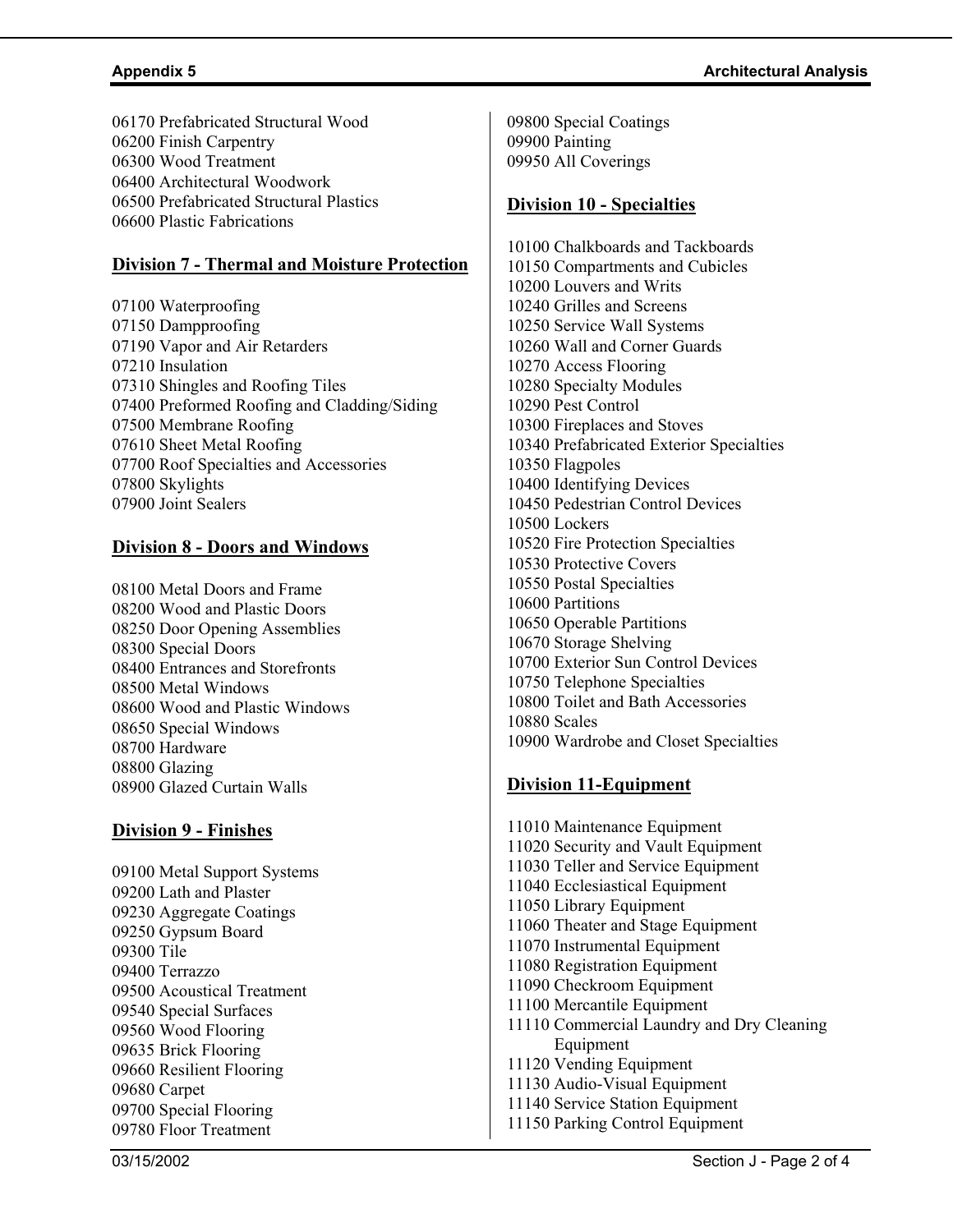06170 Prefabricated Structural Wood 06200 Finish Carpentry 06300 Wood Treatment 06400 Architectural Woodwork 06500 Prefabricated Structural Plastics 06600 Plastic Fabrications

### **Division 7 - Thermal and Moisture Protection**

07100 Waterproofing 07150 Dampproofing 07190 Vapor and Air Retarders 07210 Insulation 07310 Shingles and Roofing Tiles 07400 Preformed Roofing and Cladding/Siding 07500 Membrane Roofing 07610 Sheet Metal Roofing 07700 Roof Specialties and Accessories 07800 Skylights 07900 Joint Sealers

### **Division 8 - Doors and Windows**

08100 Metal Doors and Frame 08200 Wood and Plastic Doors 08250 Door Opening Assemblies 08300 Special Doors 08400 Entrances and Storefronts 08500 Metal Windows 08600 Wood and Plastic Windows 08650 Special Windows 08700 Hardware 08800 Glazing 08900 Glazed Curtain Walls

### **Division 9 - Finishes**

09100 Metal Support Systems 09200 Lath and Plaster 09230 Aggregate Coatings 09250 Gypsum Board 09300 Tile 09400 Terrazzo 09500 Acoustical Treatment 09540 Special Surfaces 09560 Wood Flooring 09635 Brick Flooring 09660 Resilient Flooring 09680 Carpet 09700 Special Flooring 09780 Floor Treatment

09800 Special Coatings 09900 Painting 09950 All Coverings

### **Division 10 - Specialties**

10100 Chalkboards and Tackboards 10150 Compartments and Cubicles 10200 Louvers and Writs 10240 Grilles and Screens 10250 Service Wall Systems 10260 Wall and Corner Guards 10270 Access Flooring 10280 Specialty Modules 10290 Pest Control 10300 Fireplaces and Stoves 10340 Prefabricated Exterior Specialties 10350 Flagpoles 10400 Identifying Devices 10450 Pedestrian Control Devices 10500 Lockers 10520 Fire Protection Specialties 10530 Protective Covers 10550 Postal Specialties 10600 Partitions 10650 Operable Partitions 10670 Storage Shelving 10700 Exterior Sun Control Devices 10750 Telephone Specialties 10800 Toilet and Bath Accessories 10880 Scales 10900 Wardrobe and Closet Specialties

### **Division 11-Equipment**

11010 Maintenance Equipment 11020 Security and Vault Equipment 11030 Teller and Service Equipment 11040 Ecclesiastical Equipment 11050 Library Equipment 11060 Theater and Stage Equipment 11070 Instrumental Equipment 11080 Registration Equipment 11090 Checkroom Equipment 11100 Mercantile Equipment 11110 Commercial Laundry and Dry Cleaning Equipment 11120 Vending Equipment 11130 Audio-Visual Equipment 11140 Service Station Equipment 11150 Parking Control Equipment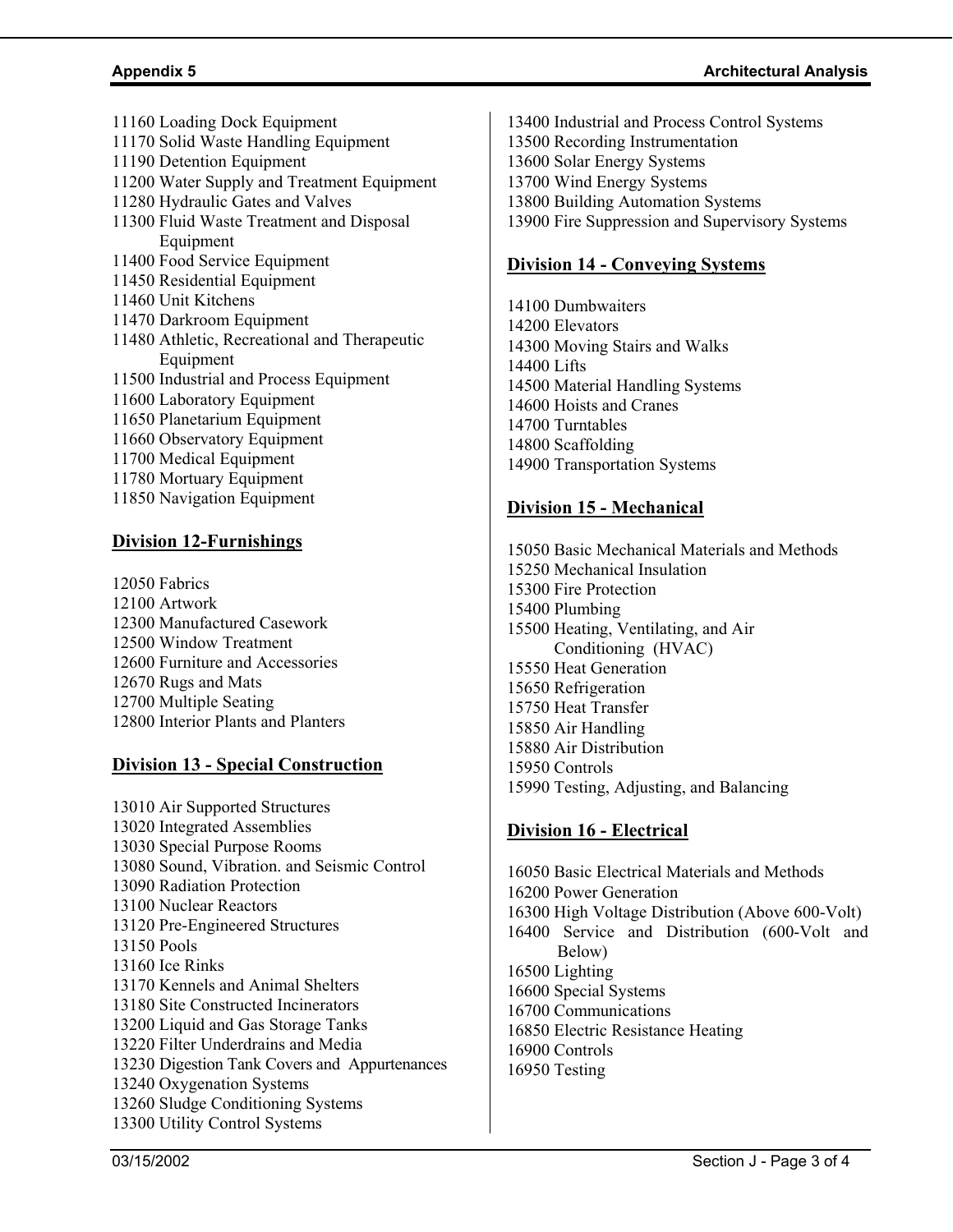11160 Loading Dock Equipment 11170 Solid Waste Handling Equipment 11190 Detention Equipment 11200 Water Supply and Treatment Equipment 11280 Hydraulic Gates and Valves 11300 Fluid Waste Treatment and Disposal Equipment 11400 Food Service Equipment 11450 Residential Equipment 11460 Unit Kitchens 11470 Darkroom Equipment 11480 Athletic, Recreational and Therapeutic Equipment 11500 Industrial and Process Equipment 11600 Laboratory Equipment 11650 Planetarium Equipment 11660 Observatory Equipment 11700 Medical Equipment 11780 Mortuary Equipment 11850 Navigation Equipment

### **Division 12-Furnishings**

12050 Fabrics 12100 Artwork 12300 Manufactured Casework 12500 Window Treatment 12600 Furniture and Accessories 12670 Rugs and Mats 12700 Multiple Seating 12800 Interior Plants and Planters

### **Division 13 - Special Construction**

13010 Air Supported Structures 13020 Integrated Assemblies 13030 Special Purpose Rooms 13080 Sound, Vibration. and Seismic Control 13090 Radiation Protection 13100 Nuclear Reactors 13120 Pre-Engineered Structures 13150 Pools 13160 Ice Rinks 13170 Kennels and Animal Shelters 13180 Site Constructed Incinerators 13200 Liquid and Gas Storage Tanks 13220 Filter Underdrains and Media 13230 Digestion Tank Covers and Appurtenances 13240 Oxygenation Systems 13260 Sludge Conditioning Systems 13300 Utility Control Systems

13400 Industrial and Process Control Systems 13500 Recording Instrumentation 13600 Solar Energy Systems 13700 Wind Energy Systems 13800 Building Automation Systems 13900 Fire Suppression and Supervisory Systems

### **Division 14 - Conveying Systems**

14100 Dumbwaiters 14200 Elevators 14300 Moving Stairs and Walks 14400 Lifts 14500 Material Handling Systems 14600 Hoists and Cranes 14700 Turntables 14800 Scaffolding 14900 Transportation Systems

### **Division 15 - Mechanical**

15050 Basic Mechanical Materials and Methods 15250 Mechanical Insulation 15300 Fire Protection 15400 Plumbing 15500 Heating, Ventilating, and Air Conditioning (HVAC) 15550 Heat Generation 15650 Refrigeration 15750 Heat Transfer 15850 Air Handling 15880 Air Distribution 15950 Controls 15990 Testing, Adjusting, and Balancing

### **Division 16 - Electrical**

16050 Basic Electrical Materials and Methods 16200 Power Generation 16300 High Voltage Distribution (Above 600-Volt) 16400 Service and Distribution (600-Volt and Below) 16500 Lighting 16600 Special Systems 16700 Communications 16850 Electric Resistance Heating 16900 Controls 16950 Testing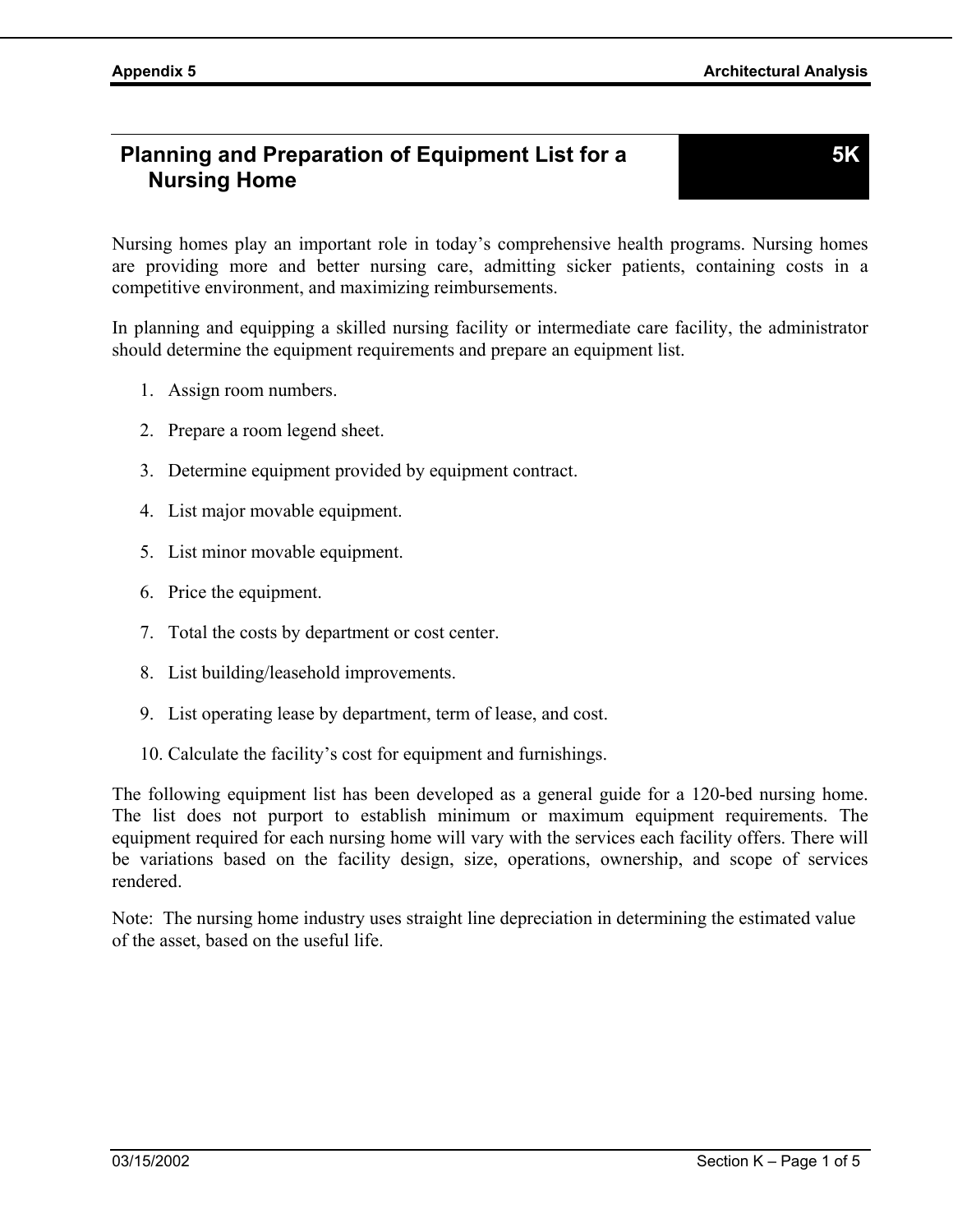# **Planning and Preparation of Equipment List for a Nursing Home**

Nursing homes play an important role in today's comprehensive health programs. Nursing homes are providing more and better nursing care, admitting sicker patients, containing costs in a competitive environment, and maximizing reimbursements.

In planning and equipping a skilled nursing facility or intermediate care facility, the administrator should determine the equipment requirements and prepare an equipment list.

- 1. Assign room numbers.
- 2. Prepare a room legend sheet.
- 3. Determine equipment provided by equipment contract.
- 4. List major movable equipment.
- 5. List minor movable equipment.
- 6. Price the equipment.
- 7. Total the costs by department or cost center.
- 8. List building/leasehold improvements.
- 9. List operating lease by department, term of lease, and cost.
- 10. Calculate the facility's cost for equipment and furnishings.

The following equipment list has been developed as a general guide for a 120-bed nursing home. The list does not purport to establish minimum or maximum equipment requirements. The equipment required for each nursing home will vary with the services each facility offers. There will be variations based on the facility design, size, operations, ownership, and scope of services rendered.

Note: The nursing home industry uses straight line depreciation in determining the estimated value of the asset, based on the useful life.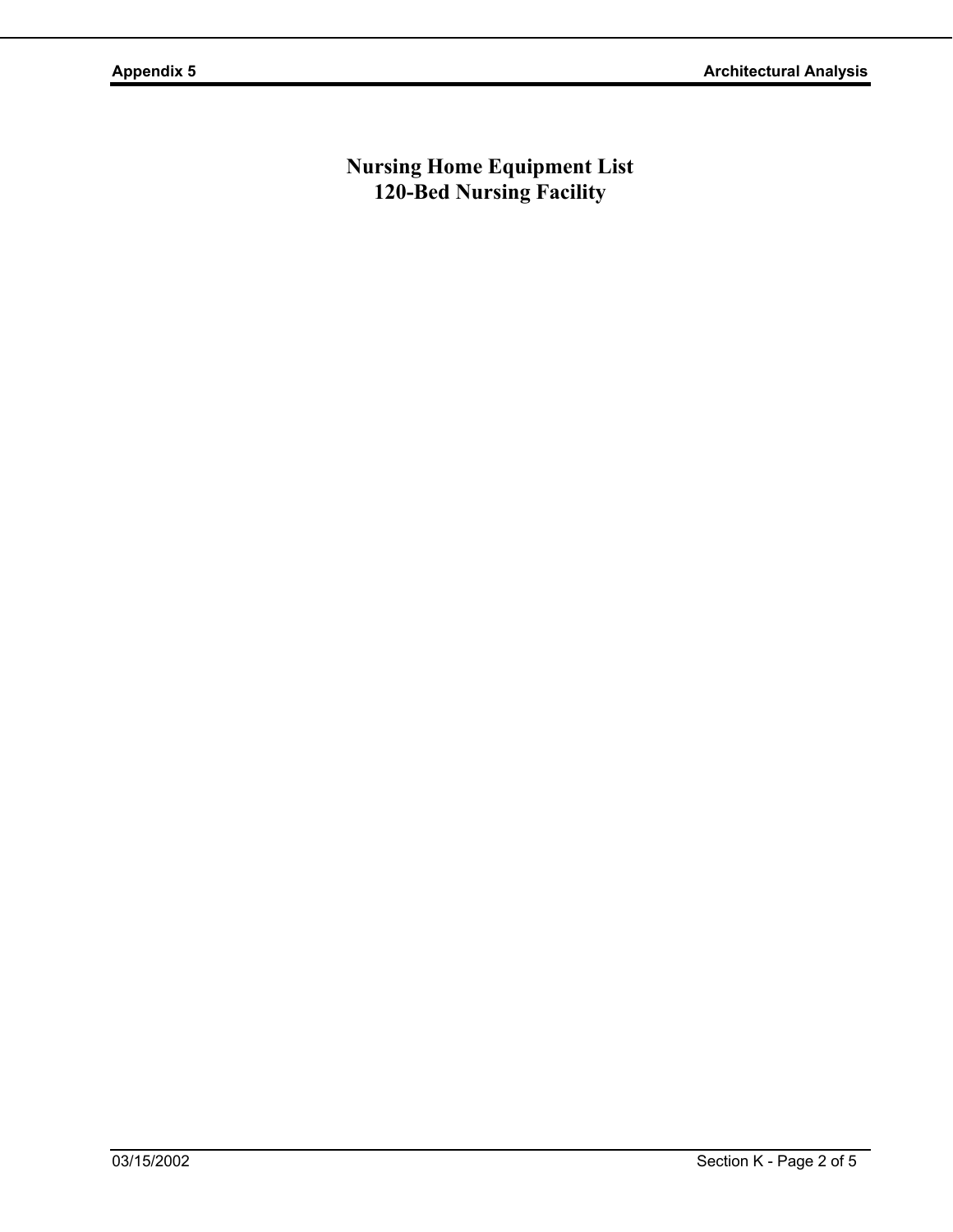**Nursing Home Equipment List 120-Bed Nursing Facility**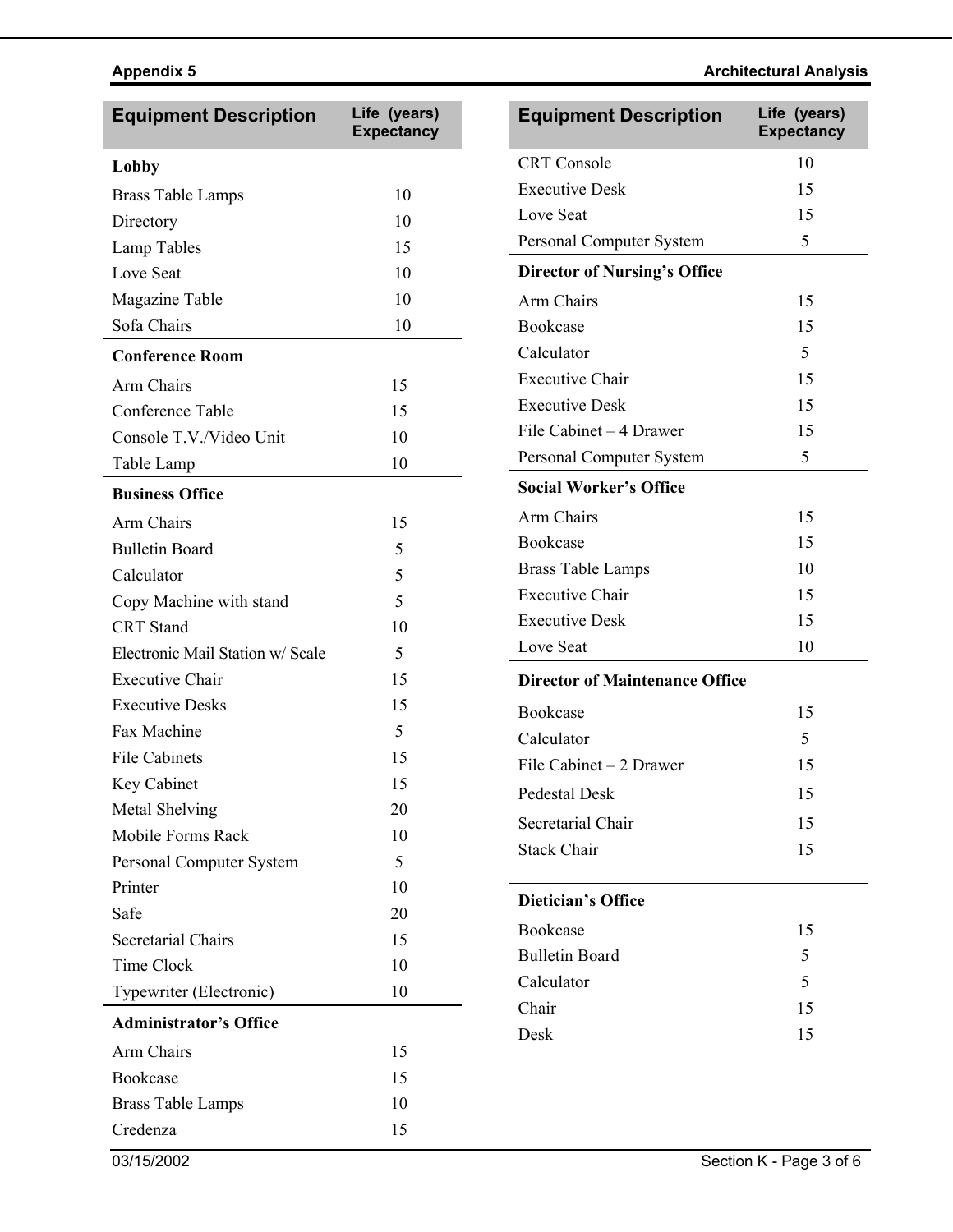# **Appendix 5** Architectural Analysis **Architectural Analysis Architectural Analysis**

| <b>Equipment Description</b>     | Life (years)<br><b>Expectancy</b> | <b>Equipment Description</b>          | Life (years)<br><b>Expectancy</b> |
|----------------------------------|-----------------------------------|---------------------------------------|-----------------------------------|
| Lobby                            |                                   | <b>CRT</b> Console                    | 10                                |
| Brass Table Lamps                | 10                                | <b>Executive Desk</b>                 | 15                                |
| Directory                        | 10                                | Love Seat                             | 15                                |
| Lamp Tables                      | 15                                | Personal Computer System              | 5                                 |
| Love Seat                        | 10                                | <b>Director of Nursing's Office</b>   |                                   |
| Magazine Table                   | 10                                | Arm Chairs                            | 15                                |
| Sofa Chairs                      | 10                                | Bookcase                              | 15                                |
| <b>Conference Room</b>           |                                   | Calculator                            | 5                                 |
| Arm Chairs                       | 15                                | <b>Executive Chair</b>                | 15                                |
| Conference Table                 | 15                                | <b>Executive Desk</b>                 | 15                                |
| Console T.V./Video Unit          | 10                                | File Cabinet - 4 Drawer               | 15                                |
| Table Lamp                       | 10                                | Personal Computer System              | 5                                 |
| <b>Business Office</b>           |                                   | <b>Social Worker's Office</b>         |                                   |
| Arm Chairs                       | 15                                | Arm Chairs                            | 15                                |
| <b>Bulletin Board</b>            | 5                                 | <b>Bookcase</b>                       | 15                                |
| Calculator                       | 5                                 | <b>Brass Table Lamps</b>              | 10                                |
| Copy Machine with stand          | 5                                 | <b>Executive Chair</b>                | 15                                |
| <b>CRT</b> Stand                 | 10                                | <b>Executive Desk</b>                 | 15                                |
| Electronic Mail Station w/ Scale | 5                                 | Love Seat                             | 10                                |
| <b>Executive Chair</b>           | 15                                | <b>Director of Maintenance Office</b> |                                   |
| <b>Executive Desks</b>           | 15                                | Bookcase                              | 15                                |
| Fax Machine                      | 5                                 | Calculator                            | 5                                 |
| <b>File Cabinets</b>             | 15                                | File Cabinet - 2 Drawer               | 15                                |
| Key Cabinet                      | 15                                | Pedestal Desk                         | 15                                |
| Metal Shelving                   | 20                                |                                       |                                   |
| Mobile Forms Rack                | 10                                | Secretarial Chair                     | 15                                |
| Personal Computer System         | 5                                 | <b>Stack Chair</b>                    | 15                                |
| Printer                          | 10                                | <b>Dietician's Office</b>             |                                   |
| Safe                             | 20                                |                                       |                                   |
| Secretarial Chairs               | 15                                | Bookcase                              | 15                                |
| Time Clock                       | 10                                | <b>Bulletin Board</b>                 | 5                                 |
| Typewriter (Electronic)          | 10                                | Calculator                            | 5                                 |
| <b>Administrator's Office</b>    |                                   | Chair<br>Desk                         | 15<br>15                          |
| Arm Chairs                       | 15                                |                                       |                                   |
| Bookcase                         | 15                                |                                       |                                   |
| <b>Brass Table Lamps</b>         | 10                                |                                       |                                   |
| Credenza                         | 15                                |                                       |                                   |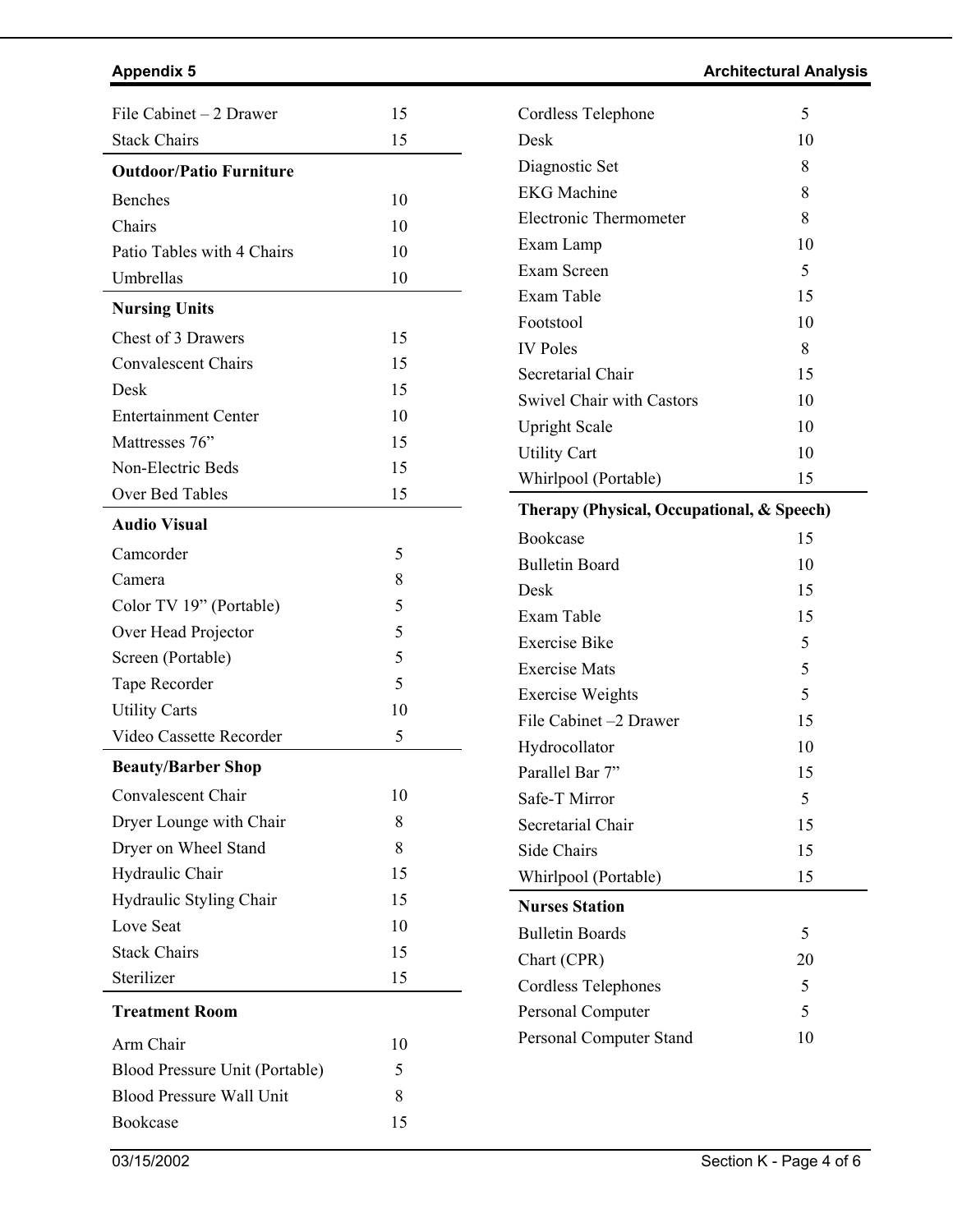Appendix 5 **All Analysis** Architectural Analysis **Architectural Analysis** 

| File Cabinet - 2 Drawer         | 15       | Cordless Telephone                                | 5                       |
|---------------------------------|----------|---------------------------------------------------|-------------------------|
| <b>Stack Chairs</b>             | 15       | Desk                                              | 10                      |
| <b>Outdoor/Patio Furniture</b>  |          | Diagnostic Set                                    | 8                       |
| Benches                         | 10       | <b>EKG</b> Machine                                | 8                       |
| Chairs                          | 10       | Electronic Thermometer                            | 8                       |
| Patio Tables with 4 Chairs      | 10       | Exam Lamp                                         | 10                      |
| Umbrellas                       | 10       | Exam Screen                                       | 5                       |
| <b>Nursing Units</b>            |          | Exam Table                                        | 15                      |
|                                 |          | Footstool                                         | 10                      |
| Chest of 3 Drawers              | 15       | <b>IV Poles</b>                                   | 8                       |
| <b>Convalescent Chairs</b>      | 15       | Secretarial Chair                                 | 15                      |
| Desk                            | 15       | <b>Swivel Chair with Castors</b>                  | 10                      |
| <b>Entertainment Center</b>     | 10       | <b>Upright Scale</b>                              | 10                      |
| Mattresses 76"                  | 15       | <b>Utility Cart</b>                               | 10                      |
| Non-Electric Beds               | 15       | Whirlpool (Portable)                              | 15                      |
| Over Bed Tables                 | 15       | Therapy (Physical, Occupational, & Speech)        |                         |
| <b>Audio Visual</b>             |          | Bookcase                                          | 15                      |
| Camcorder                       | 5        | <b>Bulletin Board</b>                             | 10                      |
| Camera                          | 8        | Desk                                              | 15                      |
| Color TV 19" (Portable)         | 5        | Exam Table                                        | 15                      |
| Over Head Projector             | 5        | <b>Exercise Bike</b>                              | 5                       |
| Screen (Portable)               | 5        | <b>Exercise Mats</b>                              | 5                       |
| Tape Recorder                   | 5        |                                                   | 5                       |
| <b>Utility Carts</b>            | 10       | <b>Exercise Weights</b><br>File Cabinet -2 Drawer |                         |
| Video Cassette Recorder         | 5        |                                                   | 15                      |
| <b>Beauty/Barber Shop</b>       |          | Hydrocollator<br>Parallel Bar 7"                  | 10                      |
| Convalescent Chair              | 10       | Safe-T Mirror                                     | 15                      |
| Dryer Lounge with Chair         | 8        |                                                   | 5                       |
| Dryer on Wheel Stand            | 8        | Secretarial Chair                                 | 15                      |
| Hydraulic Chair                 | 15       | Side Chairs                                       | 15                      |
| Hydraulic Styling Chair         | 15       | Whirlpool (Portable)                              | 15                      |
| Love Seat                       | 10       | <b>Nurses Station</b>                             |                         |
| <b>Stack Chairs</b>             |          | <b>Bulletin Boards</b>                            | 5                       |
| Sterilizer                      | 15<br>15 | Chart (CPR)                                       | 20                      |
|                                 |          | <b>Cordless Telephones</b>                        | 5                       |
| <b>Treatment Room</b>           |          | Personal Computer                                 | 5                       |
| Arm Chair                       | 10       | Personal Computer Stand                           | 10                      |
| Blood Pressure Unit (Portable)  | 5        |                                                   |                         |
| <b>Blood Pressure Wall Unit</b> | 8        |                                                   |                         |
| Bookcase                        | 15       |                                                   |                         |
|                                 |          |                                                   |                         |
| 03/15/2002                      |          |                                                   | Section K - Page 4 of 6 |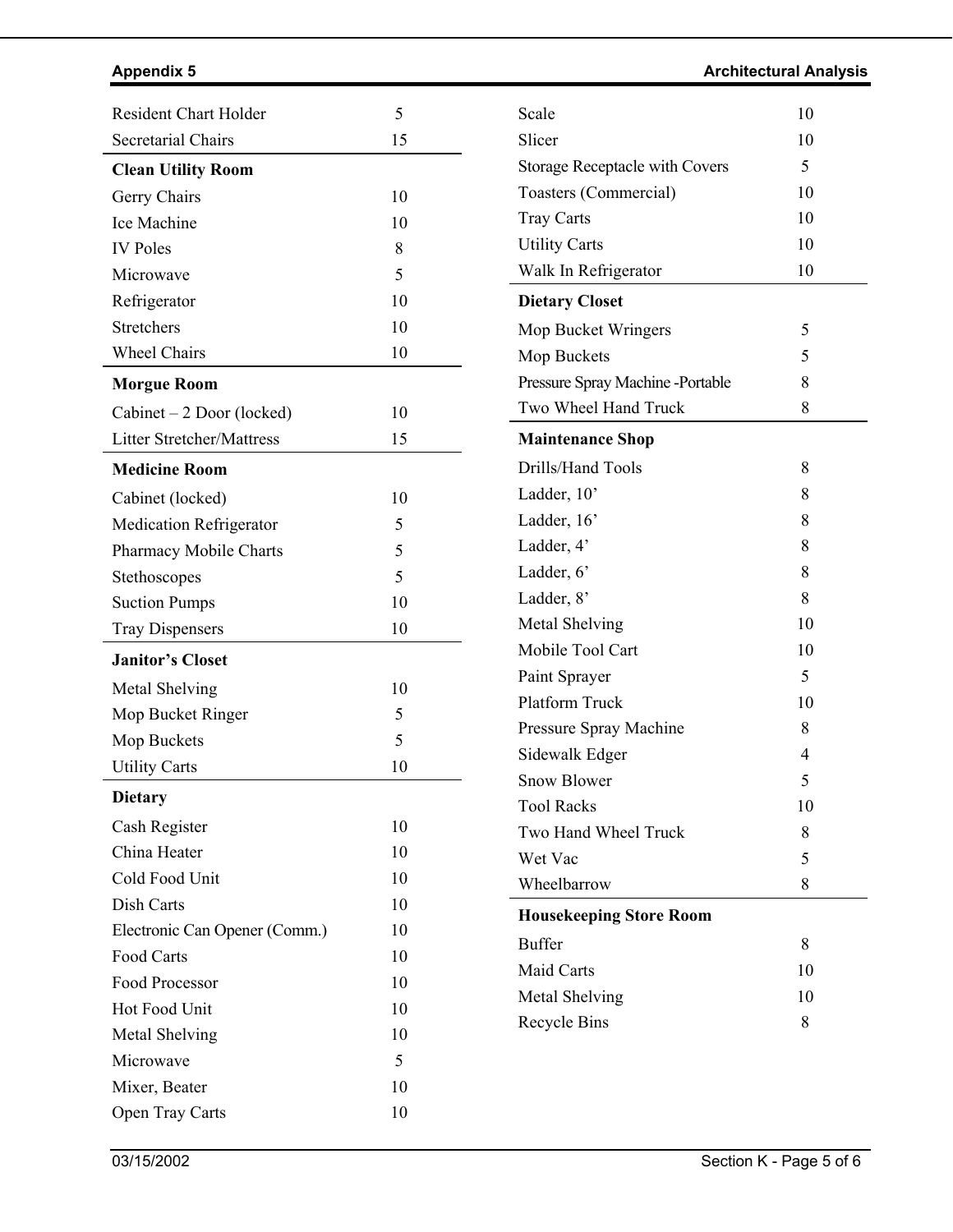| <b>Appendix 5</b> | <b>Architectural Analysis</b> |
|-------------------|-------------------------------|
|                   |                               |

| <b>Secretarial Chairs</b><br>15<br><b>Clean Utility Room</b><br>Gerry Chairs<br>10<br><b>Ice Machine</b><br>10<br><b>IV Poles</b><br>8<br>5<br>Microwave<br>10<br>Refrigerator<br><b>Stretchers</b><br>10<br><b>Wheel Chairs</b><br>10<br><b>Morgue Room</b><br>$Cabinet - 2 Door$ (locked)<br>10<br><b>Litter Stretcher/Mattress</b><br>15<br><b>Medicine Room</b><br>10<br>Cabinet (locked)<br>5<br><b>Medication Refrigerator</b><br>5<br><b>Pharmacy Mobile Charts</b><br>5<br>Stethoscopes<br>10<br><b>Suction Pumps</b><br>10<br><b>Tray Dispensers</b><br><b>Janitor's Closet</b><br>Metal Shelving<br>10<br>5<br>Mop Bucket Ringer<br>5<br>Mop Buckets<br><b>Utility Carts</b><br>10<br><b>Dietary</b><br>10<br>Cash Register<br>China Heater<br>10<br>Cold Food Unit<br>10<br>Dish Carts<br>10<br>Electronic Can Opener (Comm.)<br>10<br>Food Carts<br>10<br>Food Processor<br>10<br><b>Hot Food Unit</b><br>10<br>Metal Shelving<br>10<br>Microwave<br>5<br>10<br>Mixer, Beater | <b>Resident Chart Holder</b> | 5  |
|-------------------------------------------------------------------------------------------------------------------------------------------------------------------------------------------------------------------------------------------------------------------------------------------------------------------------------------------------------------------------------------------------------------------------------------------------------------------------------------------------------------------------------------------------------------------------------------------------------------------------------------------------------------------------------------------------------------------------------------------------------------------------------------------------------------------------------------------------------------------------------------------------------------------------------------------------------------------------------------------|------------------------------|----|
|                                                                                                                                                                                                                                                                                                                                                                                                                                                                                                                                                                                                                                                                                                                                                                                                                                                                                                                                                                                           |                              |    |
|                                                                                                                                                                                                                                                                                                                                                                                                                                                                                                                                                                                                                                                                                                                                                                                                                                                                                                                                                                                           |                              |    |
|                                                                                                                                                                                                                                                                                                                                                                                                                                                                                                                                                                                                                                                                                                                                                                                                                                                                                                                                                                                           |                              |    |
|                                                                                                                                                                                                                                                                                                                                                                                                                                                                                                                                                                                                                                                                                                                                                                                                                                                                                                                                                                                           |                              |    |
|                                                                                                                                                                                                                                                                                                                                                                                                                                                                                                                                                                                                                                                                                                                                                                                                                                                                                                                                                                                           |                              |    |
|                                                                                                                                                                                                                                                                                                                                                                                                                                                                                                                                                                                                                                                                                                                                                                                                                                                                                                                                                                                           |                              |    |
|                                                                                                                                                                                                                                                                                                                                                                                                                                                                                                                                                                                                                                                                                                                                                                                                                                                                                                                                                                                           |                              |    |
|                                                                                                                                                                                                                                                                                                                                                                                                                                                                                                                                                                                                                                                                                                                                                                                                                                                                                                                                                                                           |                              |    |
|                                                                                                                                                                                                                                                                                                                                                                                                                                                                                                                                                                                                                                                                                                                                                                                                                                                                                                                                                                                           |                              |    |
|                                                                                                                                                                                                                                                                                                                                                                                                                                                                                                                                                                                                                                                                                                                                                                                                                                                                                                                                                                                           |                              |    |
|                                                                                                                                                                                                                                                                                                                                                                                                                                                                                                                                                                                                                                                                                                                                                                                                                                                                                                                                                                                           |                              |    |
|                                                                                                                                                                                                                                                                                                                                                                                                                                                                                                                                                                                                                                                                                                                                                                                                                                                                                                                                                                                           |                              |    |
|                                                                                                                                                                                                                                                                                                                                                                                                                                                                                                                                                                                                                                                                                                                                                                                                                                                                                                                                                                                           |                              |    |
|                                                                                                                                                                                                                                                                                                                                                                                                                                                                                                                                                                                                                                                                                                                                                                                                                                                                                                                                                                                           |                              |    |
|                                                                                                                                                                                                                                                                                                                                                                                                                                                                                                                                                                                                                                                                                                                                                                                                                                                                                                                                                                                           |                              |    |
|                                                                                                                                                                                                                                                                                                                                                                                                                                                                                                                                                                                                                                                                                                                                                                                                                                                                                                                                                                                           |                              |    |
|                                                                                                                                                                                                                                                                                                                                                                                                                                                                                                                                                                                                                                                                                                                                                                                                                                                                                                                                                                                           |                              |    |
|                                                                                                                                                                                                                                                                                                                                                                                                                                                                                                                                                                                                                                                                                                                                                                                                                                                                                                                                                                                           |                              |    |
|                                                                                                                                                                                                                                                                                                                                                                                                                                                                                                                                                                                                                                                                                                                                                                                                                                                                                                                                                                                           |                              |    |
|                                                                                                                                                                                                                                                                                                                                                                                                                                                                                                                                                                                                                                                                                                                                                                                                                                                                                                                                                                                           |                              |    |
|                                                                                                                                                                                                                                                                                                                                                                                                                                                                                                                                                                                                                                                                                                                                                                                                                                                                                                                                                                                           |                              |    |
|                                                                                                                                                                                                                                                                                                                                                                                                                                                                                                                                                                                                                                                                                                                                                                                                                                                                                                                                                                                           |                              |    |
|                                                                                                                                                                                                                                                                                                                                                                                                                                                                                                                                                                                                                                                                                                                                                                                                                                                                                                                                                                                           |                              |    |
|                                                                                                                                                                                                                                                                                                                                                                                                                                                                                                                                                                                                                                                                                                                                                                                                                                                                                                                                                                                           |                              |    |
|                                                                                                                                                                                                                                                                                                                                                                                                                                                                                                                                                                                                                                                                                                                                                                                                                                                                                                                                                                                           |                              |    |
|                                                                                                                                                                                                                                                                                                                                                                                                                                                                                                                                                                                                                                                                                                                                                                                                                                                                                                                                                                                           |                              |    |
|                                                                                                                                                                                                                                                                                                                                                                                                                                                                                                                                                                                                                                                                                                                                                                                                                                                                                                                                                                                           |                              |    |
|                                                                                                                                                                                                                                                                                                                                                                                                                                                                                                                                                                                                                                                                                                                                                                                                                                                                                                                                                                                           |                              |    |
|                                                                                                                                                                                                                                                                                                                                                                                                                                                                                                                                                                                                                                                                                                                                                                                                                                                                                                                                                                                           |                              |    |
|                                                                                                                                                                                                                                                                                                                                                                                                                                                                                                                                                                                                                                                                                                                                                                                                                                                                                                                                                                                           |                              |    |
|                                                                                                                                                                                                                                                                                                                                                                                                                                                                                                                                                                                                                                                                                                                                                                                                                                                                                                                                                                                           |                              |    |
|                                                                                                                                                                                                                                                                                                                                                                                                                                                                                                                                                                                                                                                                                                                                                                                                                                                                                                                                                                                           |                              |    |
|                                                                                                                                                                                                                                                                                                                                                                                                                                                                                                                                                                                                                                                                                                                                                                                                                                                                                                                                                                                           |                              |    |
|                                                                                                                                                                                                                                                                                                                                                                                                                                                                                                                                                                                                                                                                                                                                                                                                                                                                                                                                                                                           |                              |    |
|                                                                                                                                                                                                                                                                                                                                                                                                                                                                                                                                                                                                                                                                                                                                                                                                                                                                                                                                                                                           |                              |    |
|                                                                                                                                                                                                                                                                                                                                                                                                                                                                                                                                                                                                                                                                                                                                                                                                                                                                                                                                                                                           |                              |    |
|                                                                                                                                                                                                                                                                                                                                                                                                                                                                                                                                                                                                                                                                                                                                                                                                                                                                                                                                                                                           |                              |    |
|                                                                                                                                                                                                                                                                                                                                                                                                                                                                                                                                                                                                                                                                                                                                                                                                                                                                                                                                                                                           | Open Tray Carts              | 10 |

| Scale                                 | 10 |
|---------------------------------------|----|
| Slicer                                | 10 |
| <b>Storage Receptacle with Covers</b> | 5  |
| Toasters (Commercial)                 | 10 |
| <b>Tray Carts</b>                     | 10 |
| <b>Utility Carts</b>                  | 10 |
| Walk In Refrigerator                  | 10 |
| <b>Dietary Closet</b>                 |    |
| Mop Bucket Wringers                   | 5  |
| Mop Buckets                           | 5  |
| Pressure Spray Machine -Portable      | 8  |
| Two Wheel Hand Truck                  | 8  |
| <b>Maintenance Shop</b>               |    |
| Drills/Hand Tools                     | 8  |
| Ladder, 10'                           | 8  |
| Ladder, 16'                           | 8  |
| Ladder, 4'                            | 8  |
| Ladder, 6'                            | 8  |
| Ladder, 8'                            | 8  |
| Metal Shelving                        | 10 |
| Mobile Tool Cart                      | 10 |
| Paint Sprayer                         | 5  |
| <b>Platform Truck</b>                 | 10 |
| Pressure Spray Machine                | 8  |
| Sidewalk Edger                        | 4  |
| <b>Snow Blower</b>                    | 5  |
| <b>Tool Racks</b>                     | 10 |
| Two Hand Wheel Truck                  | 8  |
| Wet Vac                               | 5  |
| Wheelbarrow                           | 8  |
| <b>Housekeeping Store Room</b>        |    |
| <b>Buffer</b>                         | 8  |
| <b>Maid Carts</b>                     | 10 |
| Metal Shelving                        | 10 |
| Recycle Bins                          | 8  |
|                                       |    |

 $\overline{a}$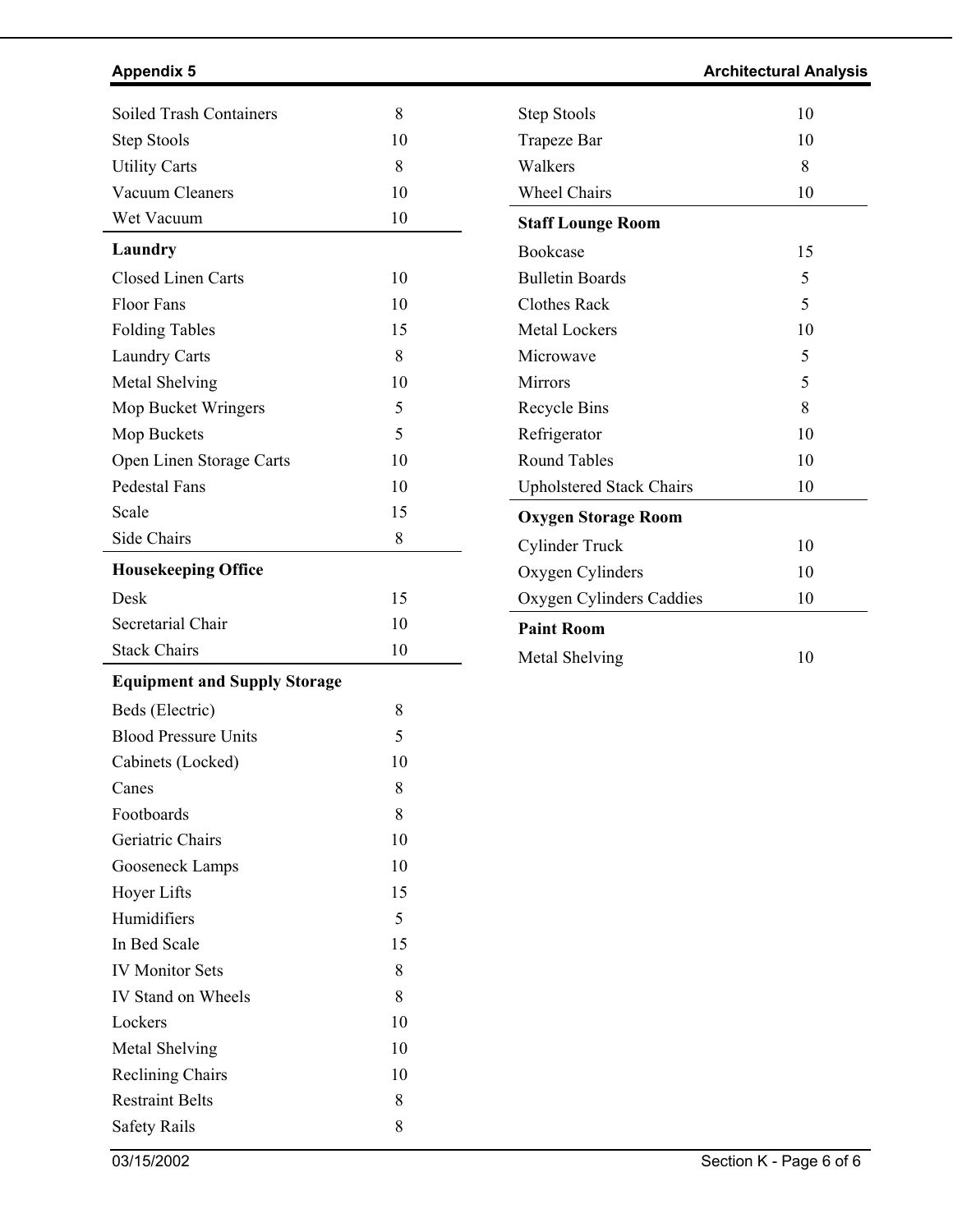# **Appendix 5** Architectural Analysis **Architectural Analysis Architectural Analysis**

| Soiled Trash Containers             | 8           | <b>Step Stools</b>              | 10 |
|-------------------------------------|-------------|---------------------------------|----|
| <b>Step Stools</b>                  | 10          | <b>Trapeze Bar</b>              | 10 |
| <b>Utility Carts</b>                | 8           | Walkers                         | 8  |
| <b>Vacuum Cleaners</b>              | 10          | <b>Wheel Chairs</b>             | 10 |
| Wet Vacuum                          | 10          | <b>Staff Lounge Room</b>        |    |
| Laundry                             |             | Bookcase                        | 15 |
| <b>Closed Linen Carts</b>           | 10          | <b>Bulletin Boards</b>          | 5  |
| <b>Floor Fans</b>                   | 10          | <b>Clothes Rack</b>             | 5  |
| <b>Folding Tables</b>               | 15          | Metal Lockers                   | 10 |
| <b>Laundry Carts</b>                | 8           | Microwave                       | 5  |
| Metal Shelving                      | 10          | Mirrors                         | 5  |
| Mop Bucket Wringers                 | 5           | <b>Recycle Bins</b>             | 8  |
| Mop Buckets                         | 5           | Refrigerator                    | 10 |
| Open Linen Storage Carts            | 10          | <b>Round Tables</b>             | 10 |
| <b>Pedestal Fans</b>                | 10          | <b>Upholstered Stack Chairs</b> | 10 |
| Scale                               | 15          | <b>Oxygen Storage Room</b>      |    |
| Side Chairs                         | $\,$ 8 $\,$ | Cylinder Truck                  | 10 |
| <b>Housekeeping Office</b>          |             | Oxygen Cylinders                | 10 |
| Desk                                | 15          | Oxygen Cylinders Caddies        | 10 |
| Secretarial Chair                   | 10          | <b>Paint Room</b>               |    |
| <b>Stack Chairs</b>                 | 10          | Metal Shelving                  | 10 |
| <b>Equipment and Supply Storage</b> |             |                                 |    |
| Beds (Electric)                     | 8           |                                 |    |
| <b>Blood Pressure Units</b>         | 5           |                                 |    |
| Cabinets (Locked)                   | 10          |                                 |    |
| Canes                               | 8           |                                 |    |
| Footboards                          | 8           |                                 |    |
| Geriatric Chairs                    | 10          |                                 |    |
| Gooseneck Lamps                     | 10          |                                 |    |
| <b>Hoyer Lifts</b>                  | 15          |                                 |    |
| Humidifiers                         | 5           |                                 |    |
| In Bed Scale                        | 15          |                                 |    |
| <b>IV Monitor Sets</b>              | 8           |                                 |    |
| IV Stand on Wheels                  | 8           |                                 |    |
| Lockers                             | 10          |                                 |    |
| Metal Shelving                      | 10          |                                 |    |
| <b>Reclining Chairs</b>             | 10          |                                 |    |
| <b>Restraint Belts</b>              | 8           |                                 |    |
|                                     |             |                                 |    |
| <b>Safety Rails</b>                 | 8           |                                 |    |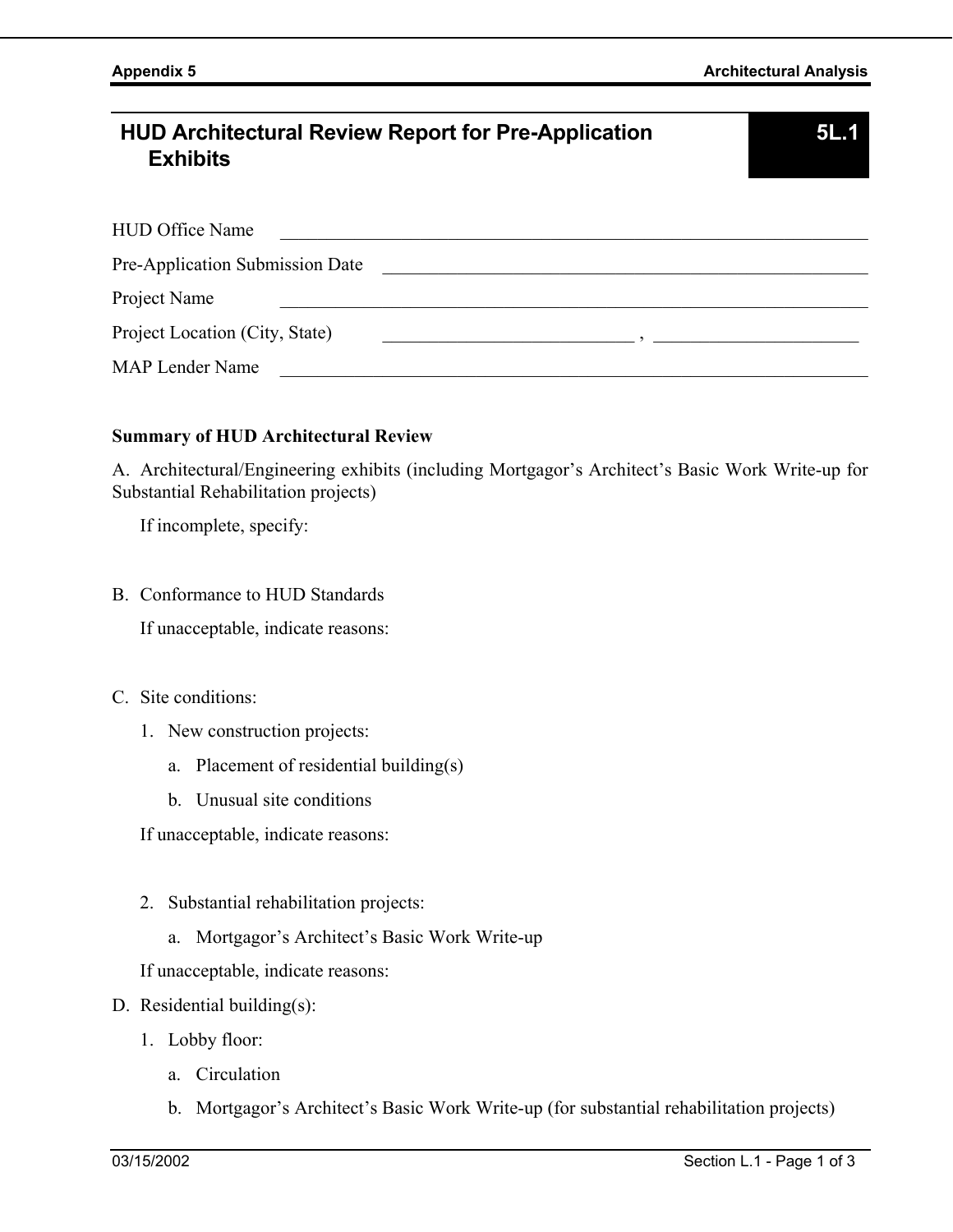# **HUD Architectural Review Report for Pre-Application Exhibits**

| HUD Office Name                        |  |
|----------------------------------------|--|
| <b>Pre-Application Submission Date</b> |  |
| Project Name                           |  |
| Project Location (City, State)         |  |
| MAP Lender Name                        |  |

### **Summary of HUD Architectural Review**

A. Architectural/Engineering exhibits (including Mortgagor's Architect's Basic Work Write-up for Substantial Rehabilitation projects)

If incomplete, specify:

B. Conformance to HUD Standards

If unacceptable, indicate reasons:

- C. Site conditions:
	- 1. New construction projects:
		- a. Placement of residential building(s)
		- b. Unusual site conditions

If unacceptable, indicate reasons:

- 2. Substantial rehabilitation projects:
	- a. Mortgagor's Architect's Basic Work Write-up

If unacceptable, indicate reasons:

- D. Residential building(s):
	- 1. Lobby floor:
		- a. Circulation
		- b. Mortgagor's Architect's Basic Work Write-up (for substantial rehabilitation projects)

**5L.1**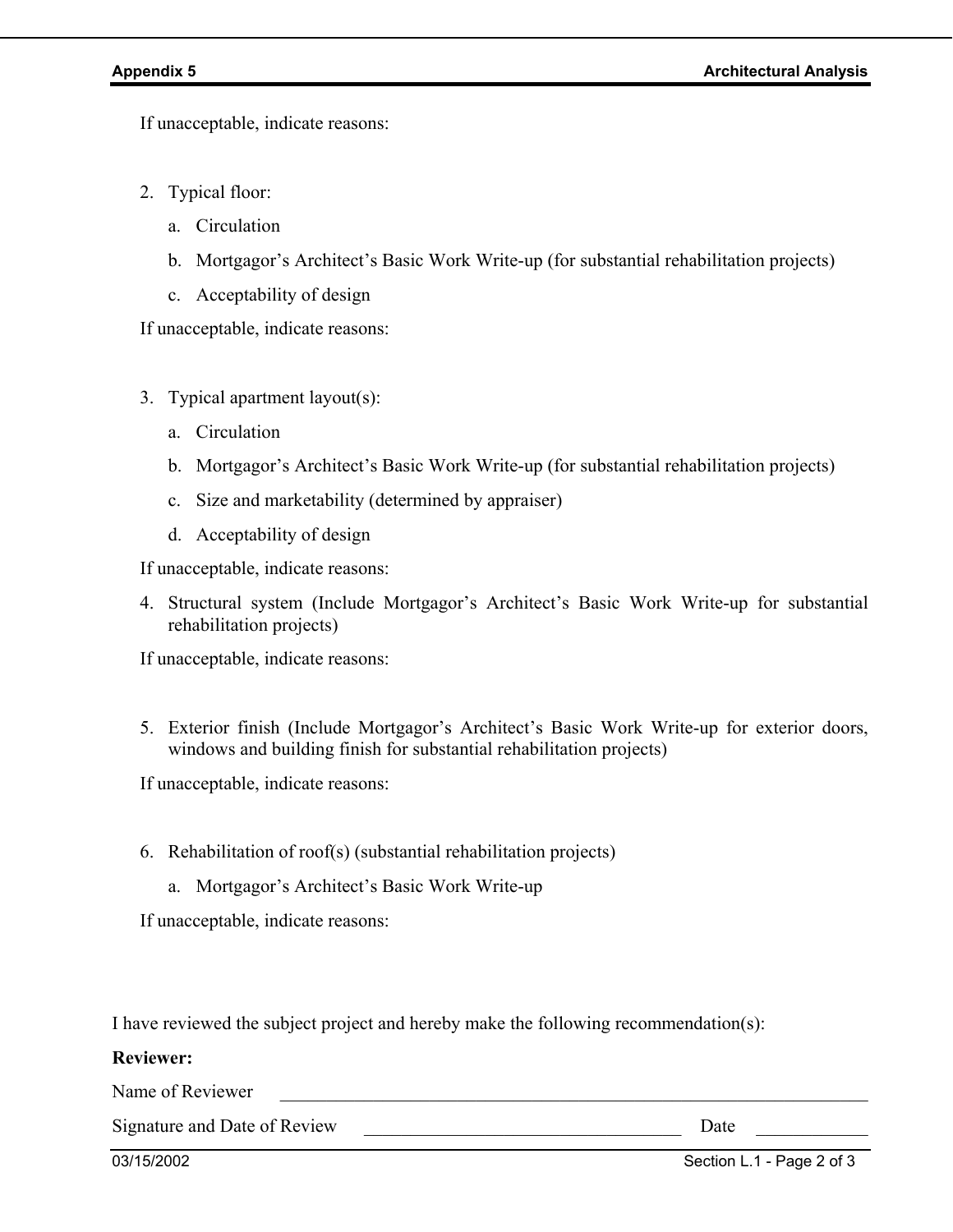If unacceptable, indicate reasons:

- 2. Typical floor:
	- a. Circulation
	- b. Mortgagor's Architect's Basic Work Write-up (for substantial rehabilitation projects)
	- c. Acceptability of design

If unacceptable, indicate reasons:

- 3. Typical apartment layout(s):
	- a. Circulation
	- b. Mortgagor's Architect's Basic Work Write-up (for substantial rehabilitation projects)
	- c. Size and marketability (determined by appraiser)
	- d. Acceptability of design

If unacceptable, indicate reasons:

4. Structural system (Include Mortgagor's Architect's Basic Work Write-up for substantial rehabilitation projects)

If unacceptable, indicate reasons:

5. Exterior finish (Include Mortgagor's Architect's Basic Work Write-up for exterior doors, windows and building finish for substantial rehabilitation projects)

If unacceptable, indicate reasons:

- 6. Rehabilitation of roof(s) (substantial rehabilitation projects)
	- a. Mortgagor's Architect's Basic Work Write-up

If unacceptable, indicate reasons:

I have reviewed the subject project and hereby make the following recommendation(s):

### **Reviewer:**

Name of Reviewer

Signature and Date of Review **Example 2018** 2018 2019 2019 2021 2022 2023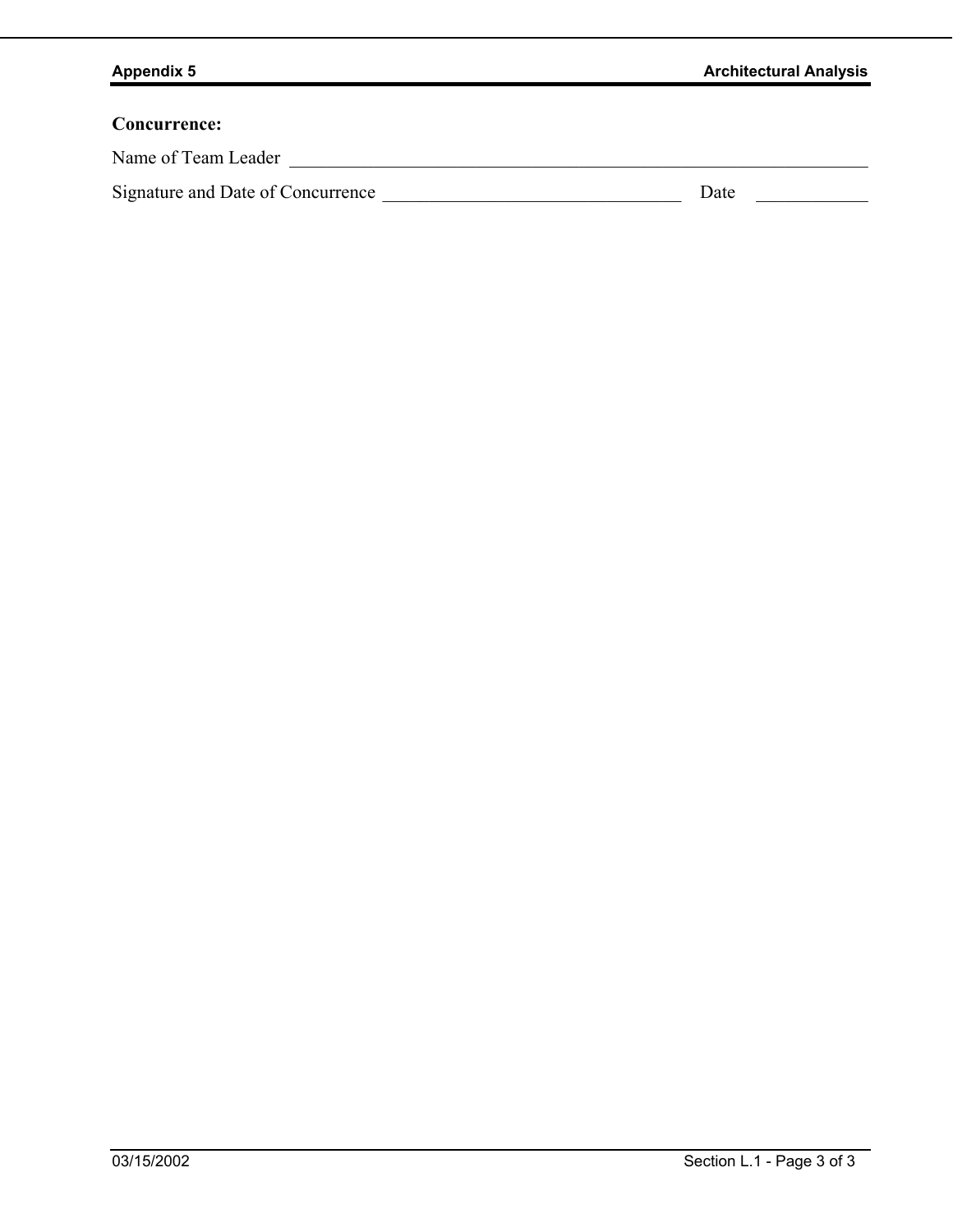## **Concurrence:**

Name of Team Leader \_\_\_\_\_\_\_\_\_\_\_\_\_\_\_\_\_\_\_\_\_\_\_\_\_\_\_\_\_\_\_\_\_\_\_\_\_\_\_\_\_\_\_\_\_\_\_\_\_\_\_\_\_\_\_\_\_\_\_\_\_\_

| Signature and Date of Concurrence |  | <b>Date</b> |  |
|-----------------------------------|--|-------------|--|
|-----------------------------------|--|-------------|--|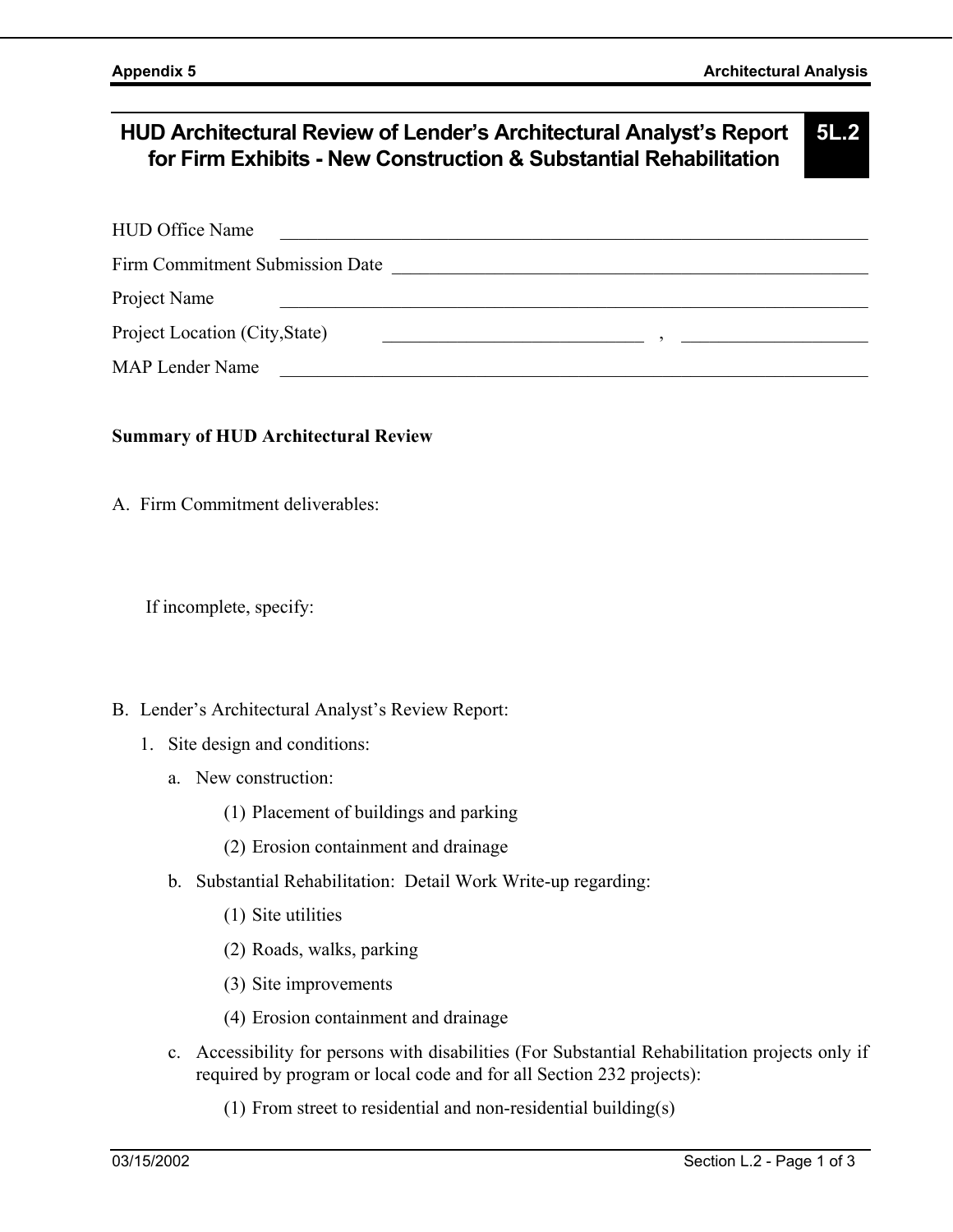### **HUD Architectural Review of Lender's Architectural Analyst's Report for Firm Exhibits - New Construction & Substantial Rehabilitation 5L.2**

| <b>HUD Office Name</b>          |  |
|---------------------------------|--|
| Firm Commitment Submission Date |  |
| Project Name                    |  |
| Project Location (City, State)  |  |

MAP Lender Name

### **Summary of HUD Architectural Review**

A. Firm Commitment deliverables:

If incomplete, specify:

### B. Lender's Architectural Analyst's Review Report:

- 1. Site design and conditions:
	- a. New construction:
		- (1) Placement of buildings and parking
		- (2) Erosion containment and drainage
	- b. Substantial Rehabilitation: Detail Work Write-up regarding:
		- (1) Site utilities
		- (2) Roads, walks, parking
		- (3) Site improvements
		- (4) Erosion containment and drainage
	- c. Accessibility for persons with disabilities (For Substantial Rehabilitation projects only if required by program or local code and for all Section 232 projects):
		- (1) From street to residential and non-residential building(s)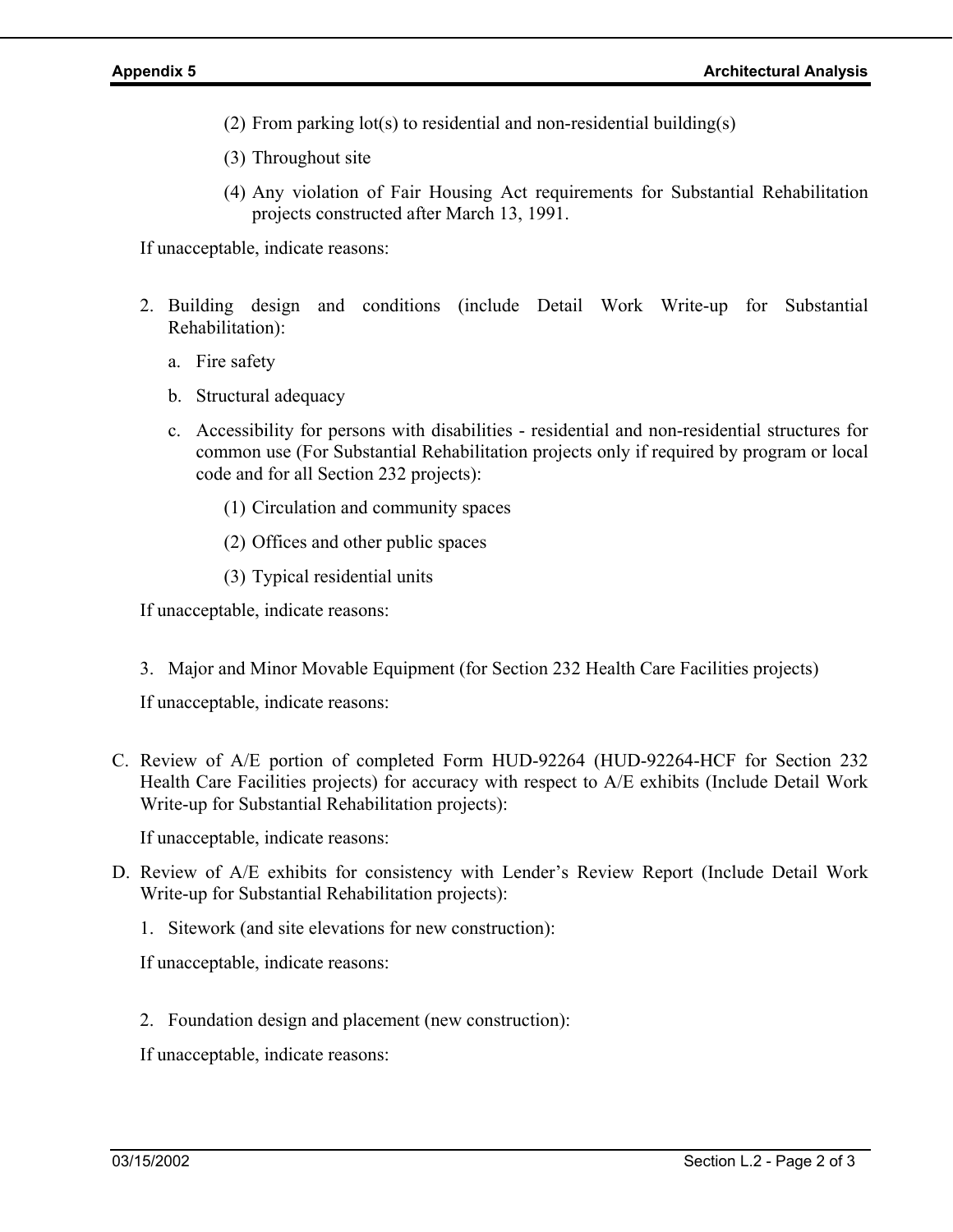- (2) From parking lot(s) to residential and non-residential building(s)
- (3) Throughout site
- (4) Any violation of Fair Housing Act requirements for Substantial Rehabilitation projects constructed after March 13, 1991.

If unacceptable, indicate reasons:

- 2. Building design and conditions (include Detail Work Write-up for Substantial Rehabilitation):
	- a. Fire safety
	- b. Structural adequacy
	- c. Accessibility for persons with disabilities residential and non-residential structures for common use (For Substantial Rehabilitation projects only if required by program or local code and for all Section 232 projects):
		- (1) Circulation and community spaces
		- (2) Offices and other public spaces
		- (3) Typical residential units

If unacceptable, indicate reasons:

3. Major and Minor Movable Equipment (for Section 232 Health Care Facilities projects)

If unacceptable, indicate reasons:

C. Review of A/E portion of completed Form HUD-92264 (HUD-92264-HCF for Section 232 Health Care Facilities projects) for accuracy with respect to A/E exhibits (Include Detail Work Write-up for Substantial Rehabilitation projects):

If unacceptable, indicate reasons:

- D. Review of A/E exhibits for consistency with Lender's Review Report (Include Detail Work Write-up for Substantial Rehabilitation projects):
	- 1. Sitework (and site elevations for new construction):

If unacceptable, indicate reasons:

2. Foundation design and placement (new construction):

If unacceptable, indicate reasons: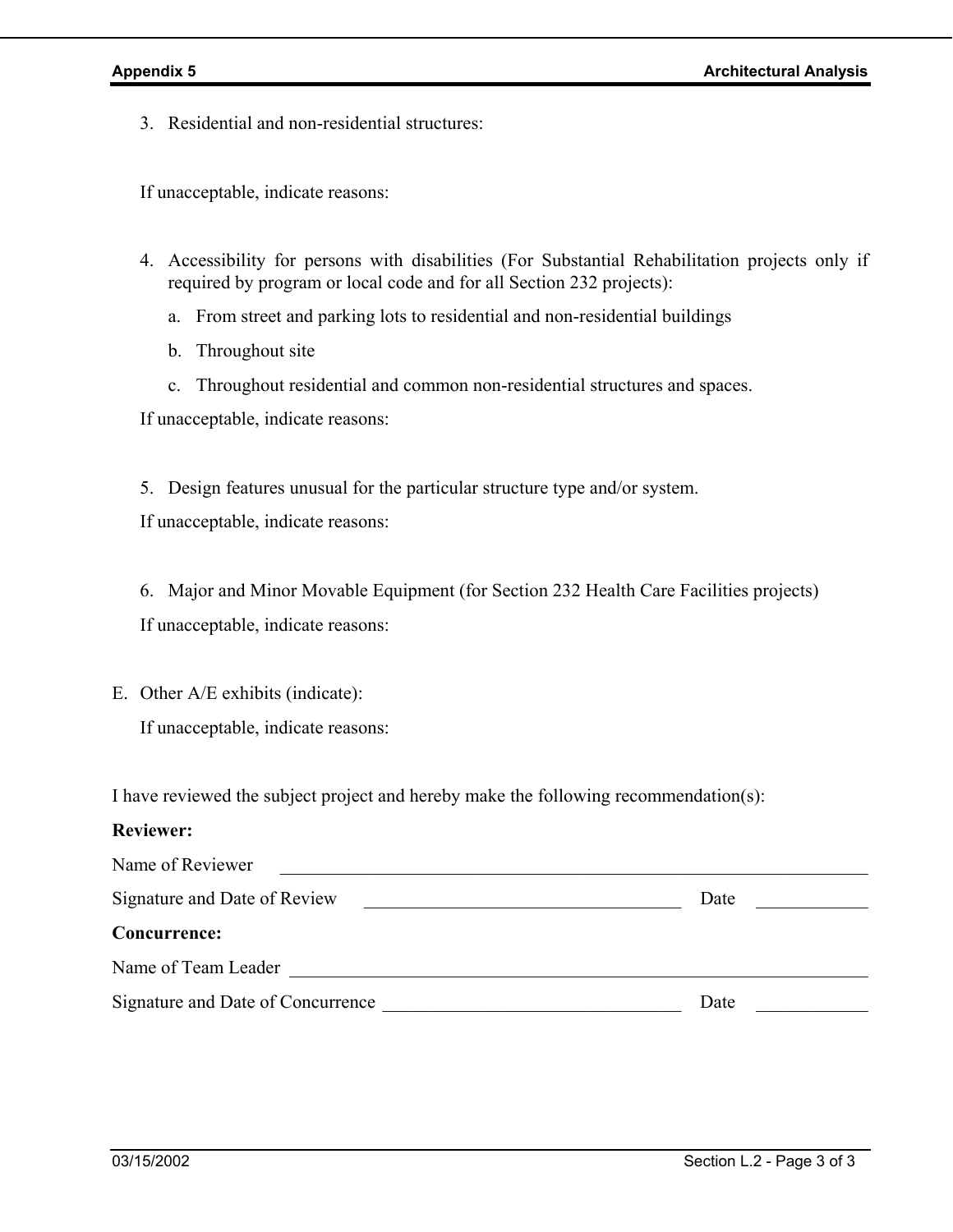3. Residential and non-residential structures:

If unacceptable, indicate reasons:

- 4. Accessibility for persons with disabilities (For Substantial Rehabilitation projects only if required by program or local code and for all Section 232 projects):
	- a. From street and parking lots to residential and non-residential buildings
	- b. Throughout site
	- c. Throughout residential and common non-residential structures and spaces.

If unacceptable, indicate reasons:

5. Design features unusual for the particular structure type and/or system.

If unacceptable, indicate reasons:

6. Major and Minor Movable Equipment (for Section 232 Health Care Facilities projects) If unacceptable, indicate reasons:

E. Other A/E exhibits (indicate):

If unacceptable, indicate reasons:

I have reviewed the subject project and hereby make the following recommendation(s):

### **Reviewer:**

| Name of Reviewer                  |      |
|-----------------------------------|------|
| Signature and Date of Review      | Date |
| Concurrence:                      |      |
| Name of Team Leader               |      |
| Signature and Date of Concurrence | Date |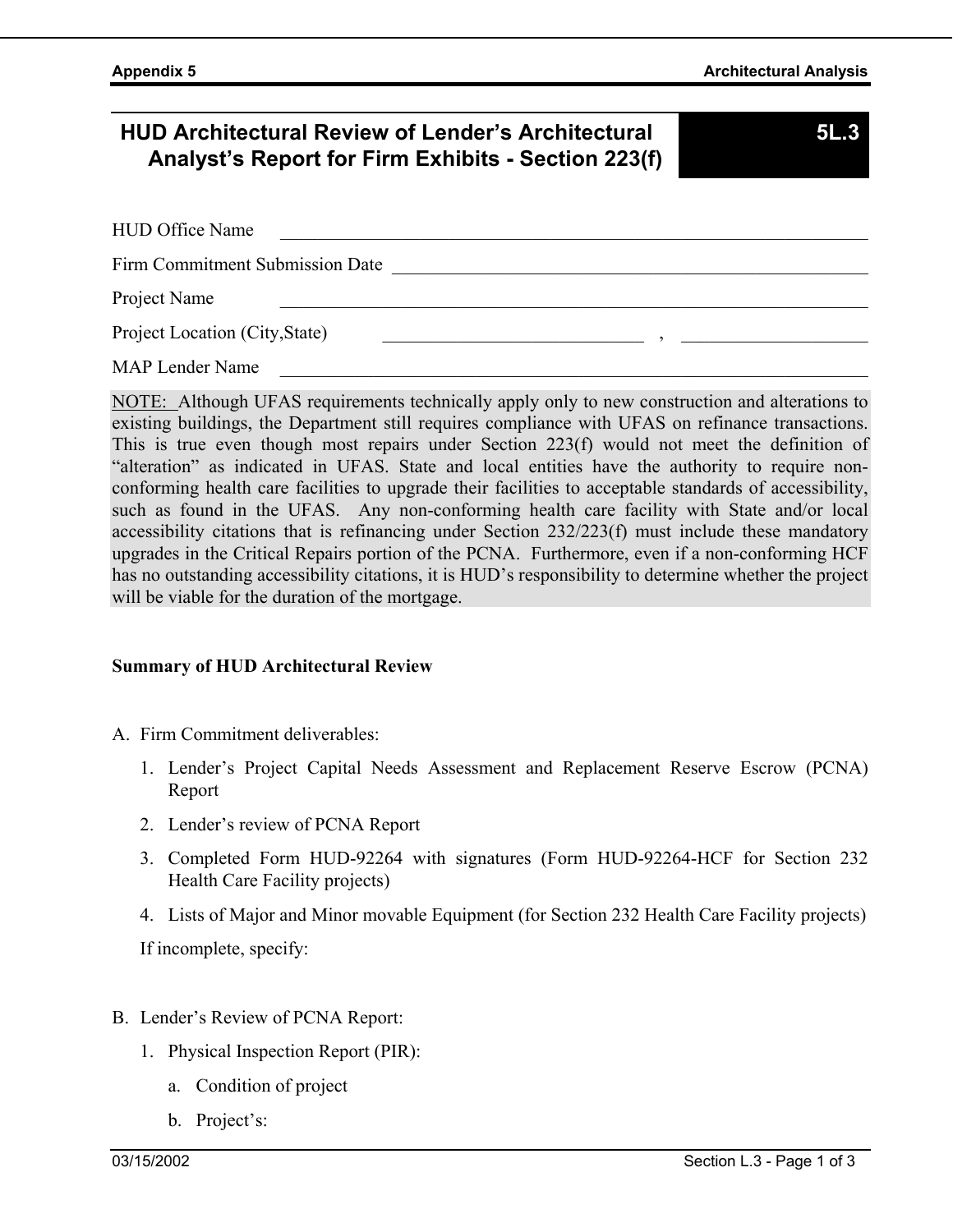# **HUD Architectural Review of Lender's Architectural Analyst's Report for Firm Exhibits - Section 223(f)**

**5L.3** 

| <b>HUD Office Name</b>          |  |
|---------------------------------|--|
| Firm Commitment Submission Date |  |
| Project Name                    |  |
| Project Location (City, State)  |  |
| MAP Lender Name                 |  |

NOTE: Although UFAS requirements technically apply only to new construction and alterations to existing buildings, the Department still requires compliance with UFAS on refinance transactions. This is true even though most repairs under Section 223(f) would not meet the definition of "alteration" as indicated in UFAS. State and local entities have the authority to require nonconforming health care facilities to upgrade their facilities to acceptable standards of accessibility, such as found in the UFAS. Any non-conforming health care facility with State and/or local accessibility citations that is refinancing under Section 232/223(f) must include these mandatory upgrades in the Critical Repairs portion of the PCNA. Furthermore, even if a non-conforming HCF has no outstanding accessibility citations, it is HUD's responsibility to determine whether the project will be viable for the duration of the mortgage.

### **Summary of HUD Architectural Review**

- A. Firm Commitment deliverables:
	- 1. Lender's Project Capital Needs Assessment and Replacement Reserve Escrow (PCNA) Report
	- 2. Lender's review of PCNA Report
	- 3. Completed Form HUD-92264 with signatures (Form HUD-92264-HCF for Section 232 Health Care Facility projects)
	- 4. Lists of Major and Minor movable Equipment (for Section 232 Health Care Facility projects)

If incomplete, specify:

- B. Lender's Review of PCNA Report:
	- 1. Physical Inspection Report (PIR):
		- a. Condition of project
		- b. Project's: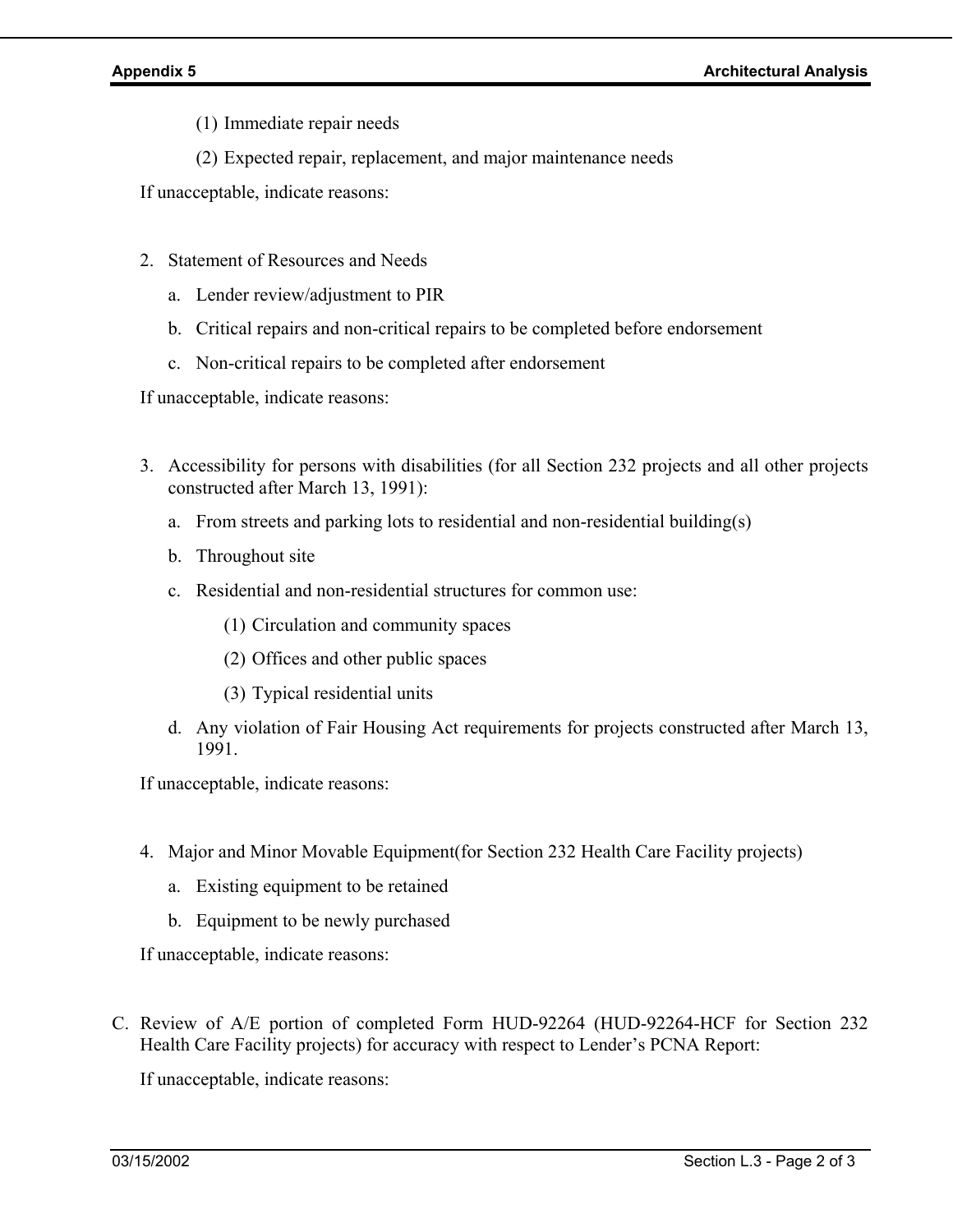- (1) Immediate repair needs
- (2) Expected repair, replacement, and major maintenance needs

If unacceptable, indicate reasons:

- 2. Statement of Resources and Needs
	- a. Lender review/adjustment to PIR
	- b. Critical repairs and non-critical repairs to be completed before endorsement
	- c. Non-critical repairs to be completed after endorsement

If unacceptable, indicate reasons:

- 3. Accessibility for persons with disabilities (for all Section 232 projects and all other projects constructed after March 13, 1991):
	- a. From streets and parking lots to residential and non-residential building(s)
	- b. Throughout site
	- c. Residential and non-residential structures for common use:
		- (1) Circulation and community spaces
		- (2) Offices and other public spaces
		- (3) Typical residential units
	- d. Any violation of Fair Housing Act requirements for projects constructed after March 13, 1991.

If unacceptable, indicate reasons:

- 4. Major and Minor Movable Equipment(for Section 232 Health Care Facility projects)
	- a. Existing equipment to be retained
	- b. Equipment to be newly purchased

If unacceptable, indicate reasons:

C. Review of A/E portion of completed Form HUD-92264 (HUD-92264-HCF for Section 232 Health Care Facility projects) for accuracy with respect to Lender's PCNA Report:

If unacceptable, indicate reasons: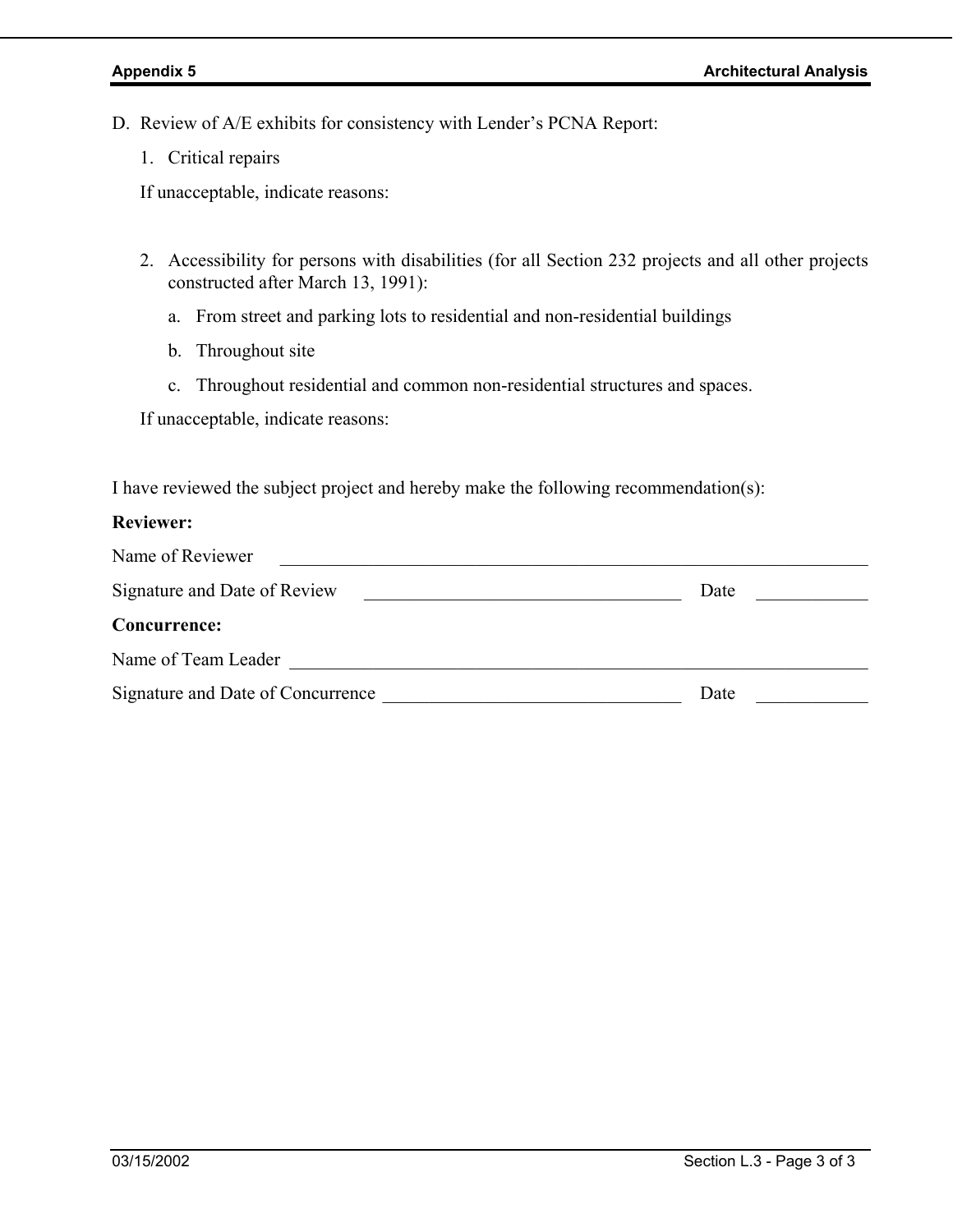- D. Review of A/E exhibits for consistency with Lender's PCNA Report:
	- 1. Critical repairs

If unacceptable, indicate reasons:

- 2. Accessibility for persons with disabilities (for all Section 232 projects and all other projects constructed after March 13, 1991):
	- a. From street and parking lots to residential and non-residential buildings
	- b. Throughout site
	- c. Throughout residential and common non-residential structures and spaces.

If unacceptable, indicate reasons:

I have reviewed the subject project and hereby make the following recommendation(s):

### **Reviewer:**

| Name of Reviewer                  |      |
|-----------------------------------|------|
| Signature and Date of Review      | Date |
| <b>Concurrence:</b>               |      |
| Name of Team Leader               |      |
| Signature and Date of Concurrence | Date |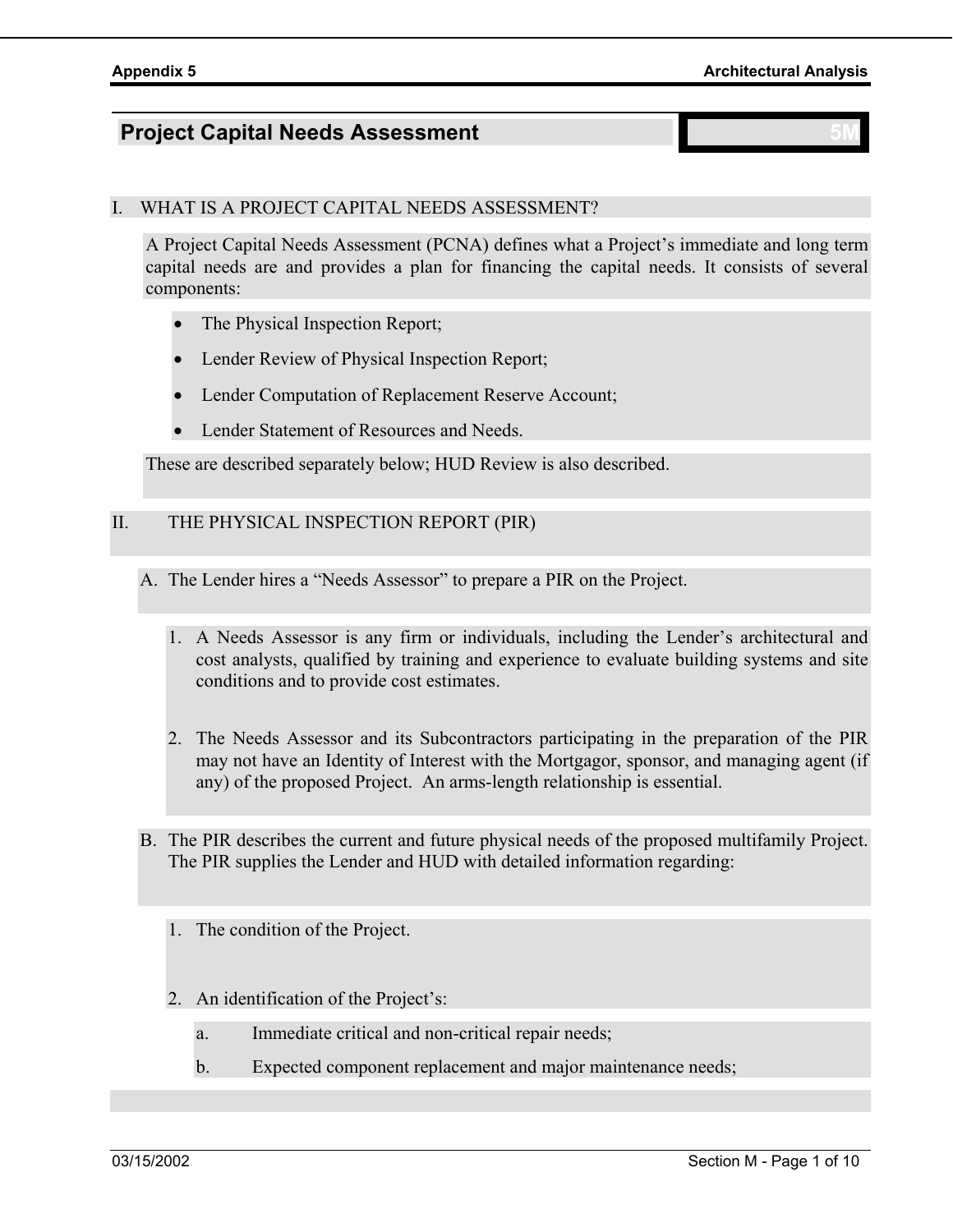# **Project Capital Needs Assessment**

# I. WHAT IS A PROJECT CAPITAL NEEDS ASSESSMENT?

A Project Capital Needs Assessment (PCNA) defines what a Project's immediate and long term capital needs are and provides a plan for financing the capital needs. It consists of several components:

- The Physical Inspection Report;
- Lender Review of Physical Inspection Report;
- Lender Computation of Replacement Reserve Account;
- Lender Statement of Resources and Needs.

These are described separately below; HUD Review is also described.

### II. THE PHYSICAL INSPECTION REPORT (PIR)

- A. The Lender hires a "Needs Assessor" to prepare a PIR on the Project.
	- 1. A Needs Assessor is any firm or individuals, including the Lender's architectural and cost analysts, qualified by training and experience to evaluate building systems and site conditions and to provide cost estimates.
	- 2. The Needs Assessor and its Subcontractors participating in the preparation of the PIR may not have an Identity of Interest with the Mortgagor, sponsor, and managing agent (if any) of the proposed Project. An arms-length relationship is essential.
- B. The PIR describes the current and future physical needs of the proposed multifamily Project. The PIR supplies the Lender and HUD with detailed information regarding:
	- 1. The condition of the Project.
	- 2. An identification of the Project's:
		- a. Immediate critical and non-critical repair needs;
		- b. Expected component replacement and major maintenance needs;

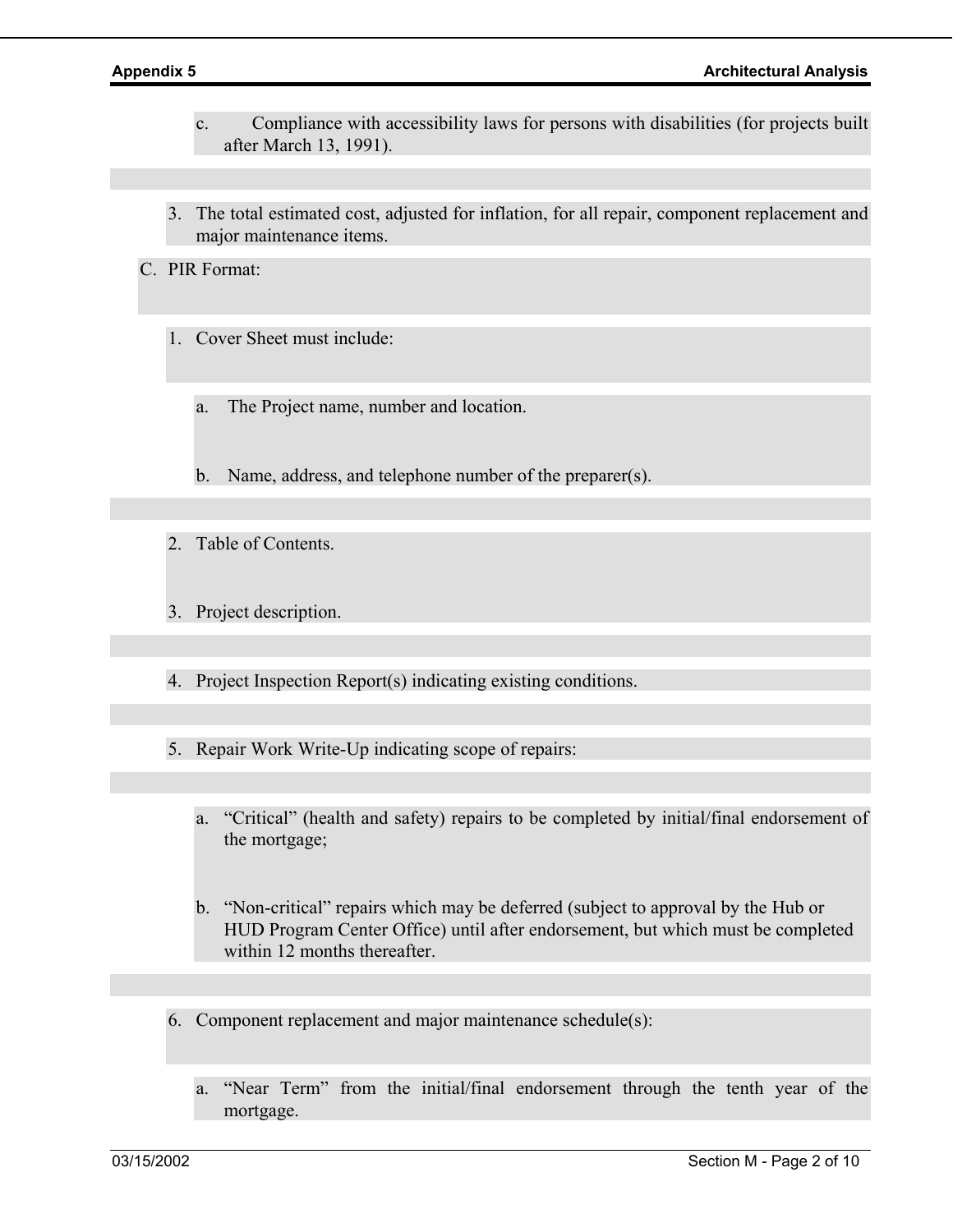- c. Compliance with accessibility laws for persons with disabilities (for projects built after March 13, 1991).
- 3. The total estimated cost, adjusted for inflation, for all repair, component replacement and major maintenance items.

C. PIR Format:

- 1. Cover Sheet must include:
	- a. The Project name, number and location.
	- b. Name, address, and telephone number of the preparer(s).
- 2. Table of Contents.
- 3. Project description.
- 4. Project Inspection Report(s) indicating existing conditions.
- 5. Repair Work Write-Up indicating scope of repairs:
	- a. "Critical" (health and safety) repairs to be completed by initial/final endorsement of the mortgage;
	- b. "Non-critical" repairs which may be deferred (subject to approval by the Hub or HUD Program Center Office) until after endorsement, but which must be completed within 12 months thereafter.
- 6. Component replacement and major maintenance schedule(s):
	- a. "Near Term" from the initial/final endorsement through the tenth year of the mortgage.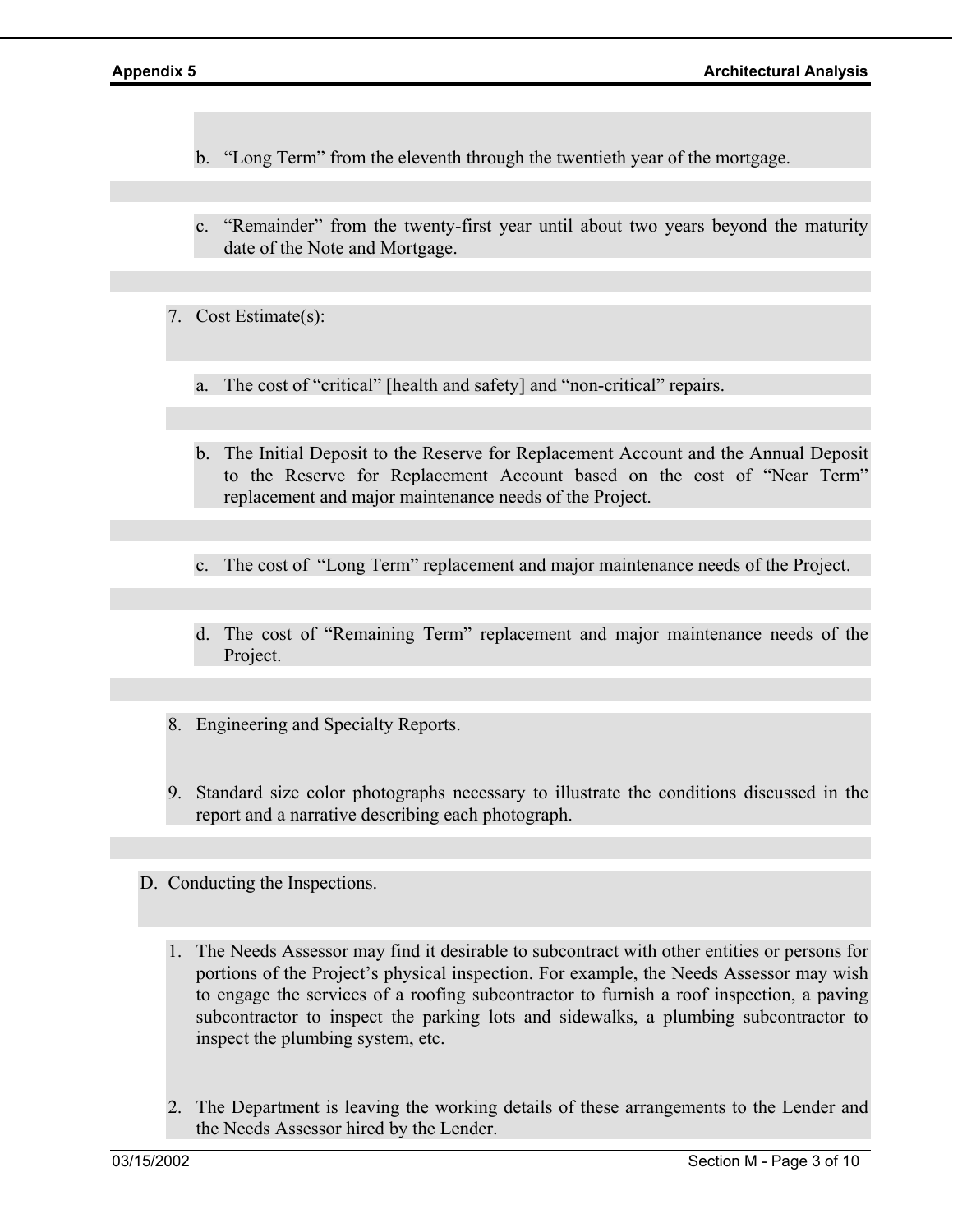- b. "Long Term" from the eleventh through the twentieth year of the mortgage.
- c. "Remainder" from the twenty-first year until about two years beyond the maturity date of the Note and Mortgage.
- 7. Cost Estimate(s):
	- a. The cost of "critical" [health and safety] and "non-critical" repairs.
	- b. The Initial Deposit to the Reserve for Replacement Account and the Annual Deposit to the Reserve for Replacement Account based on the cost of "Near Term" replacement and major maintenance needs of the Project.
	- c. The cost of "Long Term" replacement and major maintenance needs of the Project.
	- d. The cost of "Remaining Term" replacement and major maintenance needs of the Project.
- 8. Engineering and Specialty Reports.
- 9. Standard size color photographs necessary to illustrate the conditions discussed in the report and a narrative describing each photograph.
- D. Conducting the Inspections.
	- 1. The Needs Assessor may find it desirable to subcontract with other entities or persons for portions of the Project's physical inspection. For example, the Needs Assessor may wish to engage the services of a roofing subcontractor to furnish a roof inspection, a paving subcontractor to inspect the parking lots and sidewalks, a plumbing subcontractor to inspect the plumbing system, etc.
	- 2. The Department is leaving the working details of these arrangements to the Lender and the Needs Assessor hired by the Lender.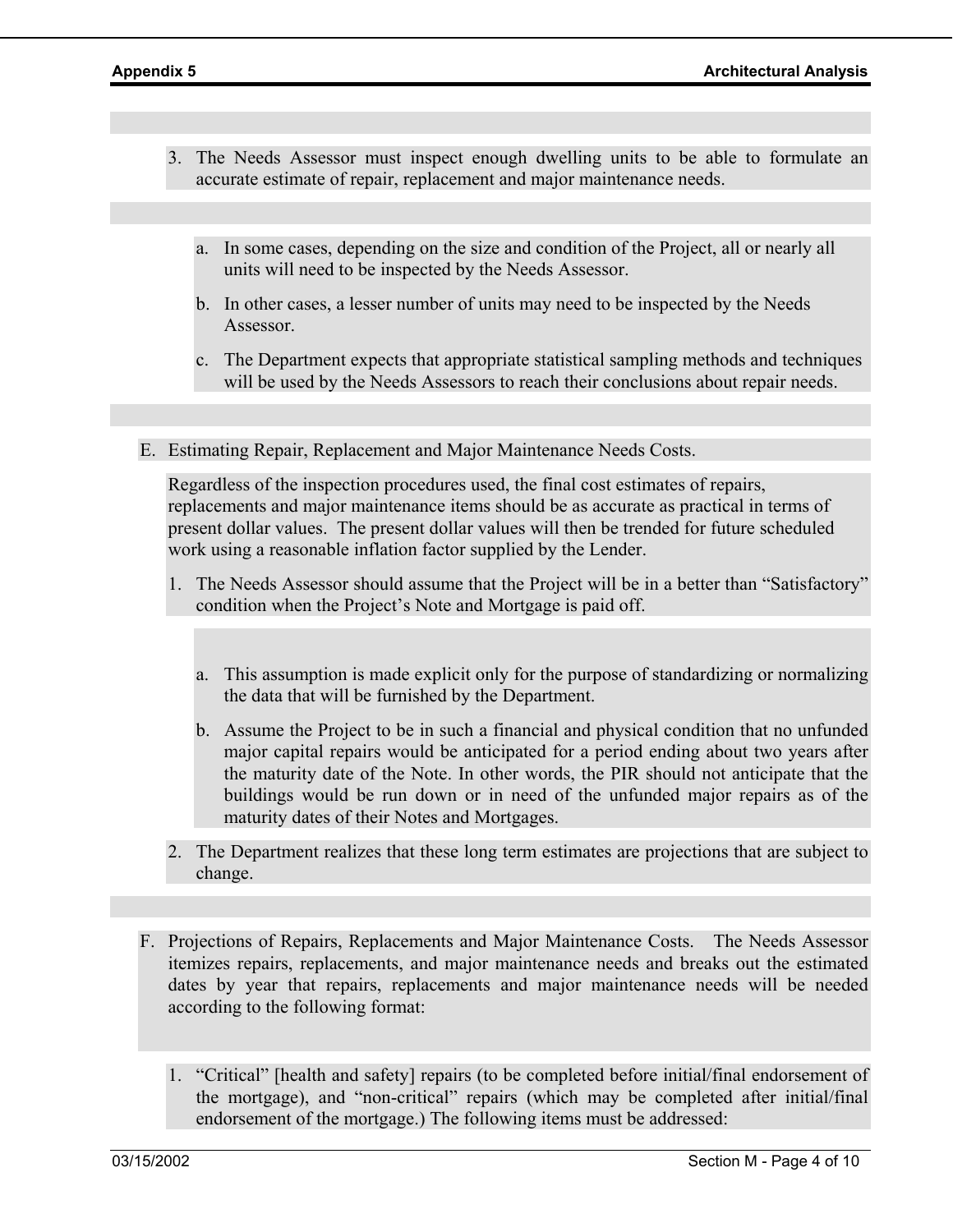- 3. The Needs Assessor must inspect enough dwelling units to be able to formulate an accurate estimate of repair, replacement and major maintenance needs.
	- a. In some cases, depending on the size and condition of the Project, all or nearly all units will need to be inspected by the Needs Assessor.
	- b. In other cases, a lesser number of units may need to be inspected by the Needs Assessor.
	- c. The Department expects that appropriate statistical sampling methods and techniques will be used by the Needs Assessors to reach their conclusions about repair needs.
- E. Estimating Repair, Replacement and Major Maintenance Needs Costs.

Regardless of the inspection procedures used, the final cost estimates of repairs, replacements and major maintenance items should be as accurate as practical in terms of present dollar values. The present dollar values will then be trended for future scheduled work using a reasonable inflation factor supplied by the Lender.

- 1. The Needs Assessor should assume that the Project will be in a better than "Satisfactory" condition when the Project's Note and Mortgage is paid off.
	- a. This assumption is made explicit only for the purpose of standardizing or normalizing the data that will be furnished by the Department.
	- b. Assume the Project to be in such a financial and physical condition that no unfunded major capital repairs would be anticipated for a period ending about two years after the maturity date of the Note. In other words, the PIR should not anticipate that the buildings would be run down or in need of the unfunded major repairs as of the maturity dates of their Notes and Mortgages.
- 2. The Department realizes that these long term estimates are projections that are subject to change.
- F. Projections of Repairs, Replacements and Major Maintenance Costs. The Needs Assessor itemizes repairs, replacements, and major maintenance needs and breaks out the estimated dates by year that repairs, replacements and major maintenance needs will be needed according to the following format:
	- 1. "Critical" [health and safety] repairs (to be completed before initial/final endorsement of the mortgage), and "non-critical" repairs (which may be completed after initial/final endorsement of the mortgage.) The following items must be addressed: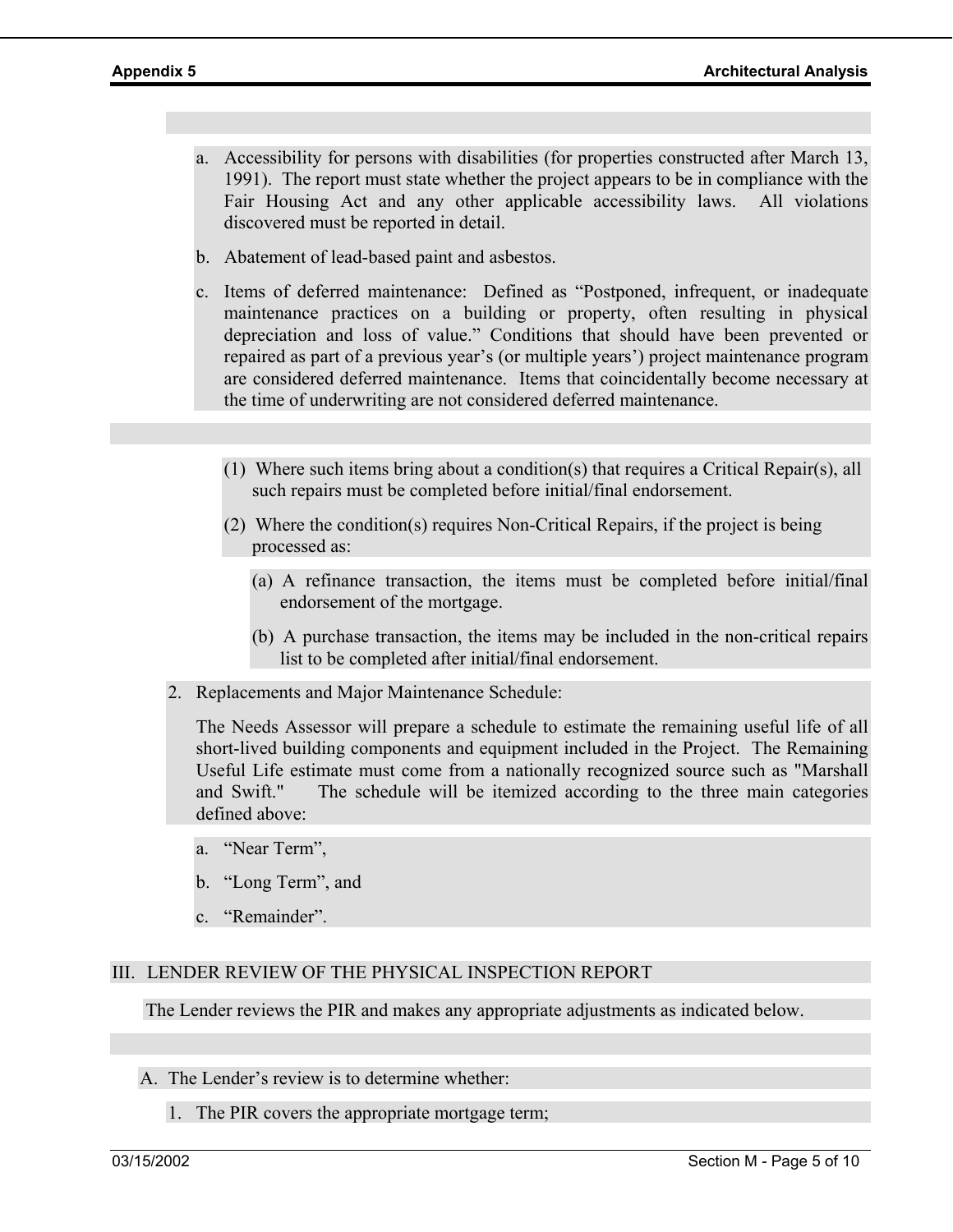- a. Accessibility for persons with disabilities (for properties constructed after March 13, 1991). The report must state whether the project appears to be in compliance with the Fair Housing Act and any other applicable accessibility laws. All violations discovered must be reported in detail.
- b. Abatement of lead-based paint and asbestos.
- c. Items of deferred maintenance: Defined as "Postponed, infrequent, or inadequate maintenance practices on a building or property, often resulting in physical depreciation and loss of value." Conditions that should have been prevented or repaired as part of a previous year's (or multiple years') project maintenance program are considered deferred maintenance. Items that coincidentally become necessary at the time of underwriting are not considered deferred maintenance.
	- (1) Where such items bring about a condition(s) that requires a Critical Repair(s), all such repairs must be completed before initial/final endorsement.
	- (2) Where the condition(s) requires Non-Critical Repairs, if the project is being processed as:
		- (a) A refinance transaction, the items must be completed before initial/final endorsement of the mortgage.
		- (b) A purchase transaction, the items may be included in the non-critical repairs list to be completed after initial/final endorsement.
- 2. Replacements and Major Maintenance Schedule:

The Needs Assessor will prepare a schedule to estimate the remaining useful life of all short-lived building components and equipment included in the Project. The Remaining Useful Life estimate must come from a nationally recognized source such as "Marshall and Swift." The schedule will be itemized according to the three main categories defined above:

- a. "Near Term",
- b. "Long Term", and
- c. "Remainder".

### III. LENDER REVIEW OF THE PHYSICAL INSPECTION REPORT

The Lender reviews the PIR and makes any appropriate adjustments as indicated below.

- A. The Lender's review is to determine whether:
	- 1. The PIR covers the appropriate mortgage term;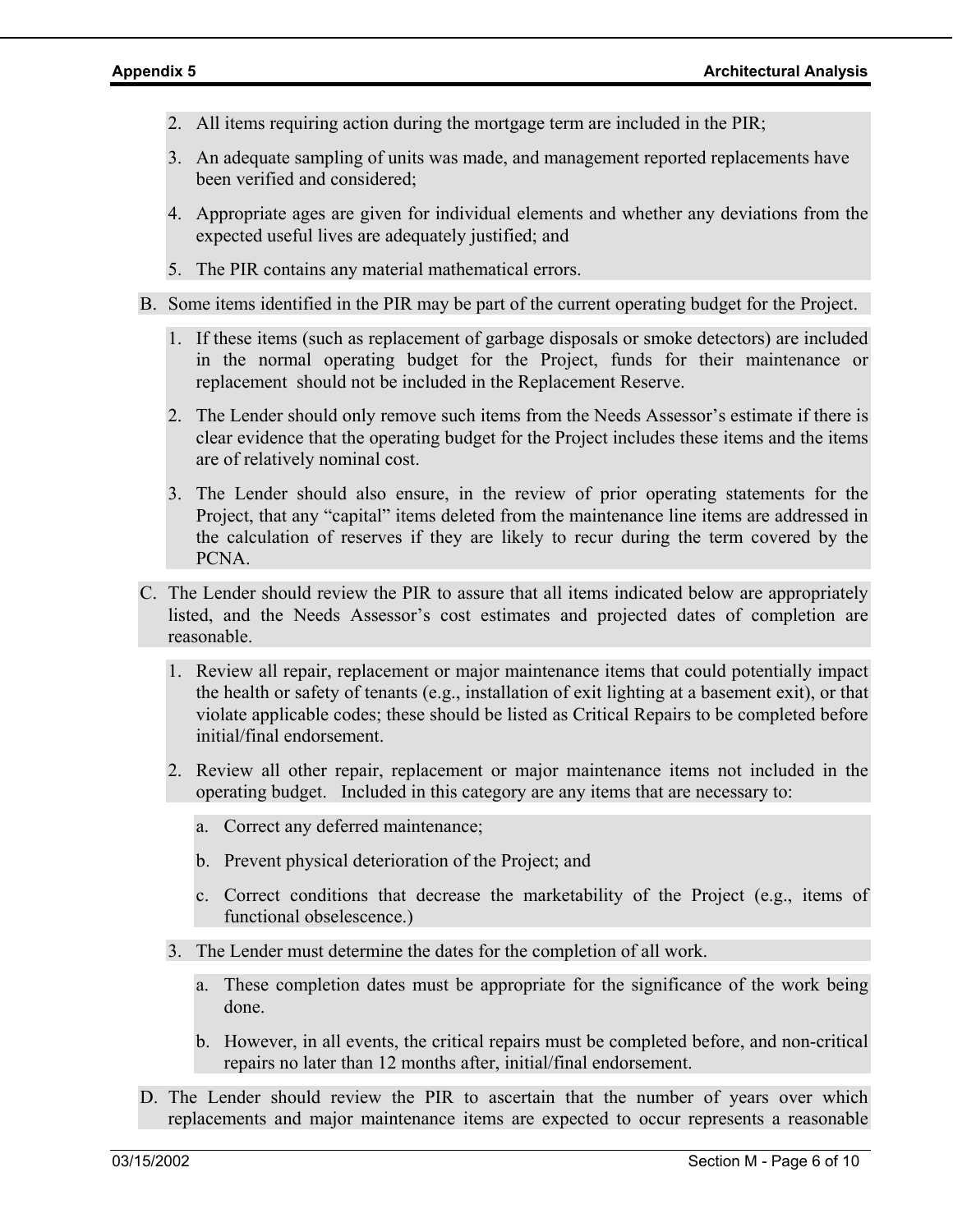- 2. All items requiring action during the mortgage term are included in the PIR;
- 3. An adequate sampling of units was made, and management reported replacements have been verified and considered;
- 4. Appropriate ages are given for individual elements and whether any deviations from the expected useful lives are adequately justified; and
- 5. The PIR contains any material mathematical errors.
- B. Some items identified in the PIR may be part of the current operating budget for the Project.
	- 1. If these items (such as replacement of garbage disposals or smoke detectors) are included in the normal operating budget for the Project, funds for their maintenance or replacement should not be included in the Replacement Reserve.
	- 2. The Lender should only remove such items from the Needs Assessor's estimate if there is clear evidence that the operating budget for the Project includes these items and the items are of relatively nominal cost.
	- 3. The Lender should also ensure, in the review of prior operating statements for the Project, that any "capital" items deleted from the maintenance line items are addressed in the calculation of reserves if they are likely to recur during the term covered by the PCNA.
- C. The Lender should review the PIR to assure that all items indicated below are appropriately listed, and the Needs Assessor's cost estimates and projected dates of completion are reasonable.
	- 1. Review all repair, replacement or major maintenance items that could potentially impact the health or safety of tenants (e.g., installation of exit lighting at a basement exit), or that violate applicable codes; these should be listed as Critical Repairs to be completed before initial/final endorsement.
	- 2. Review all other repair, replacement or major maintenance items not included in the operating budget. Included in this category are any items that are necessary to:
		- a. Correct any deferred maintenance;
		- b. Prevent physical deterioration of the Project; and
		- c. Correct conditions that decrease the marketability of the Project (e.g., items of functional obselescence.)
	- 3. The Lender must determine the dates for the completion of all work.
		- a. These completion dates must be appropriate for the significance of the work being done.
		- b. However, in all events, the critical repairs must be completed before, and non-critical repairs no later than 12 months after, initial/final endorsement.
- D. The Lender should review the PIR to ascertain that the number of years over which replacements and major maintenance items are expected to occur represents a reasonable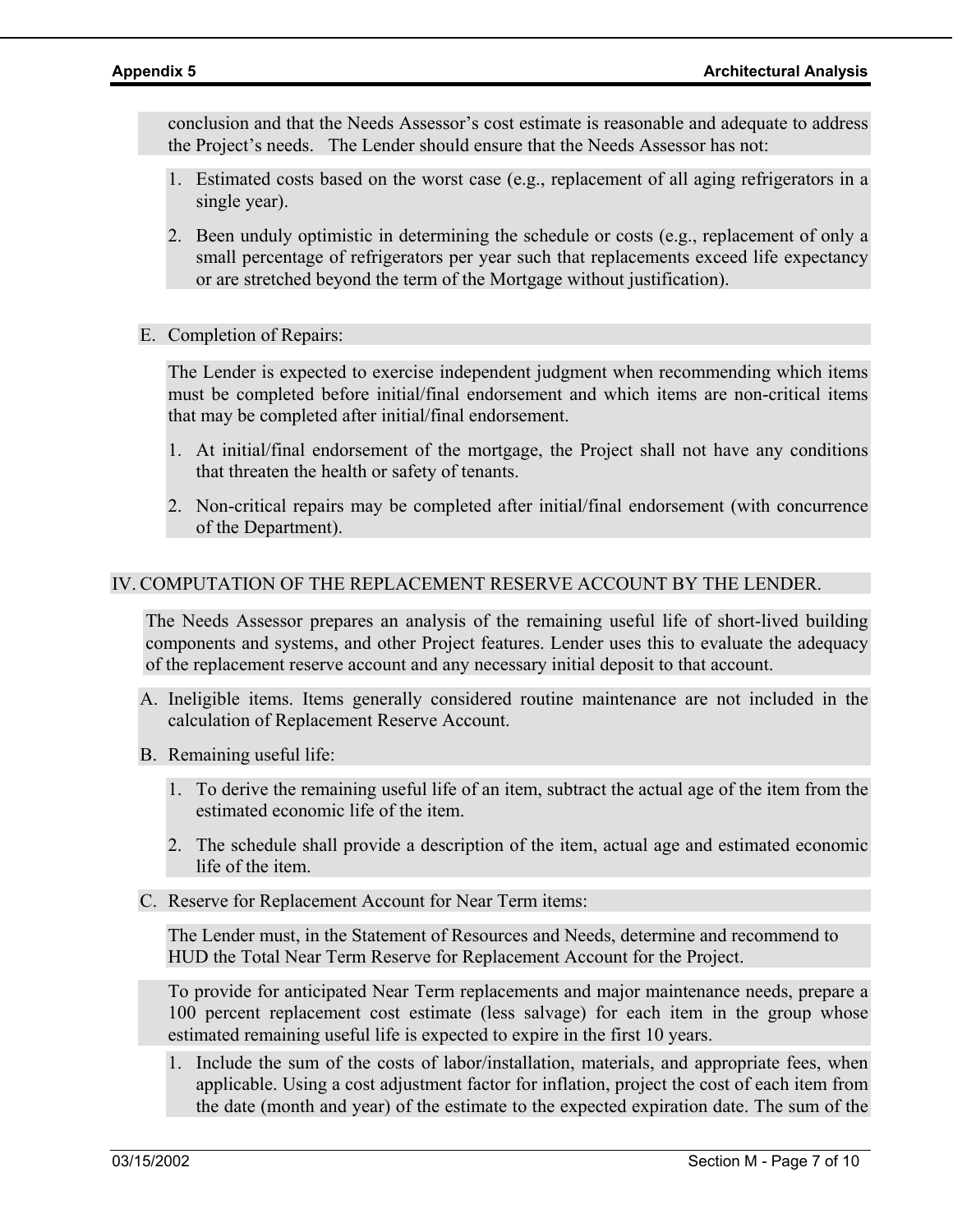conclusion and that the Needs Assessor's cost estimate is reasonable and adequate to address the Project's needs. The Lender should ensure that the Needs Assessor has not:

- 1. Estimated costs based on the worst case (e.g., replacement of all aging refrigerators in a single year).
- 2. Been unduly optimistic in determining the schedule or costs (e.g., replacement of only a small percentage of refrigerators per year such that replacements exceed life expectancy or are stretched beyond the term of the Mortgage without justification).
- E. Completion of Repairs:

The Lender is expected to exercise independent judgment when recommending which items must be completed before initial/final endorsement and which items are non-critical items that may be completed after initial/final endorsement.

- 1. At initial/final endorsement of the mortgage, the Project shall not have any conditions that threaten the health or safety of tenants.
- 2. Non-critical repairs may be completed after initial/final endorsement (with concurrence of the Department).

### IV. COMPUTATION OF THE REPLACEMENT RESERVE ACCOUNT BY THE LENDER.

The Needs Assessor prepares an analysis of the remaining useful life of short-lived building components and systems, and other Project features. Lender uses this to evaluate the adequacy of the replacement reserve account and any necessary initial deposit to that account.

- A. Ineligible items. Items generally considered routine maintenance are not included in the calculation of Replacement Reserve Account.
- B. Remaining useful life:
	- 1. To derive the remaining useful life of an item, subtract the actual age of the item from the estimated economic life of the item.
	- 2. The schedule shall provide a description of the item, actual age and estimated economic life of the item.
- C. Reserve for Replacement Account for Near Term items:

The Lender must, in the Statement of Resources and Needs, determine and recommend to HUD the Total Near Term Reserve for Replacement Account for the Project.

To provide for anticipated Near Term replacements and major maintenance needs, prepare a 100 percent replacement cost estimate (less salvage) for each item in the group whose estimated remaining useful life is expected to expire in the first 10 years.

1. Include the sum of the costs of labor/installation, materials, and appropriate fees, when applicable. Using a cost adjustment factor for inflation, project the cost of each item from the date (month and year) of the estimate to the expected expiration date. The sum of the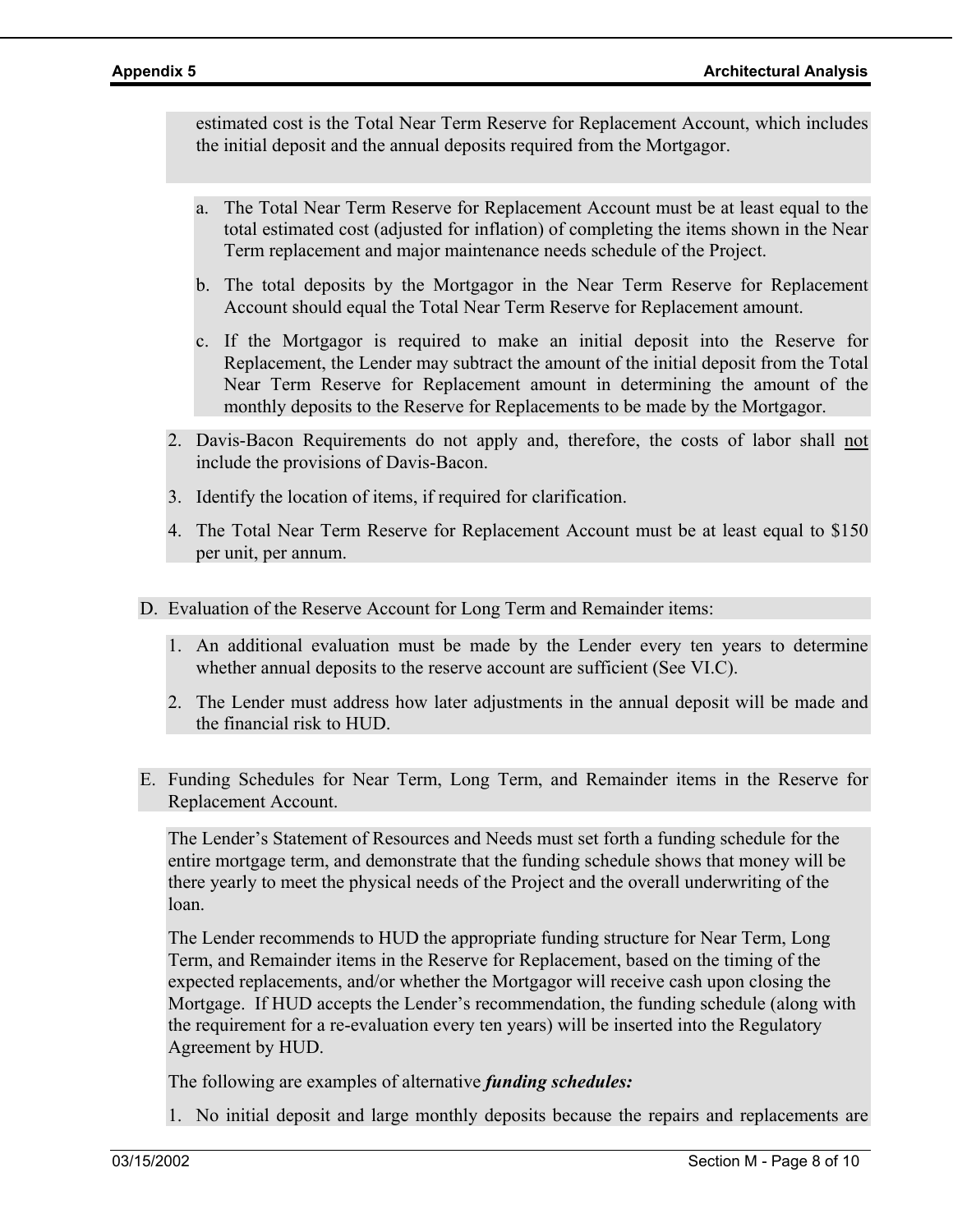estimated cost is the Total Near Term Reserve for Replacement Account, which includes the initial deposit and the annual deposits required from the Mortgagor.

- a. The Total Near Term Reserve for Replacement Account must be at least equal to the total estimated cost (adjusted for inflation) of completing the items shown in the Near Term replacement and major maintenance needs schedule of the Project.
- b. The total deposits by the Mortgagor in the Near Term Reserve for Replacement Account should equal the Total Near Term Reserve for Replacement amount.
- c. If the Mortgagor is required to make an initial deposit into the Reserve for Replacement, the Lender may subtract the amount of the initial deposit from the Total Near Term Reserve for Replacement amount in determining the amount of the monthly deposits to the Reserve for Replacements to be made by the Mortgagor.
- 2. Davis-Bacon Requirements do not apply and, therefore, the costs of labor shall not include the provisions of Davis-Bacon.
- 3. Identify the location of items, if required for clarification.
- 4. The Total Near Term Reserve for Replacement Account must be at least equal to \$150 per unit, per annum.
- D. Evaluation of the Reserve Account for Long Term and Remainder items:
	- 1. An additional evaluation must be made by the Lender every ten years to determine whether annual deposits to the reserve account are sufficient (See VI.C).
	- 2. The Lender must address how later adjustments in the annual deposit will be made and the financial risk to HUD.
- E. Funding Schedules for Near Term, Long Term, and Remainder items in the Reserve for Replacement Account.

The Lender's Statement of Resources and Needs must set forth a funding schedule for the entire mortgage term, and demonstrate that the funding schedule shows that money will be there yearly to meet the physical needs of the Project and the overall underwriting of the loan.

The Lender recommends to HUD the appropriate funding structure for Near Term, Long Term, and Remainder items in the Reserve for Replacement, based on the timing of the expected replacements, and/or whether the Mortgagor will receive cash upon closing the Mortgage. If HUD accepts the Lender's recommendation, the funding schedule (along with the requirement for a re-evaluation every ten years) will be inserted into the Regulatory Agreement by HUD.

The following are examples of alternative *funding schedules:* 

1. No initial deposit and large monthly deposits because the repairs and replacements are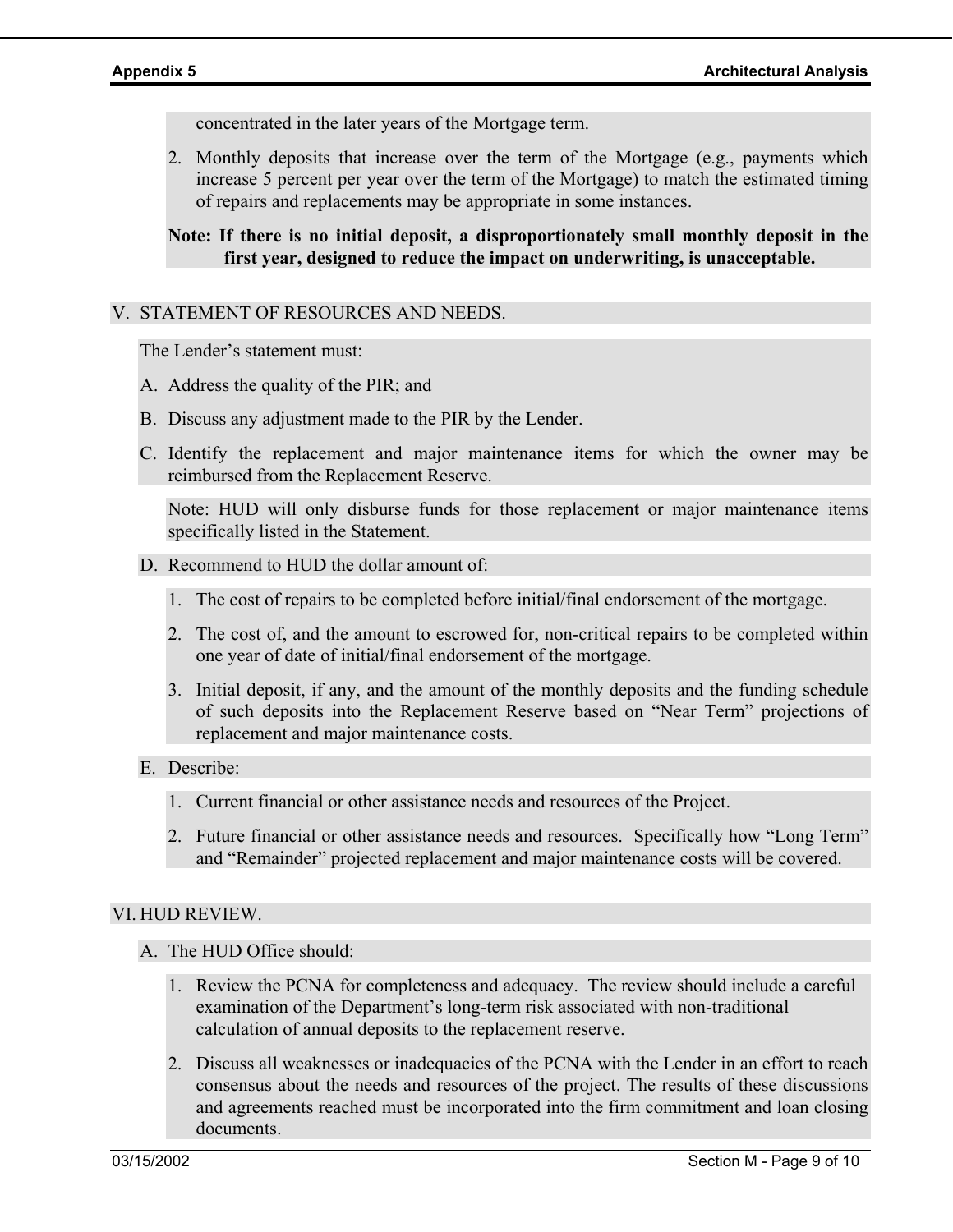concentrated in the later years of the Mortgage term.

2. Monthly deposits that increase over the term of the Mortgage (e.g., payments which increase 5 percent per year over the term of the Mortgage) to match the estimated timing of repairs and replacements may be appropriate in some instances.

### **Note: If there is no initial deposit, a disproportionately small monthly deposit in the first year, designed to reduce the impact on underwriting, is unacceptable.**

### V. STATEMENT OF RESOURCES AND NEEDS.

The Lender's statement must:

- A. Address the quality of the PIR; and
- B. Discuss any adjustment made to the PIR by the Lender.
- C. Identify the replacement and major maintenance items for which the owner may be reimbursed from the Replacement Reserve.

Note: HUD will only disburse funds for those replacement or major maintenance items specifically listed in the Statement.

- D. Recommend to HUD the dollar amount of:
	- 1. The cost of repairs to be completed before initial/final endorsement of the mortgage.
	- 2. The cost of, and the amount to escrowed for, non-critical repairs to be completed within one year of date of initial/final endorsement of the mortgage.
	- 3. Initial deposit, if any, and the amount of the monthly deposits and the funding schedule of such deposits into the Replacement Reserve based on "Near Term" projections of replacement and major maintenance costs.

### E. Describe:

- 1. Current financial or other assistance needs and resources of the Project.
- 2. Future financial or other assistance needs and resources. Specifically how "Long Term" and "Remainder" projected replacement and major maintenance costs will be covered.

### VI. HUD REVIEW.

- A. The HUD Office should:
	- 1. Review the PCNA for completeness and adequacy. The review should include a careful examination of the Department's long-term risk associated with non-traditional calculation of annual deposits to the replacement reserve.
	- 2. Discuss all weaknesses or inadequacies of the PCNA with the Lender in an effort to reach consensus about the needs and resources of the project. The results of these discussions and agreements reached must be incorporated into the firm commitment and loan closing documents.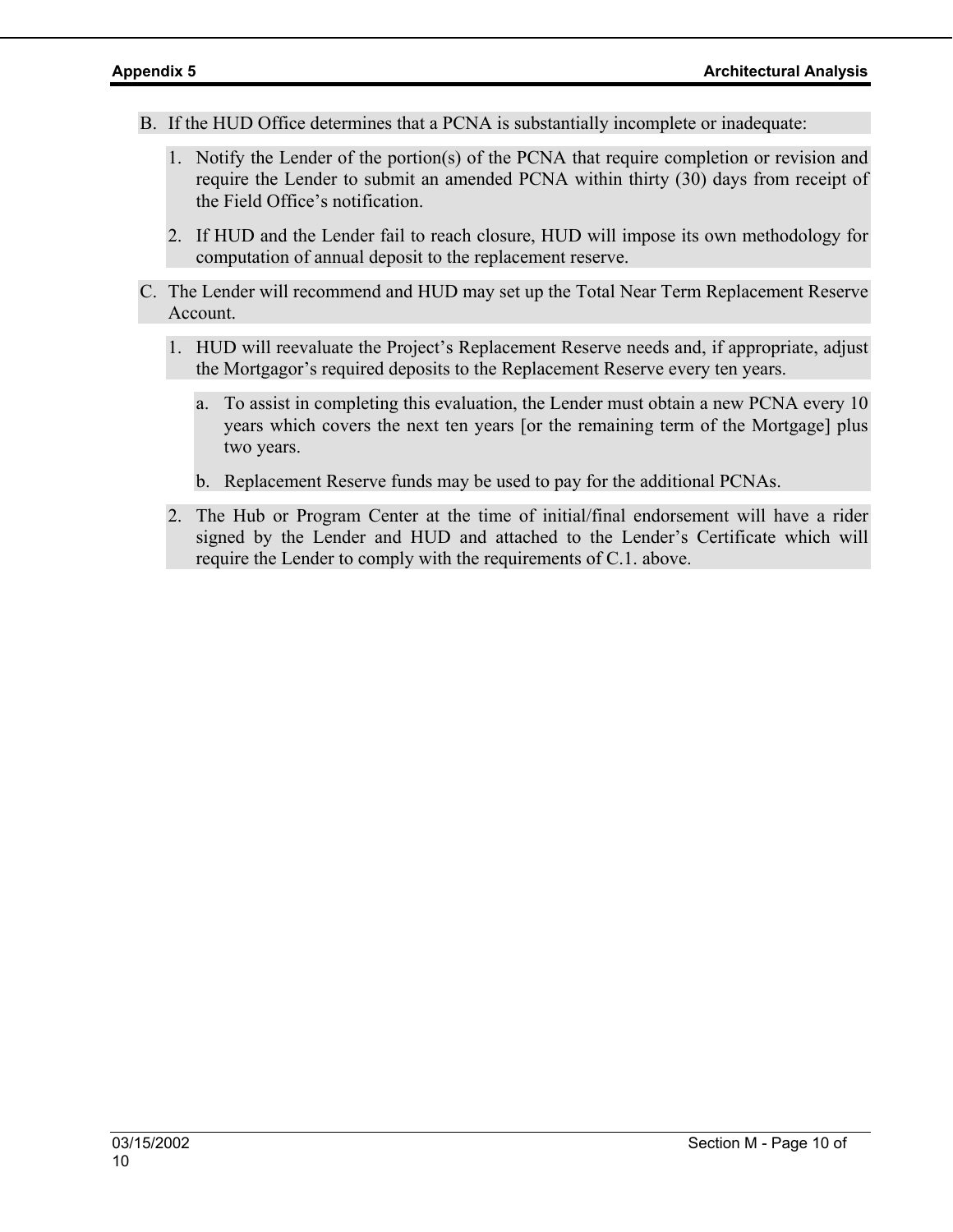- B. If the HUD Office determines that a PCNA is substantially incomplete or inadequate:
	- 1. Notify the Lender of the portion(s) of the PCNA that require completion or revision and require the Lender to submit an amended PCNA within thirty (30) days from receipt of the Field Office's notification.
	- 2. If HUD and the Lender fail to reach closure, HUD will impose its own methodology for computation of annual deposit to the replacement reserve.
- C. The Lender will recommend and HUD may set up the Total Near Term Replacement Reserve Account.
	- 1. HUD will reevaluate the Project's Replacement Reserve needs and, if appropriate, adjust the Mortgagor's required deposits to the Replacement Reserve every ten years.
		- a. To assist in completing this evaluation, the Lender must obtain a new PCNA every 10 years which covers the next ten years [or the remaining term of the Mortgage] plus two years.
		- b. Replacement Reserve funds may be used to pay for the additional PCNAs.
	- 2. The Hub or Program Center at the time of initial/final endorsement will have a rider signed by the Lender and HUD and attached to the Lender's Certificate which will require the Lender to comply with the requirements of C.1. above.